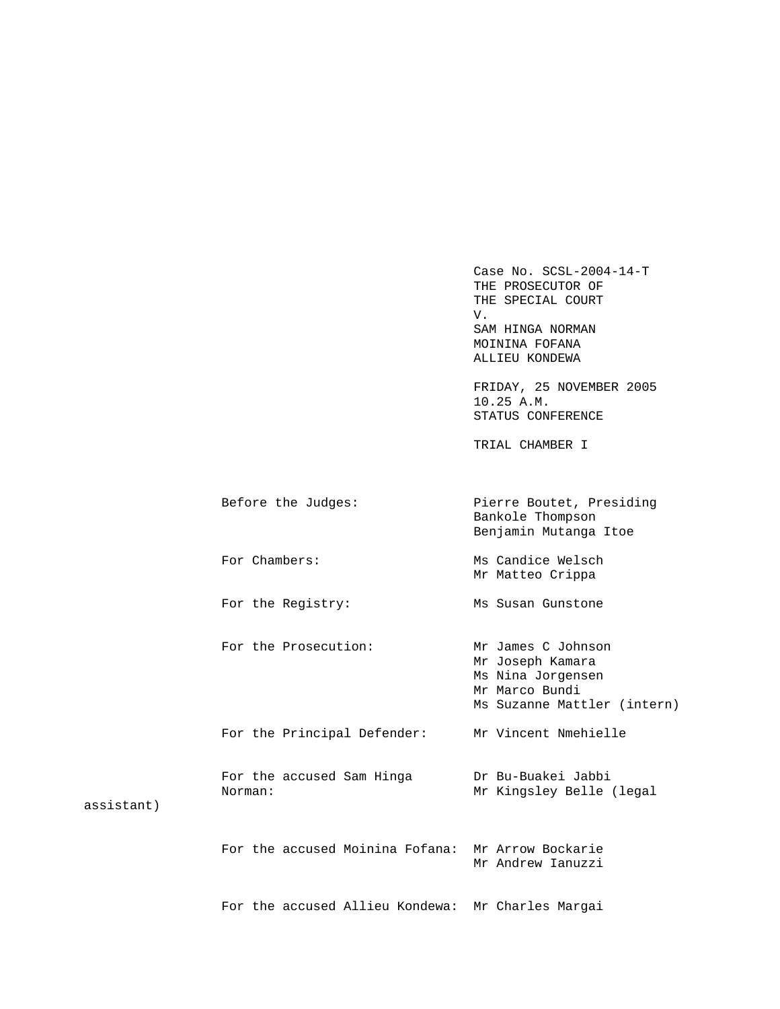Case No. SCSL-2004-14-T THE PROSECUTOR OF THE SPECIAL COURT V. SAM HINGA NORMAN MOININA FOFANA ALLIEU KONDEWA FRIDAY, 25 NOVEMBER 2005 10.25 A.M. STATUS CONFERENCE TRIAL CHAMBER I Before the Judges: Pierre Boutet, Presiding Bankole Thompson Benjamin Mutanga Itoe For Chambers: Ms Candice Welsch Mr Matteo Crippa For the Registry: Ms Susan Gunstone For the Prosecution: Mr James C Johnson Mr Joseph Kamara Ms Nina Jorgensen Mr Marco Bundi Ms Suzanne Mattler (intern) For the Principal Defender: Mr Vincent Nmehielle For the accused Sam Hinga Dr Bu-Buakei Jabbi<br>Norman: Mr Kingsley Belle Mr Kingsley Belle (legal For the accused Moinina Fofana: Mr Arrow Bockarie Mr Andrew Ianuzzi

For the accused Allieu Kondewa: Mr Charles Margai

assistant)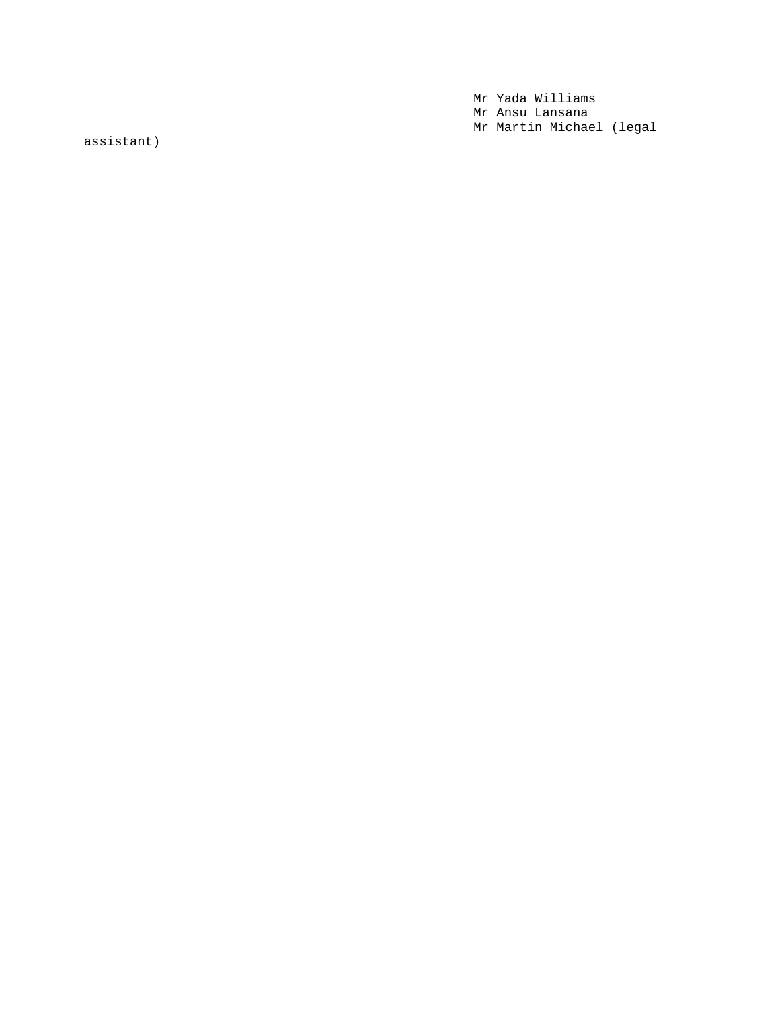Mr Yada Williams Mr Ansu Lansana Mr Martin Michael (legal

assistant)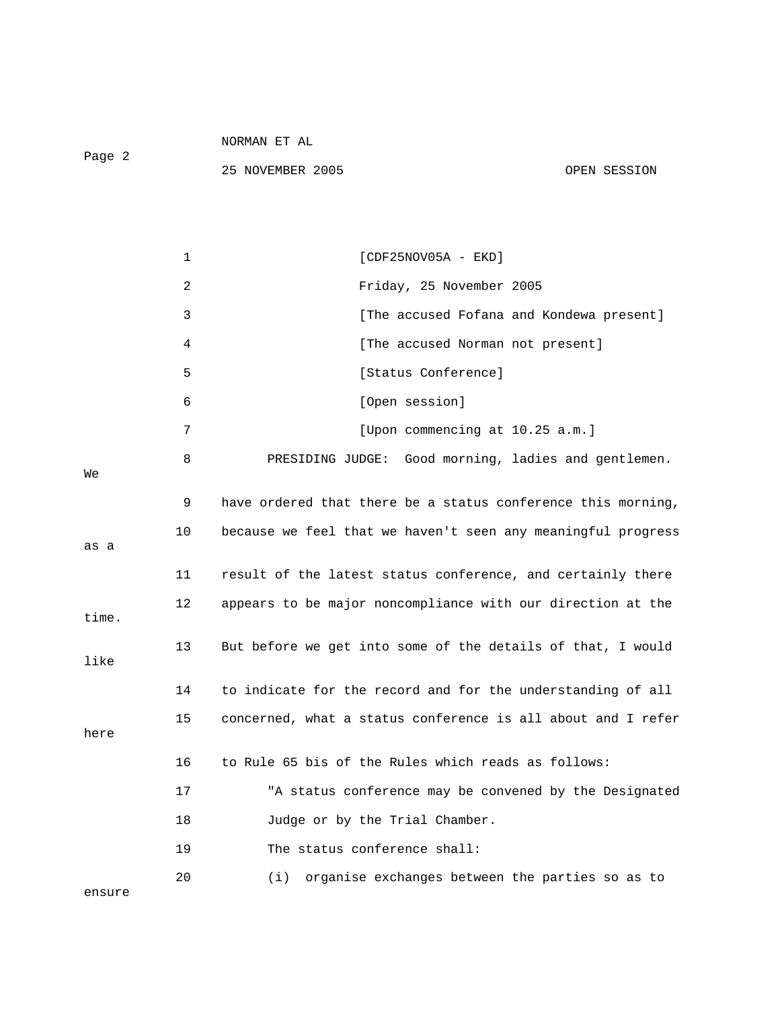Page 2

|        | 1  | $[CDF25NOV05A - EKD]$                                        |
|--------|----|--------------------------------------------------------------|
|        | 2  | Friday, 25 November 2005                                     |
|        | 3  | [The accused Fofana and Kondewa present]                     |
|        | 4  | [The accused Norman not present]                             |
|        | 5  | [Status Conference]                                          |
|        | 6  | [Open session]                                               |
|        | 7  | [Upon commencing at 10.25 a.m.]                              |
| Wе     | 8  | PRESIDING JUDGE: Good morning, ladies and gentlemen.         |
|        | 9  | have ordered that there be a status conference this morning, |
| as a   | 10 | because we feel that we haven't seen any meaningful progress |
|        | 11 | result of the latest status conference, and certainly there  |
| time.  | 12 | appears to be major noncompliance with our direction at the  |
| like   | 13 | But before we get into some of the details of that, I would  |
|        | 14 | to indicate for the record and for the understanding of all  |
| here   | 15 | concerned, what a status conference is all about and I refer |
|        | 16 | to Rule 65 bis of the Rules which reads as follows:          |
|        | 17 | "A status conference may be convened by the Designated       |
|        | 18 | Judge or by the Trial Chamber.                               |
|        | 19 | The status conference shall:                                 |
| ensure | 20 | organise exchanges between the parties so as to<br>(i)       |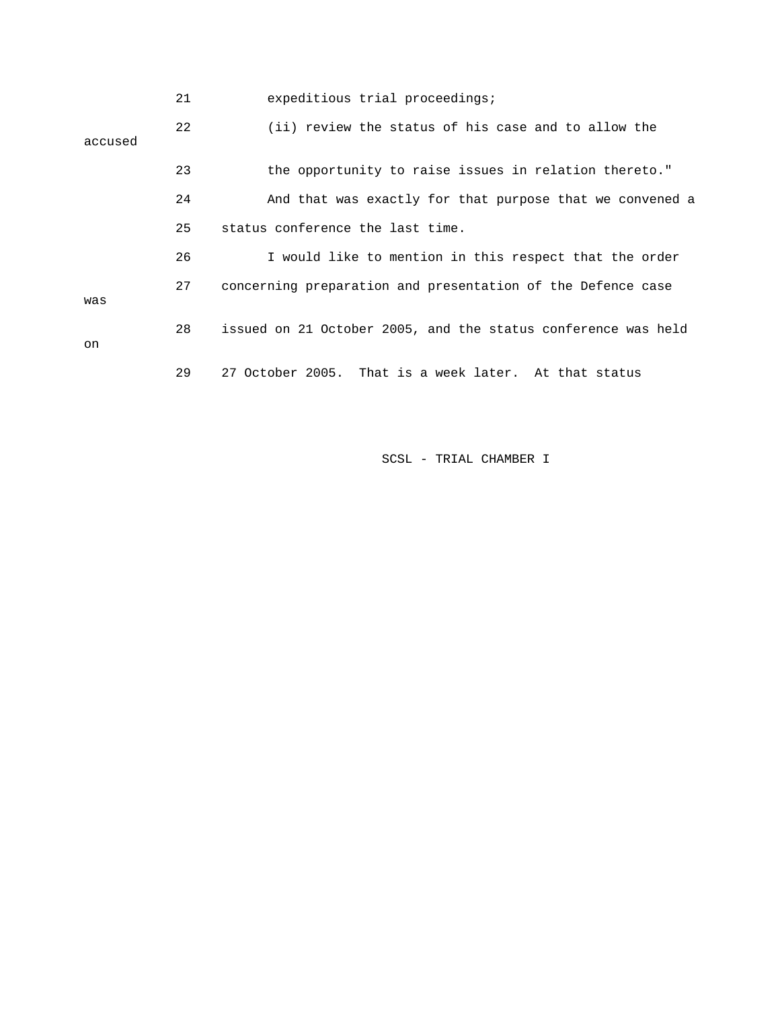|         | 21 | expeditious trial proceedings;                                |
|---------|----|---------------------------------------------------------------|
| accused | 22 | (ii) review the status of his case and to allow the           |
|         | 23 | the opportunity to raise issues in relation thereto."         |
|         | 24 | And that was exactly for that purpose that we convened a      |
|         | 25 | status conference the last time.                              |
|         | 26 | I would like to mention in this respect that the order        |
| was     | 27 | concerning preparation and presentation of the Defence case   |
| on      | 28 | issued on 21 October 2005, and the status conference was held |
|         | 29 | 27 October 2005. That is a week later. At that status         |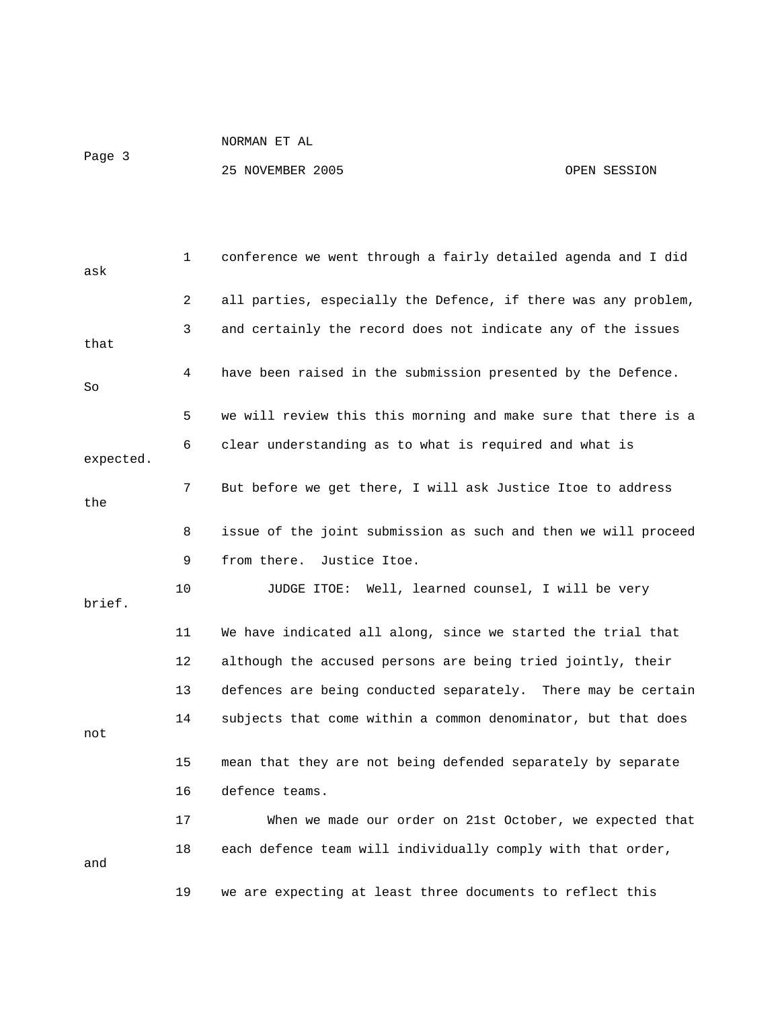Page 3

| ask       | 1  | conference we went through a fairly detailed agenda and I did  |
|-----------|----|----------------------------------------------------------------|
|           | 2  | all parties, especially the Defence, if there was any problem, |
| that      | 3  | and certainly the record does not indicate any of the issues   |
| So        | 4  | have been raised in the submission presented by the Defence.   |
|           | 5  | we will review this this morning and make sure that there is a |
| expected. | 6  | clear understanding as to what is required and what is         |
| the       | 7  | But before we get there, I will ask Justice Itoe to address    |
|           | 8  | issue of the joint submission as such and then we will proceed |
|           | 9  | from there. Justice Itoe.                                      |
| brief.    | 10 | JUDGE ITOE: Well, learned counsel, I will be very              |
|           | 11 | We have indicated all along, since we started the trial that   |
|           | 12 | although the accused persons are being tried jointly, their    |
|           | 13 | defences are being conducted separately. There may be certain  |
| not       | 14 | subjects that come within a common denominator, but that does  |
|           | 15 | mean that they are not being defended separately by separate   |
|           | 16 | defence teams.                                                 |
|           | 17 | When we made our order on 21st October, we expected that       |
| and       | 18 | each defence team will individually comply with that order,    |
|           | 19 | we are expecting at least three documents to reflect this      |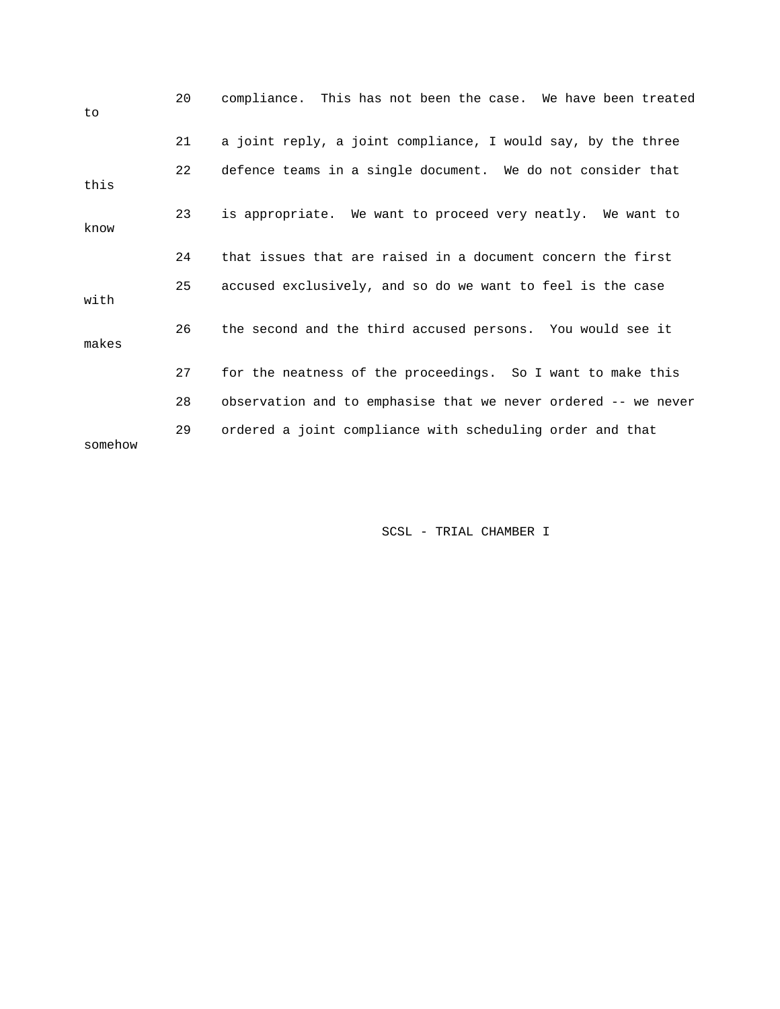| to      | 20 | compliance. This has not been the case. We have been treated   |
|---------|----|----------------------------------------------------------------|
|         | 21 | a joint reply, a joint compliance, I would say, by the three   |
| this    | 22 | defence teams in a single document. We do not consider that    |
| know    | 23 | is appropriate. We want to proceed very neatly. We want to     |
|         | 24 | that issues that are raised in a document concern the first    |
| with    | 25 | accused exclusively, and so do we want to feel is the case     |
| makes   | 26 | the second and the third accused persons. You would see it     |
|         | 27 | for the neatness of the proceedings. So I want to make this    |
|         | 28 | observation and to emphasise that we never ordered -- we never |
| somehow | 29 | ordered a joint compliance with scheduling order and that      |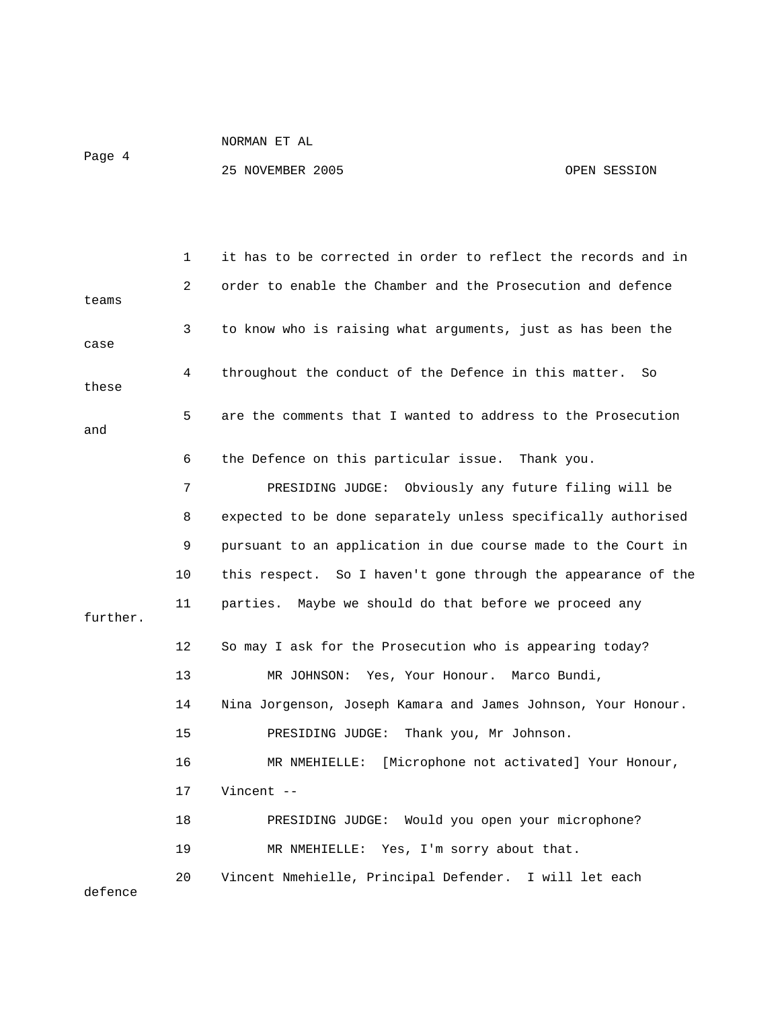Page 4

|          | 1  | it has to be corrected in order to reflect the records and in |
|----------|----|---------------------------------------------------------------|
| teams    | 2  | order to enable the Chamber and the Prosecution and defence   |
| case     | 3  | to know who is raising what arguments, just as has been the   |
| these    | 4  | throughout the conduct of the Defence in this matter.<br>So   |
| and      | 5  | are the comments that I wanted to address to the Prosecution  |
|          | 6  | the Defence on this particular issue. Thank you.              |
|          | 7  | Obviously any future filing will be<br>PRESIDING JUDGE:       |
|          | 8  | expected to be done separately unless specifically authorised |
|          | 9  | pursuant to an application in due course made to the Court in |
|          | 10 | this respect. So I haven't gone through the appearance of the |
| further. | 11 | Maybe we should do that before we proceed any<br>parties.     |
|          | 12 | So may I ask for the Prosecution who is appearing today?      |
|          | 13 | MR JOHNSON: Yes, Your Honour.<br>Marco Bundi,                 |
|          | 14 | Nina Jorgenson, Joseph Kamara and James Johnson, Your Honour. |
|          | 15 | PRESIDING JUDGE: Thank you, Mr Johnson.                       |
|          | 16 | MR NMEHIELLE:<br>[Microphone not activated] Your Honour,      |
|          | 17 | Vincent $-$                                                   |
|          | 18 | PRESIDING JUDGE: Would you open your microphone?              |
|          | 19 | MR NMEHIELLE: Yes, I'm sorry about that.                      |
| defence  | 20 | Vincent Nmehielle, Principal Defender. I will let each        |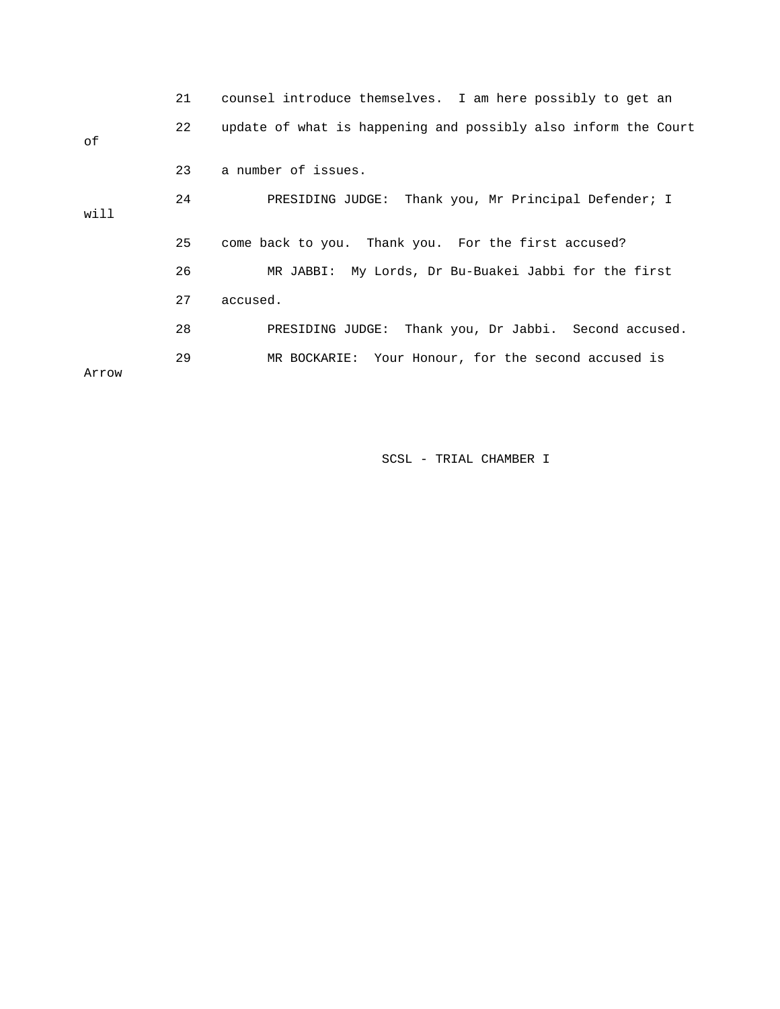|       | 21 | counsel introduce themselves. I am here possibly to get an     |
|-------|----|----------------------------------------------------------------|
| оf    | 22 | update of what is happening and possibly also inform the Court |
|       | 23 | a number of issues.                                            |
| will  | 24 | PRESIDING JUDGE: Thank you, Mr Principal Defender; I           |
|       | 25 | come back to you. Thank you. For the first accused?            |
|       | 26 | MR JABBI: My Lords, Dr Bu-Buakei Jabbi for the first           |
|       | 27 | accused.                                                       |
|       | 28 | PRESIDING JUDGE: Thank you, Dr Jabbi. Second accused.          |
| Arrow | 29 | MR BOCKARIE: Your Honour, for the second accused is            |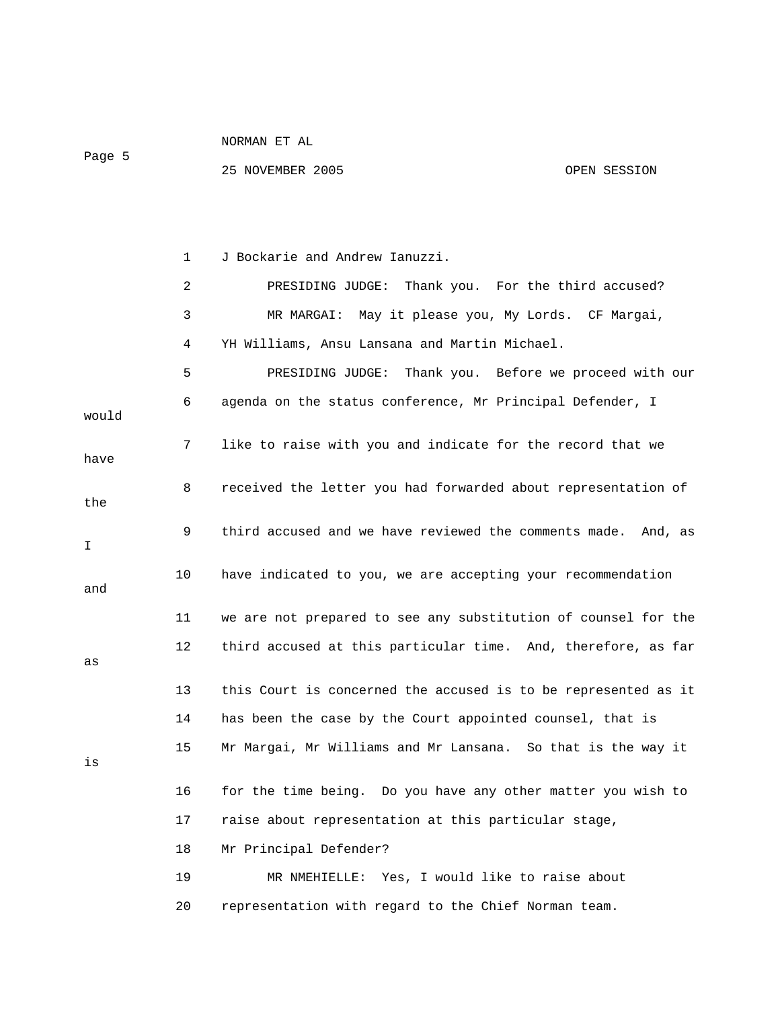| NORMAN ET<br>AL |
|-----------------|
|                 |

Page 5

25 NOVEMBER 2005 OPEN SESSION

1 J Bockarie and Andrew Ianuzzi.

 2 PRESIDING JUDGE: Thank you. For the third accused? 3 MR MARGAI: May it please you, My Lords. CF Margai, 4 YH Williams, Ansu Lansana and Martin Michael. 5 PRESIDING JUDGE: Thank you. Before we proceed with our 6 agenda on the status conference, Mr Principal Defender, I would 7 like to raise with you and indicate for the record that we have 8 received the letter you had forwarded about representation of the 9 third accused and we have reviewed the comments made. And, as I 10 have indicated to you, we are accepting your recommendation and 11 we are not prepared to see any substitution of counsel for the 12 third accused at this particular time. And, therefore, as far as 13 this Court is concerned the accused is to be represented as it 14 has been the case by the Court appointed counsel, that is 15 Mr Margai, Mr Williams and Mr Lansana. So that is the way it is 16 for the time being. Do you have any other matter you wish to 17 raise about representation at this particular stage, 18 Mr Principal Defender? 19 MR NMEHIELLE: Yes, I would like to raise about 20 representation with regard to the Chief Norman team.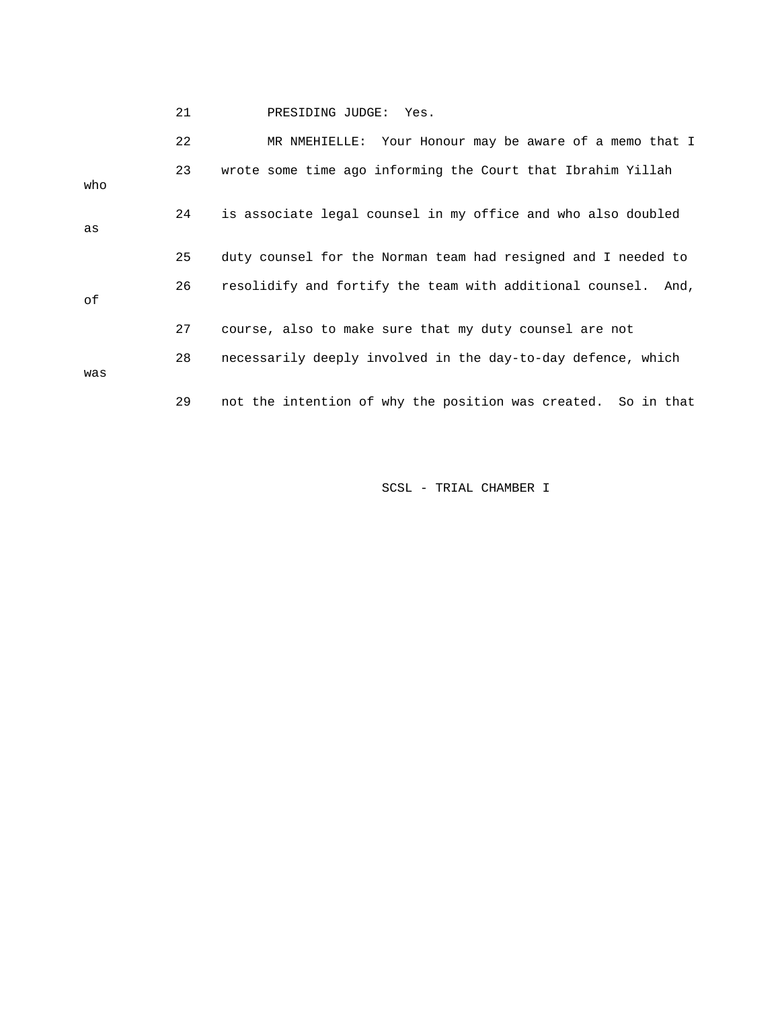21 PRESIDING JUDGE: Yes. 22 MR NMEHIELLE: Your Honour may be aware of a memo that I 23 wrote some time ago informing the Court that Ibrahim Yillah who 24 is associate legal counsel in my office and who also doubled as 25 duty counsel for the Norman team had resigned and I needed to 26 resolidify and fortify the team with additional counsel. And, of 27 course, also to make sure that my duty counsel are not 28 necessarily deeply involved in the day-to-day defence, which was 29 not the intention of why the position was created. So in that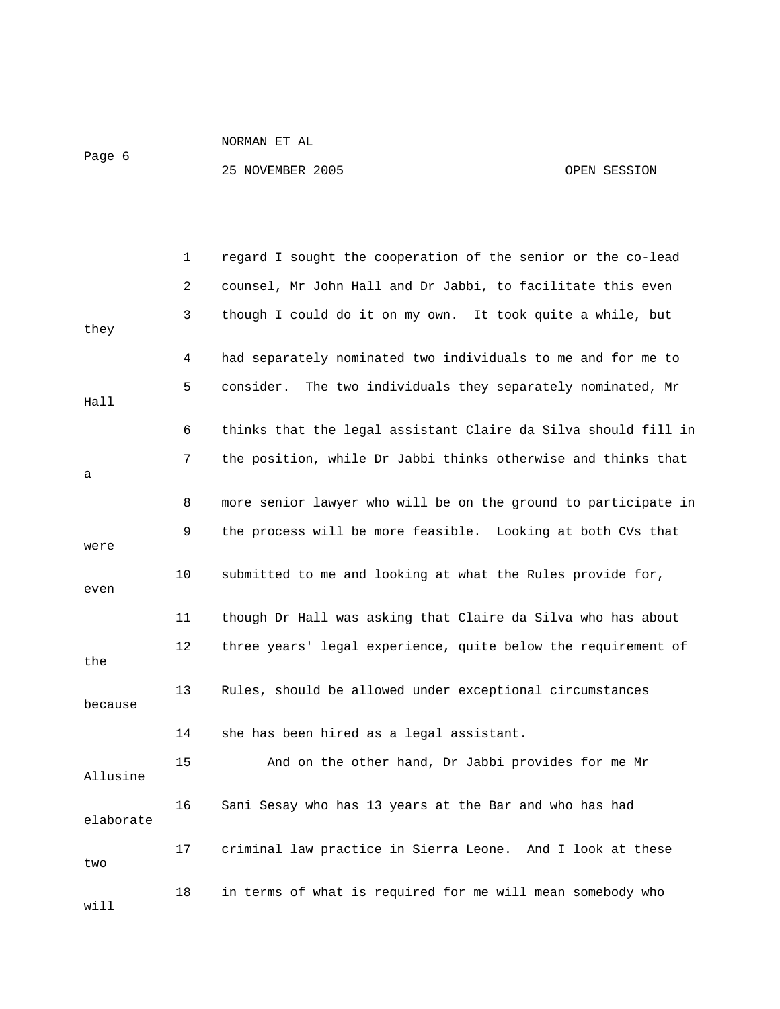Page 6

|           | 1  | regard I sought the cooperation of the senior or the co-lead   |
|-----------|----|----------------------------------------------------------------|
|           | 2  | counsel, Mr John Hall and Dr Jabbi, to facilitate this even    |
| they      | 3  | though I could do it on my own. It took quite a while, but     |
|           | 4  | had separately nominated two individuals to me and for me to   |
| Hall      | 5  | consider.<br>The two individuals they separately nominated, Mr |
|           | 6  | thinks that the legal assistant Claire da Silva should fill in |
| а         | 7  | the position, while Dr Jabbi thinks otherwise and thinks that  |
|           | 8  | more senior lawyer who will be on the ground to participate in |
| were      | 9  | the process will be more feasible. Looking at both CVs that    |
| even      | 10 | submitted to me and looking at what the Rules provide for,     |
|           | 11 | though Dr Hall was asking that Claire da Silva who has about   |
| the       | 12 | three years' legal experience, quite below the requirement of  |
| because   | 13 | Rules, should be allowed under exceptional circumstances       |
|           | 14 | she has been hired as a legal assistant.                       |
| Allusine  | 15 | And on the other hand, Dr Jabbi provides for me Mr             |
| elaborate | 16 | Sani Sesay who has 13 years at the Bar and who has had         |
| two       | 17 | criminal law practice in Sierra Leone. And I look at these     |
| will      | 18 | in terms of what is required for me will mean somebody who     |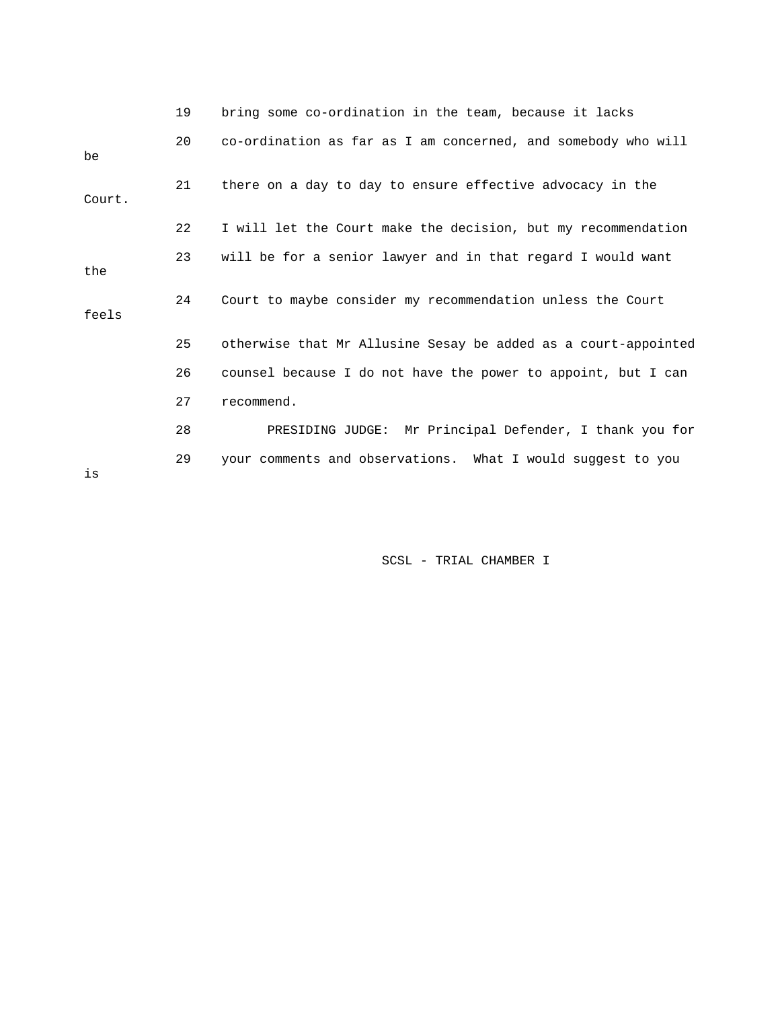|        | 19 | bring some co-ordination in the team, because it lacks         |
|--------|----|----------------------------------------------------------------|
| be     | 20 | co-ordination as far as I am concerned, and somebody who will  |
| Court. | 21 | there on a day to day to ensure effective advocacy in the      |
|        | 22 | I will let the Court make the decision, but my recommendation  |
| the    | 23 | will be for a senior lawyer and in that regard I would want    |
| feels  | 24 | Court to maybe consider my recommendation unless the Court     |
|        | 25 | otherwise that Mr Allusine Sesay be added as a court-appointed |
|        | 26 | counsel because I do not have the power to appoint, but I can  |
|        | 27 | recommend.                                                     |
|        | 28 | PRESIDING JUDGE: Mr Principal Defender, I thank you for        |
| is     | 29 | your comments and observations. What I would suggest to you    |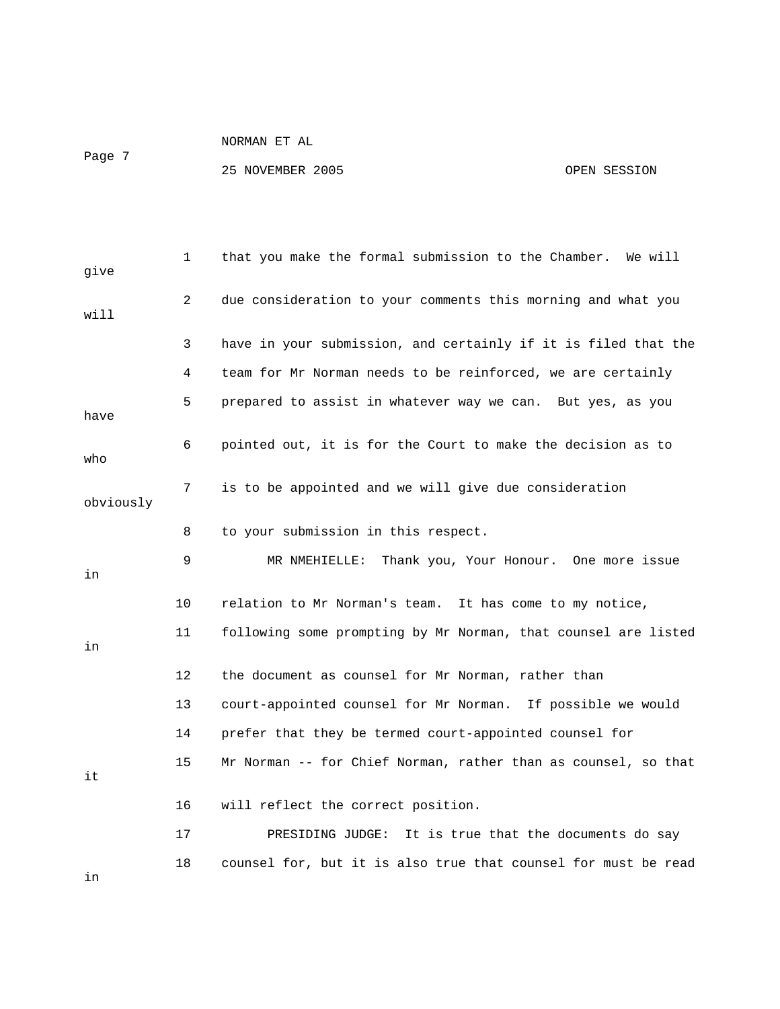Page 7

| give      | 1  | that you make the formal submission to the Chamber.<br>We will |
|-----------|----|----------------------------------------------------------------|
| will      | 2  | due consideration to your comments this morning and what you   |
|           | 3  | have in your submission, and certainly if it is filed that the |
|           | 4  | team for Mr Norman needs to be reinforced, we are certainly    |
| have      | 5  | prepared to assist in whatever way we can. But yes, as you     |
| who       | 6  | pointed out, it is for the Court to make the decision as to    |
| obviously | 7  | is to be appointed and we will give due consideration          |
|           | 8  | to your submission in this respect.                            |
| in        | 9  | MR NMEHIELLE: Thank you, Your Honour. One more issue           |
|           | 10 | relation to Mr Norman's team. It has come to my notice,        |
| in        | 11 | following some prompting by Mr Norman, that counsel are listed |
|           | 12 | the document as counsel for Mr Norman, rather than             |
|           | 13 | court-appointed counsel for Mr Norman. If possible we would    |
|           | 14 | prefer that they be termed court-appointed counsel for         |
| it        | 15 | Mr Norman -- for Chief Norman, rather than as counsel, so that |
|           | 16 | will reflect the correct position.                             |
|           | 17 | PRESIDING JUDGE:<br>It is true that the documents do say       |
| in        | 18 | counsel for, but it is also true that counsel for must be read |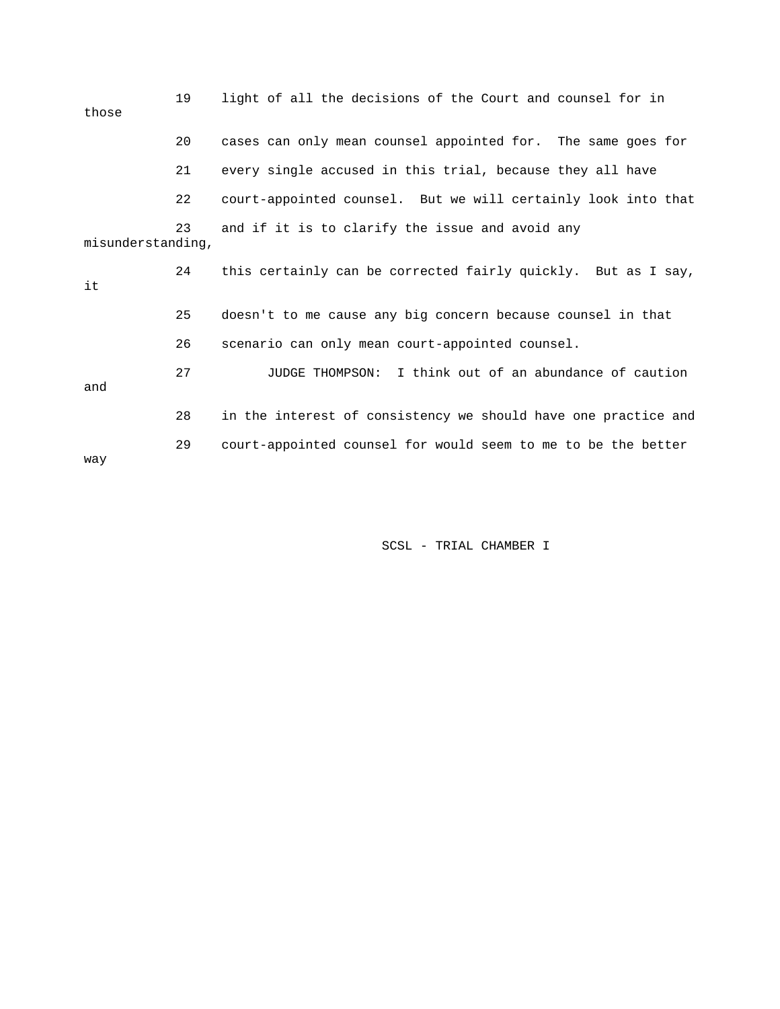| those             | 19 | light of all the decisions of the Court and counsel for in     |
|-------------------|----|----------------------------------------------------------------|
|                   | 20 | cases can only mean counsel appointed for. The same goes for   |
|                   | 21 | every single accused in this trial, because they all have      |
|                   | 22 | court-appointed counsel. But we will certainly look into that  |
| misunderstanding, | 23 | and if it is to clarify the issue and avoid any                |
| it                | 24 | this certainly can be corrected fairly quickly. But as I say,  |
|                   | 25 | doesn't to me cause any big concern because counsel in that    |
|                   | 26 | scenario can only mean court-appointed counsel.                |
| and               | 27 | I think out of an abundance of caution<br>JUDGE THOMPSON:      |
|                   | 28 | in the interest of consistency we should have one practice and |
| way               | 29 | court-appointed counsel for would seem to me to be the better  |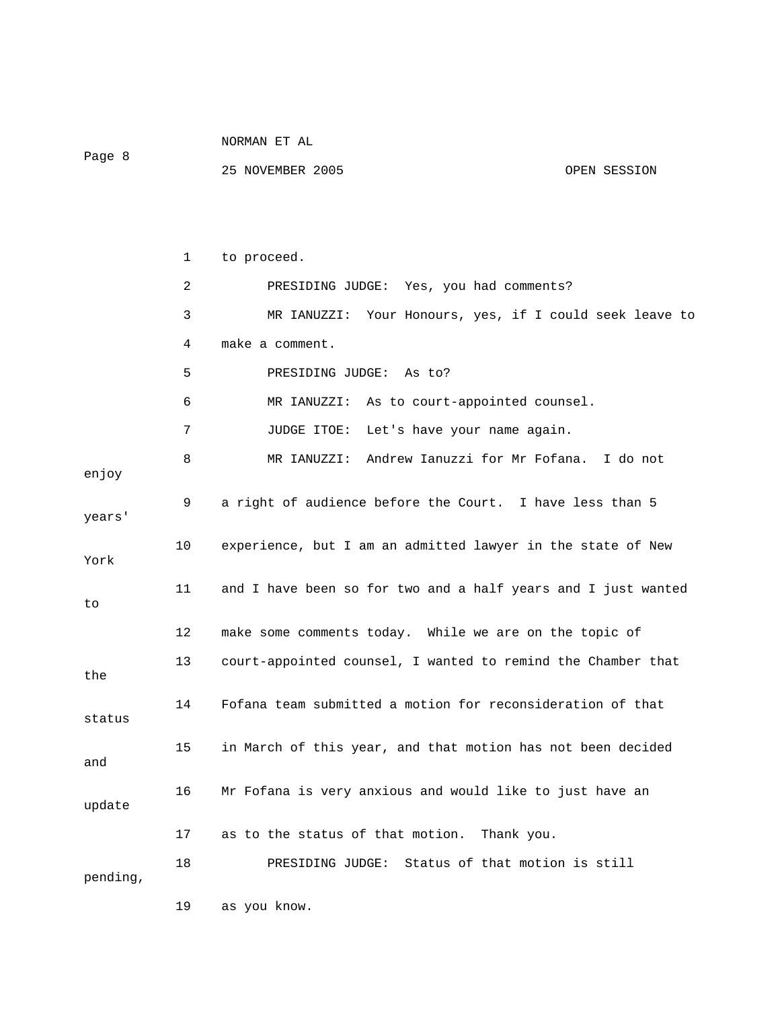| Page 8   |    | 25 NOVEMBER 2005                                              | OPEN SESSION |
|----------|----|---------------------------------------------------------------|--------------|
|          |    |                                                               |              |
|          | 1  | to proceed.                                                   |              |
|          | 2  | PRESIDING JUDGE: Yes, you had comments?                       |              |
|          | 3  | MR IANUZZI: Your Honours, yes, if I could seek leave to       |              |
|          | 4  | make a comment.                                               |              |
|          | 5  | PRESIDING JUDGE: As to?                                       |              |
|          | 6  | MR IANUZZI: As to court-appointed counsel.                    |              |
|          | 7  | JUDGE ITOE:<br>Let's have your name again.                    |              |
| enjoy    | 8  | MR IANUZZI: Andrew Ianuzzi for Mr Fofana. I do not            |              |
| years'   | 9  | a right of audience before the Court. I have less than 5      |              |
| York     | 10 | experience, but I am an admitted lawyer in the state of New   |              |
| to       | 11 | and I have been so for two and a half years and I just wanted |              |
|          | 12 | make some comments today. While we are on the topic of        |              |
| the      | 13 | court-appointed counsel, I wanted to remind the Chamber that  |              |
| status   | 14 | Fofana team submitted a motion for reconsideration of that    |              |
| and      | 15 | in March of this year, and that motion has not been decided   |              |
| update   | 16 | Mr Fofana is very anxious and would like to just have an      |              |
|          | 17 | as to the status of that motion.<br>Thank you.                |              |
| pending, | 18 | Status of that motion is still<br>PRESIDING JUDGE:            |              |
|          | 19 | as you know.                                                  |              |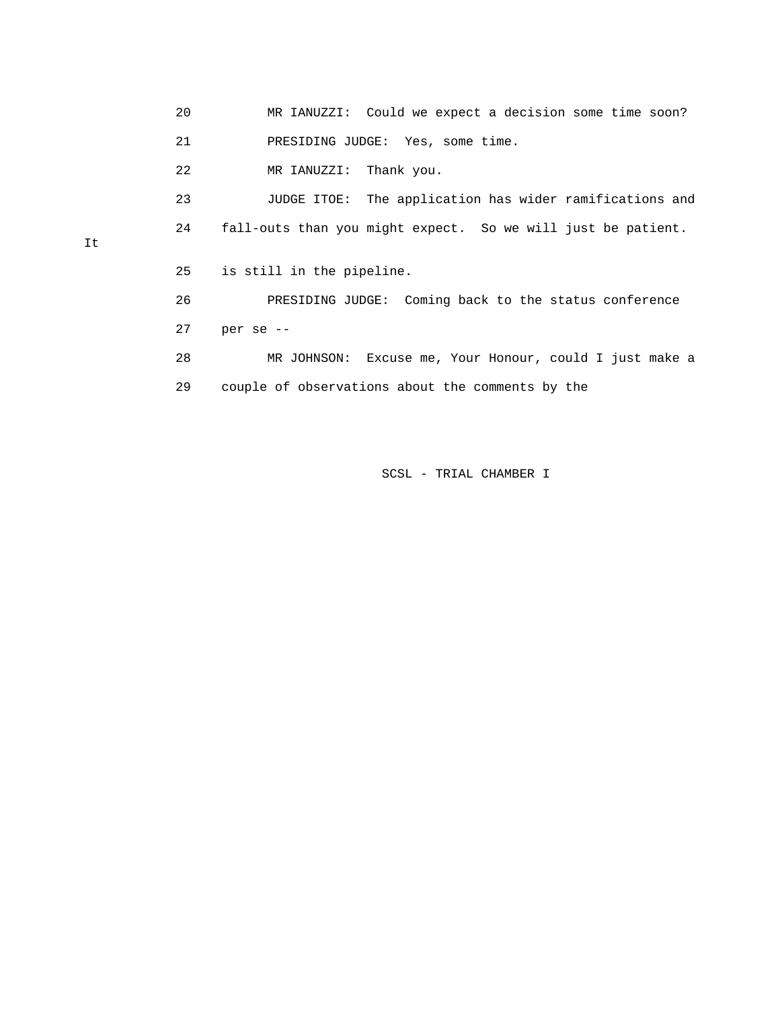20 MR IANUZZI: Could we expect a decision some time soon? 21 PRESIDING JUDGE: Yes, some time.

22 MR IANUZZI: Thank you.

 23 JUDGE ITOE: The application has wider ramifications and 24 fall-outs than you might expect. So we will just be patient.

25 is still in the pipeline.

 26 PRESIDING JUDGE: Coming back to the status conference 27 per se --

 28 MR JOHNSON: Excuse me, Your Honour, could I just make a 29 couple of observations about the comments by the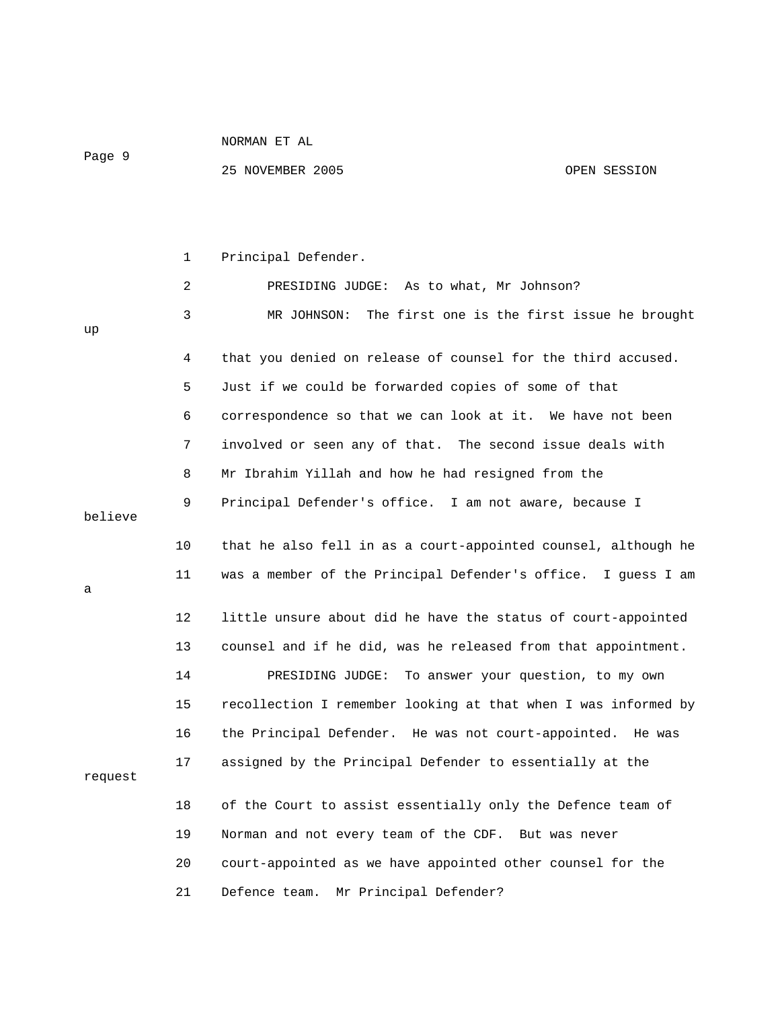Page 9

|         | 1              | Principal Defender.                                            |
|---------|----------------|----------------------------------------------------------------|
|         | $\overline{2}$ | PRESIDING JUDGE: As to what, Mr Johnson?                       |
| up      | 3              | The first one is the first issue he brought<br>MR JOHNSON:     |
|         | 4              | that you denied on release of counsel for the third accused.   |
|         | 5              | Just if we could be forwarded copies of some of that           |
|         | 6              | correspondence so that we can look at it. We have not been     |
|         | 7              | involved or seen any of that. The second issue deals with      |
|         | 8              | Mr Ibrahim Yillah and how he had resigned from the             |
| believe | 9              | Principal Defender's office. I am not aware, because I         |
|         | 10             | that he also fell in as a court-appointed counsel, although he |
| a       | 11             | was a member of the Principal Defender's office. I guess I am  |
|         | 12             | little unsure about did he have the status of court-appointed  |
|         | 13             | counsel and if he did, was he released from that appointment.  |
|         | 14             | PRESIDING JUDGE: To answer your question, to my own            |
|         | 15             | recollection I remember looking at that when I was informed by |
|         | 16             | the Principal Defender. He was not court-appointed. He was     |
| request | 17             | assigned by the Principal Defender to essentially at the       |
|         | 18             | of the Court to assist essentially only the Defence team of    |
|         | 19             | Norman and not every team of the CDF. But was never            |
|         | 20             | court-appointed as we have appointed other counsel for the     |
|         | 21             | Defence team. Mr Principal Defender?                           |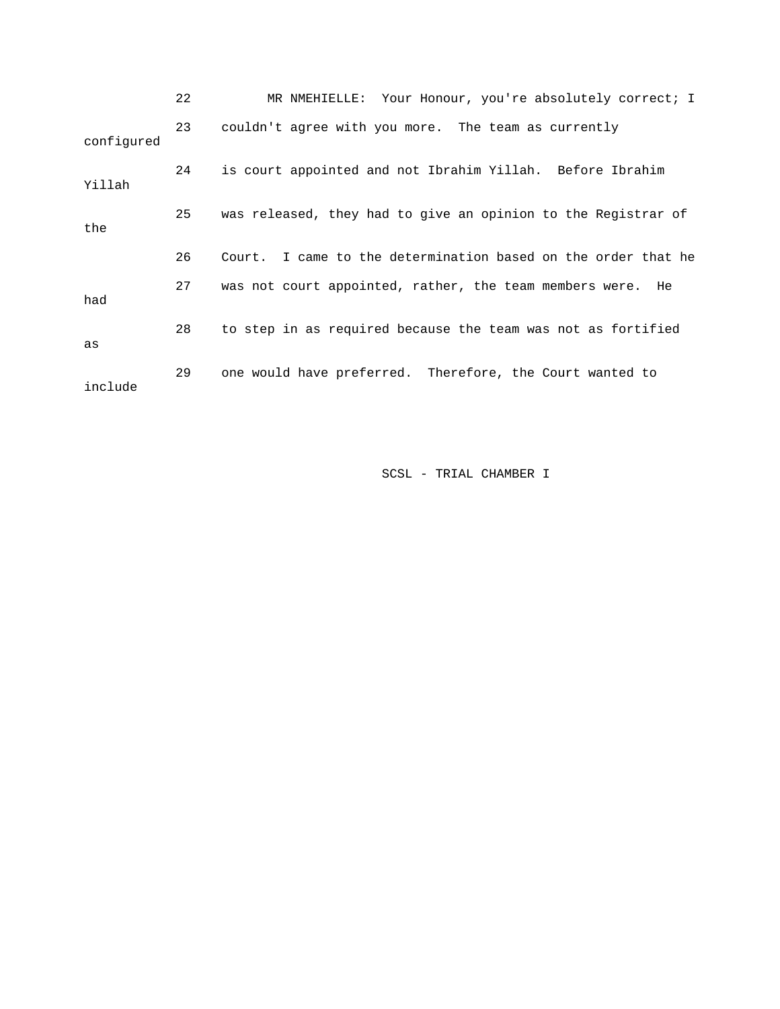|            | 22 | MR NMEHIELLE: Your Honour, you're absolutely correct; I       |
|------------|----|---------------------------------------------------------------|
| configured | 23 | couldn't agree with you more. The team as currently           |
| Yillah     | 24 | is court appointed and not Ibrahim Yillah. Before Ibrahim     |
| the        | 25 | was released, they had to give an opinion to the Registrar of |
|            | 26 | Court. I came to the determination based on the order that he |
| had        | 27 | was not court appointed, rather, the team members were. He    |
| as         | 28 | to step in as required because the team was not as fortified  |
| include    | 29 | one would have preferred. Therefore, the Court wanted to      |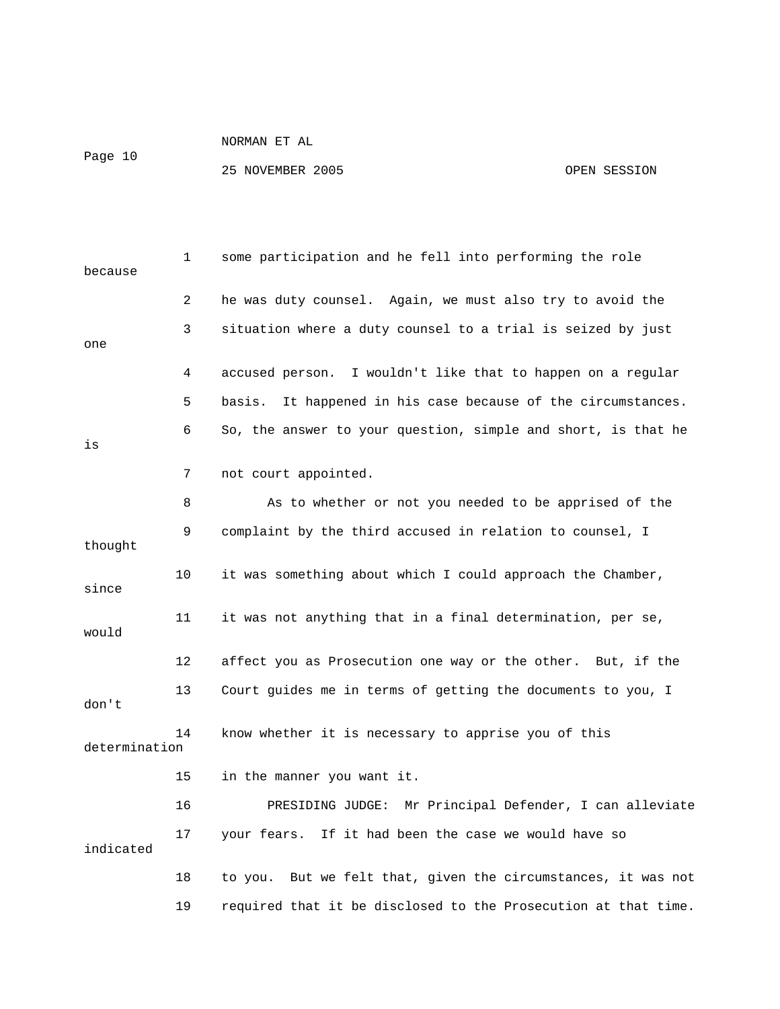Page 10

| because       | 1              | some participation and he fell into performing the role         |
|---------------|----------------|-----------------------------------------------------------------|
|               | $\overline{2}$ | he was duty counsel. Again, we must also try to avoid the       |
| one           | 3              | situation where a duty counsel to a trial is seized by just     |
|               | 4              | accused person. I wouldn't like that to happen on a regular     |
|               | 5              | It happened in his case because of the circumstances.<br>basis. |
| is            | 6              | So, the answer to your question, simple and short, is that he   |
|               | 7              | not court appointed.                                            |
|               | 8              | As to whether or not you needed to be apprised of the           |
| thought       | 9              | complaint by the third accused in relation to counsel, I        |
| since         | 10             | it was something about which I could approach the Chamber,      |
| would         | 11             | it was not anything that in a final determination, per se,      |
|               | 12             | affect you as Prosecution one way or the other. But, if the     |
| don't         | 13             | Court guides me in terms of getting the documents to you, I     |
| determination | 14             | know whether it is necessary to apprise you of this             |
|               | 15             | in the manner you want it.                                      |
|               | 16             | PRESIDING JUDGE: Mr Principal Defender, I can alleviate         |
| indicated     | 17             | your fears. If it had been the case we would have so            |
|               | 18             | to you. But we felt that, given the circumstances, it was not   |
|               | 19             | required that it be disclosed to the Prosecution at that time.  |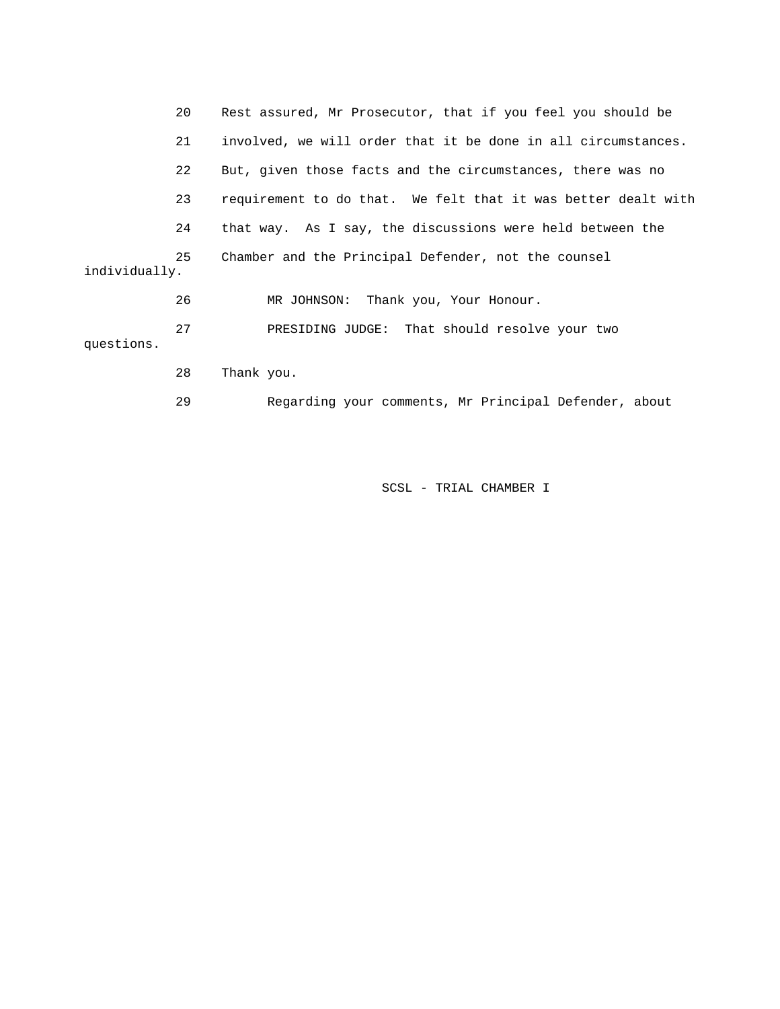|               | 20 | Rest assured, Mr Prosecutor, that if you feel you should be   |
|---------------|----|---------------------------------------------------------------|
|               | 21 | involved, we will order that it be done in all circumstances. |
|               | 22 | But, given those facts and the circumstances, there was no    |
|               | 23 | requirement to do that. We felt that it was better dealt with |
|               | 24 | that way. As I say, the discussions were held between the     |
| individually. | 25 | Chamber and the Principal Defender, not the counsel           |
|               | 26 | MR JOHNSON: Thank you, Your Honour.                           |
| questions.    | 27 | PRESIDING JUDGE: That should resolve your two                 |
|               | 28 | Thank you.                                                    |
|               | 29 | Regarding your comments, Mr Principal Defender, about         |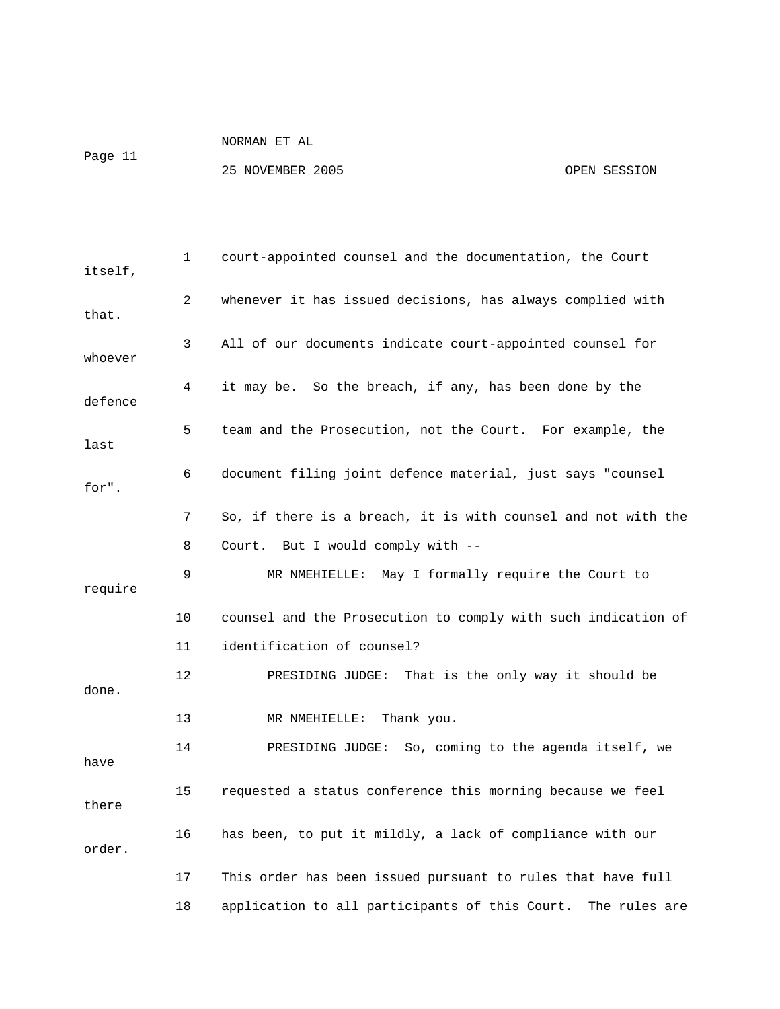Page 11

| itself, | 1  | court-appointed counsel and the documentation, the Court        |
|---------|----|-----------------------------------------------------------------|
| that.   | 2  | whenever it has issued decisions, has always complied with      |
| whoever | 3  | All of our documents indicate court-appointed counsel for       |
| defence | 4  | it may be. So the breach, if any, has been done by the          |
| last    | 5  | team and the Prosecution, not the Court. For example, the       |
| for".   | 6  | document filing joint defence material, just says "counsel      |
|         | 7  | So, if there is a breach, it is with counsel and not with the   |
|         | 8  | Court. But I would comply with --                               |
| require | 9  | MR NMEHIELLE: May I formally require the Court to               |
|         | 10 | counsel and the Prosecution to comply with such indication of   |
|         | 11 | identification of counsel?                                      |
| done.   | 12 | PRESIDING JUDGE: That is the only way it should be              |
|         | 13 | MR NMEHIELLE:<br>Thank you.                                     |
| have    | 14 | PRESIDING JUDGE: So, coming to the agenda itself, we            |
| there   | 15 | requested a status conference this morning because we feel      |
| order.  | 16 | has been, to put it mildly, a lack of compliance with our       |
|         | 17 | This order has been issued pursuant to rules that have full     |
|         | 18 | application to all participants of this Court.<br>The rules are |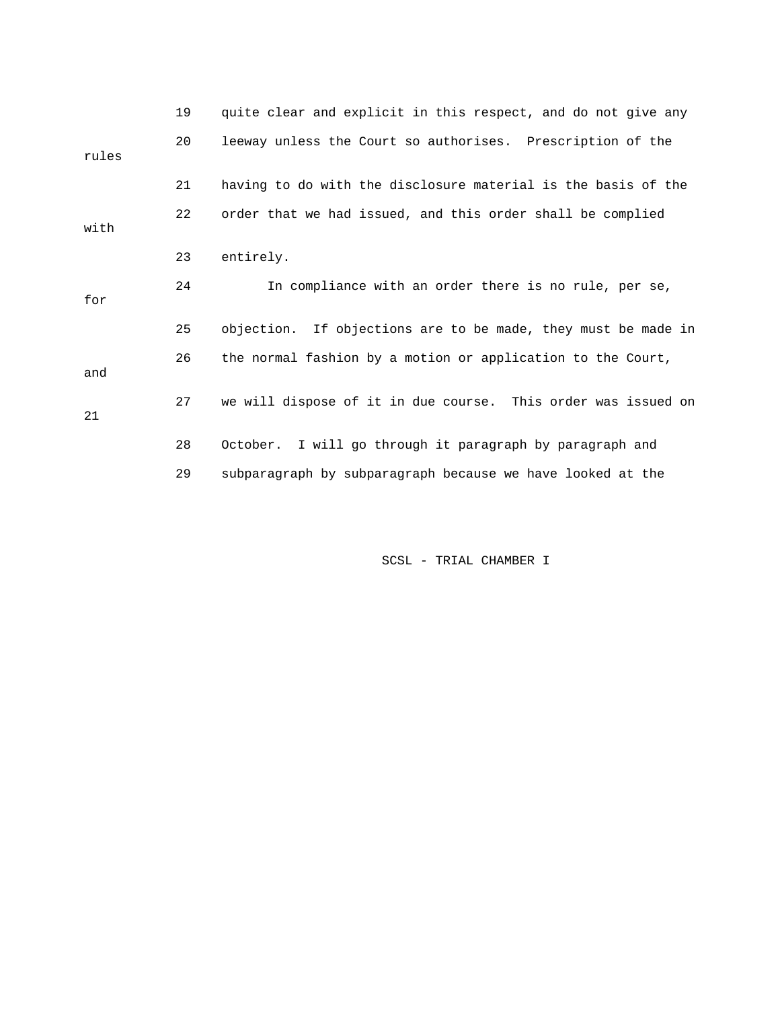|       | 19 | quite clear and explicit in this respect, and do not give any |
|-------|----|---------------------------------------------------------------|
| rules | 20 | leeway unless the Court so authorises. Prescription of the    |
|       | 21 | having to do with the disclosure material is the basis of the |
| with  | 22 | order that we had issued, and this order shall be complied    |
|       | 23 | entirely.                                                     |
| for   | 24 | In compliance with an order there is no rule, per se,         |
|       | 25 | objection. If objections are to be made, they must be made in |
| and   | 26 | the normal fashion by a motion or application to the Court,   |
| 21    | 27 | we will dispose of it in due course. This order was issued on |
|       | 28 | I will go through it paragraph by paragraph and<br>October.   |
|       | 29 | subparagraph by subparagraph because we have looked at the    |
|       |    |                                                               |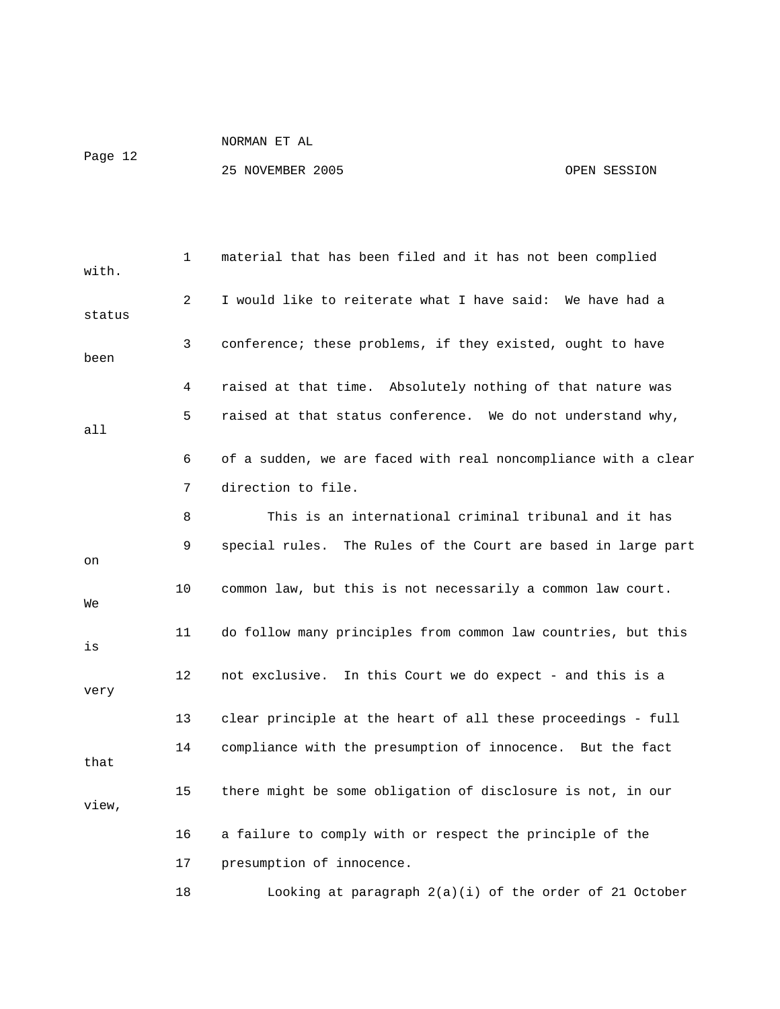Page 12

| with.  | 1  | material that has been filed and it has not been complied      |
|--------|----|----------------------------------------------------------------|
| status | 2  | I would like to reiterate what I have said: We have had a      |
| been   | 3  | conference; these problems, if they existed, ought to have     |
|        | 4  | raised at that time. Absolutely nothing of that nature was     |
| a11    | 5  | raised at that status conference. We do not understand why,    |
|        | 6  | of a sudden, we are faced with real noncompliance with a clear |
|        | 7  | direction to file.                                             |
|        | 8  | This is an international criminal tribunal and it has          |
| on     | 9  | special rules. The Rules of the Court are based in large part  |
| We     | 10 | common law, but this is not necessarily a common law court.    |
| is     | 11 | do follow many principles from common law countries, but this  |
| very   | 12 | not exclusive. In this Court we do expect - and this is a      |
|        | 13 | clear principle at the heart of all these proceedings - full   |
| that   | 14 | compliance with the presumption of innocence. But the fact     |
| view,  | 15 | there might be some obligation of disclosure is not, in our    |
|        | 16 | a failure to comply with or respect the principle of the       |
|        | 17 | presumption of innocence.                                      |
|        | 18 | Looking at paragraph 2(a)(i) of the order of 21 October        |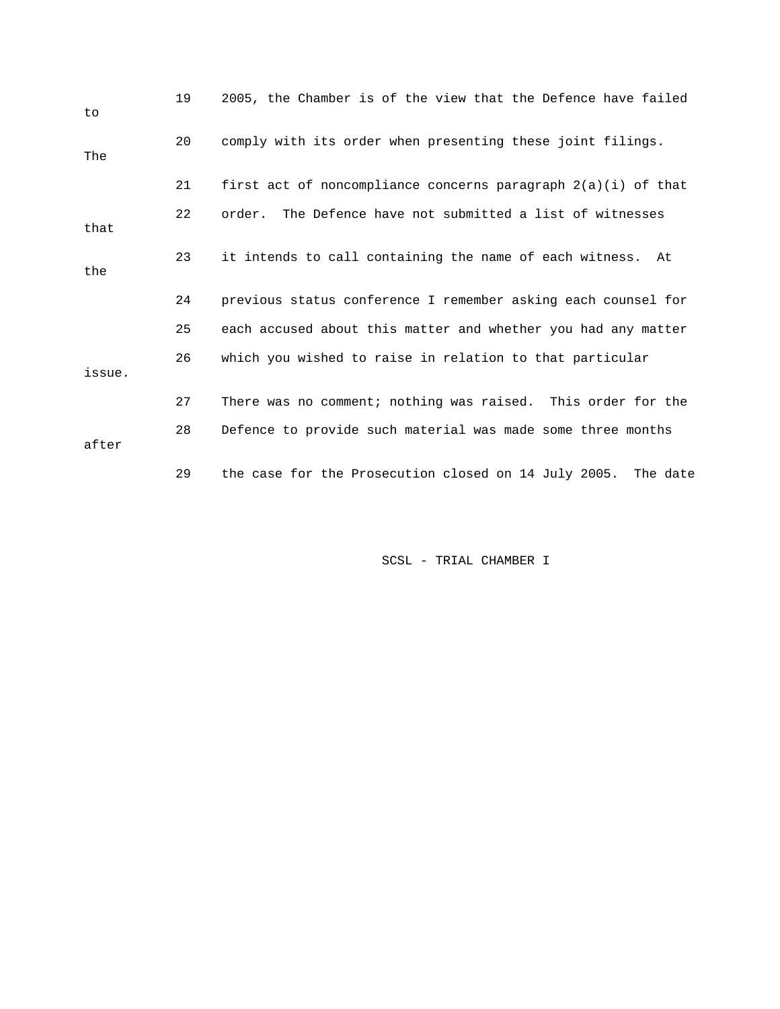| to     | 19 | 2005, the Chamber is of the view that the Defence have failed |
|--------|----|---------------------------------------------------------------|
| The    | 20 | comply with its order when presenting these joint filings.    |
|        | 21 | first act of noncompliance concerns paragraph 2(a)(i) of that |
| that   | 22 | order. The Defence have not submitted a list of witnesses     |
| the    | 23 | it intends to call containing the name of each witness. At    |
|        | 24 | previous status conference I remember asking each counsel for |
|        | 25 | each accused about this matter and whether you had any matter |
| issue. | 26 | which you wished to raise in relation to that particular      |
|        | 27 | There was no comment; nothing was raised. This order for the  |
| after  | 28 | Defence to provide such material was made some three months   |
|        | 29 | the case for the Prosecution closed on 14 July 2005. The date |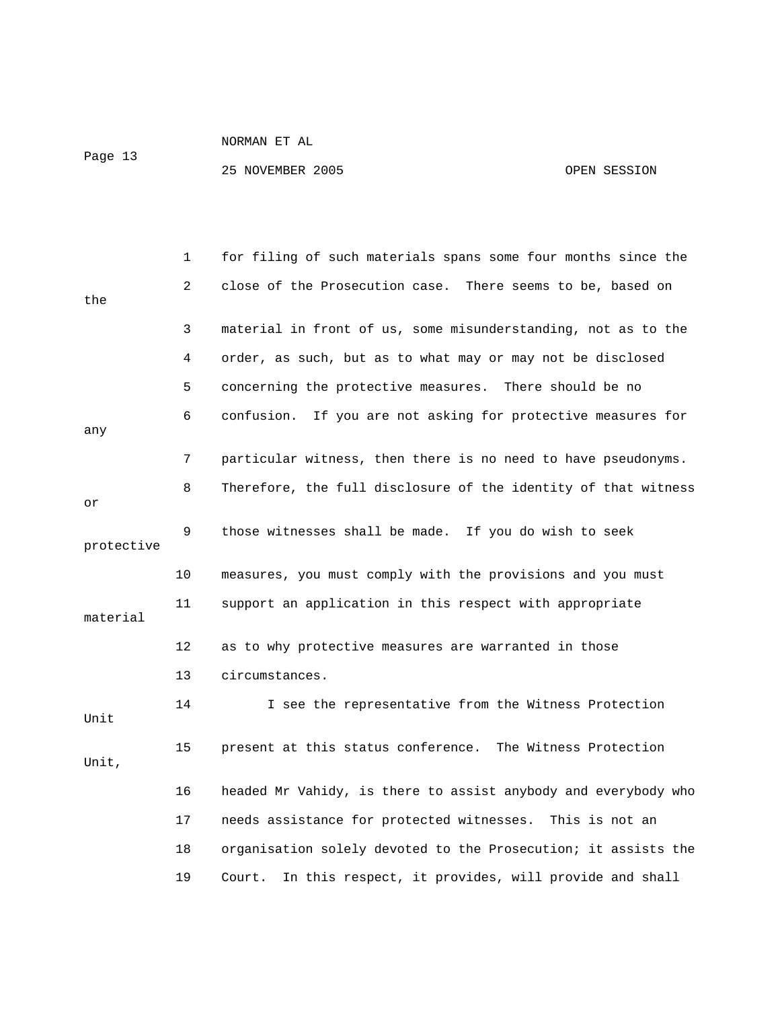Page 13

|            | 1  | for filing of such materials spans some four months since the  |
|------------|----|----------------------------------------------------------------|
| the        | 2  | close of the Prosecution case. There seems to be, based on     |
|            | 3  | material in front of us, some misunderstanding, not as to the  |
|            | 4  | order, as such, but as to what may or may not be disclosed     |
|            | 5  | concerning the protective measures. There should be no         |
| any        | 6  | confusion. If you are not asking for protective measures for   |
|            | 7  | particular witness, then there is no need to have pseudonyms.  |
| or         | 8  | Therefore, the full disclosure of the identity of that witness |
| protective | 9  | those witnesses shall be made. If you do wish to seek          |
|            | 10 | measures, you must comply with the provisions and you must     |
| material   | 11 | support an application in this respect with appropriate        |
|            | 12 | as to why protective measures are warranted in those           |
|            | 13 | circumstances.                                                 |
| Unit       | 14 | I see the representative from the Witness Protection           |
| Unit,      | 15 | present at this status conference. The Witness Protection      |
|            | 16 | headed Mr Vahidy, is there to assist anybody and everybody who |
|            | 17 | needs assistance for protected witnesses. This is not an       |
|            | 18 | organisation solely devoted to the Prosecution; it assists the |
|            | 19 | In this respect, it provides, will provide and shall<br>Court. |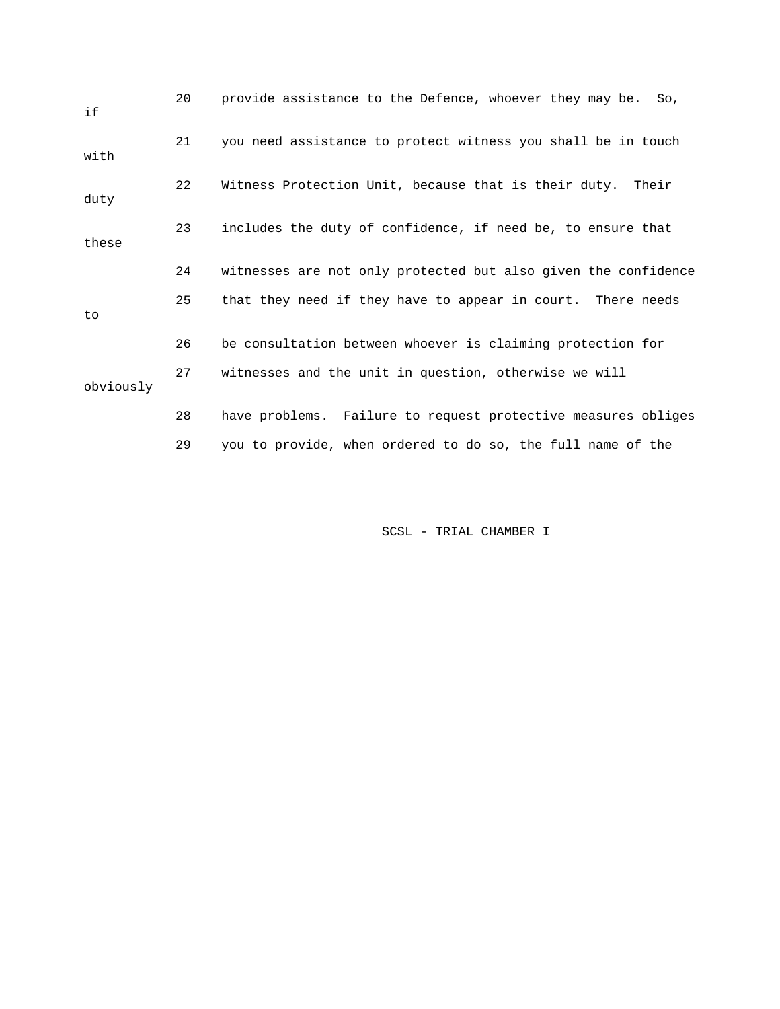| if        | 20 | provide assistance to the Defence, whoever they may be.<br>So. |
|-----------|----|----------------------------------------------------------------|
| with      | 21 | you need assistance to protect witness you shall be in touch   |
| duty      | 22 | Witness Protection Unit, because that is their duty. Their     |
| these     | 23 | includes the duty of confidence, if need be, to ensure that    |
|           | 24 | witnesses are not only protected but also given the confidence |
| to        | 25 | that they need if they have to appear in court. There needs    |
|           | 26 | be consultation between whoever is claiming protection for     |
| obviously | 27 | witnesses and the unit in question, otherwise we will          |
|           | 28 | have problems. Failure to request protective measures obliges  |
|           | 29 | you to provide, when ordered to do so, the full name of the    |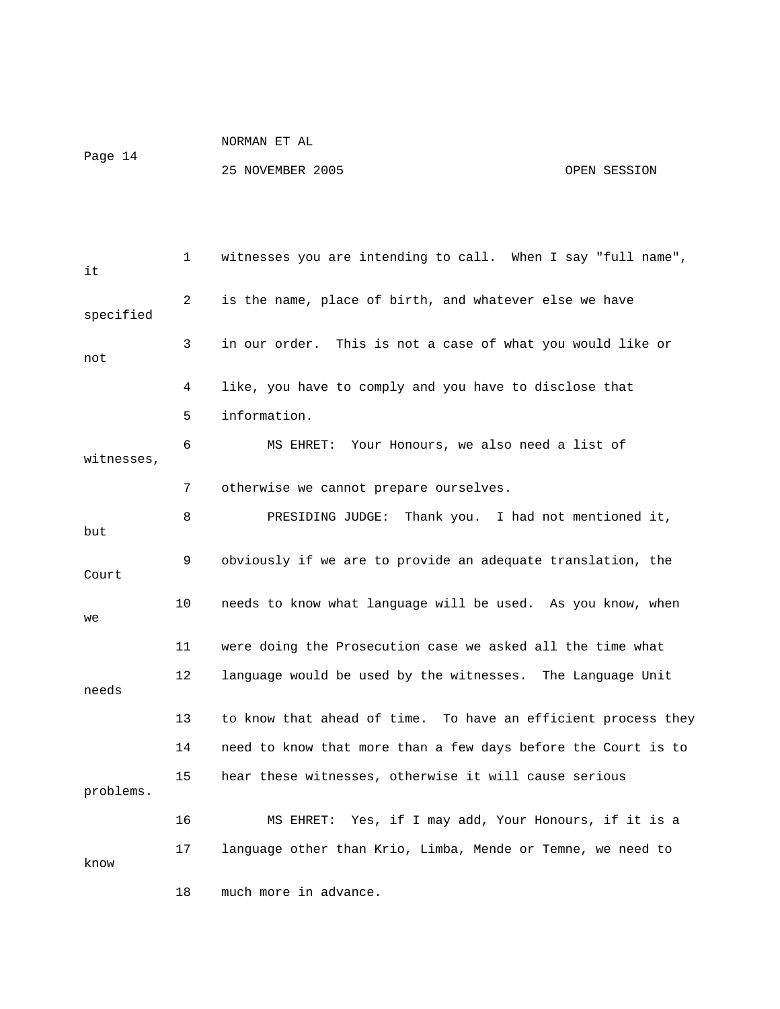Page 14

| it         | $\mathbf{1}$ | witnesses you are intending to call. When I say "full name",  |
|------------|--------------|---------------------------------------------------------------|
| specified  | 2            | is the name, place of birth, and whatever else we have        |
| not        | 3            | in our order. This is not a case of what you would like or    |
|            | 4            | like, you have to comply and you have to disclose that        |
|            | 5            | information.                                                  |
| witnesses, | 6            | MS EHRET: Your Honours, we also need a list of                |
|            | 7            | otherwise we cannot prepare ourselves.                        |
| but        | 8            | Thank you. I had not mentioned it,<br>PRESIDING JUDGE:        |
| Court      | 9            | obviously if we are to provide an adequate translation, the   |
| we         | 10           | needs to know what language will be used. As you know, when   |
|            | 11           | were doing the Prosecution case we asked all the time what    |
| needs      | $12 \,$      | language would be used by the witnesses. The Language Unit    |
|            | 13           | to know that ahead of time. To have an efficient process they |
|            | 14           | need to know that more than a few days before the Court is to |
| problems.  | 15           | hear these witnesses, otherwise it will cause serious         |
|            | 16           | Yes, if I may add, Your Honours, if it is a<br>MS EHRET:      |
| know       | 17           | language other than Krio, Limba, Mende or Temne, we need to   |
|            | 18           | much more in advance.                                         |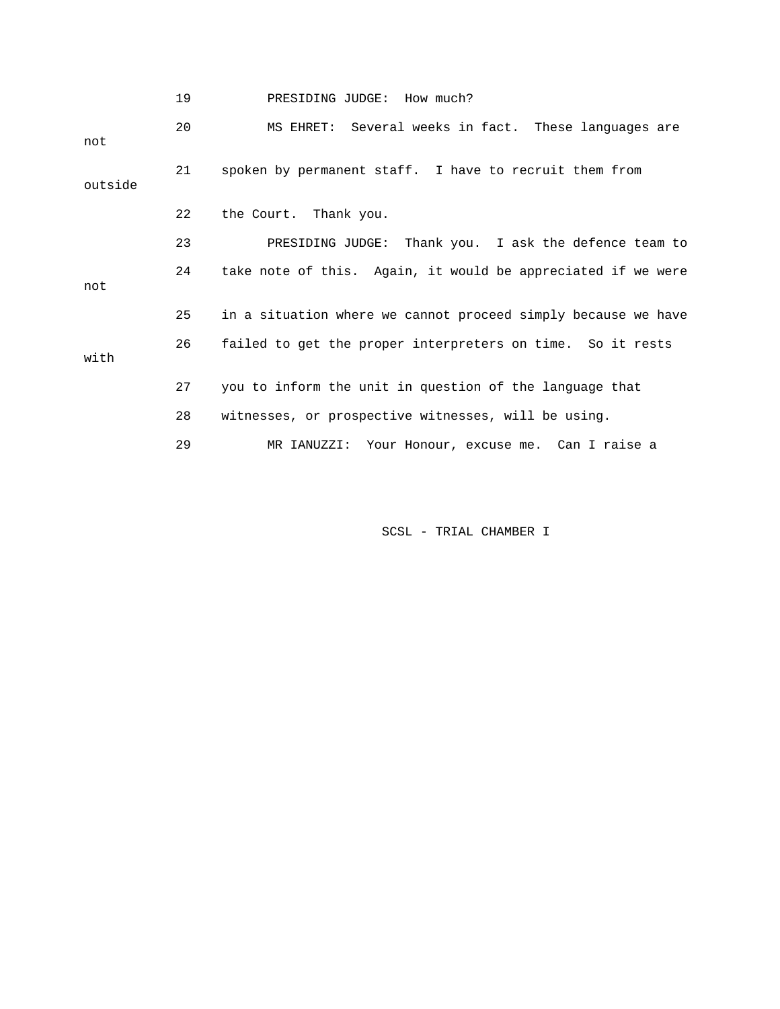|         | 19 | PRESIDING JUDGE: How much?                                    |
|---------|----|---------------------------------------------------------------|
| not     | 20 | MS EHRET: Several weeks in fact. These languages are          |
| outside | 21 | spoken by permanent staff. I have to recruit them from        |
|         | 22 | the Court. Thank you.                                         |
|         | 23 | PRESIDING JUDGE: Thank you. I ask the defence team to         |
| not     | 24 | take note of this. Again, it would be appreciated if we were  |
|         | 25 | in a situation where we cannot proceed simply because we have |
| with    | 26 | failed to get the proper interpreters on time. So it rests    |
|         | 27 | you to inform the unit in question of the language that       |
|         | 28 | witnesses, or prospective witnesses, will be using.           |
|         | 29 | MR IANUZZI: Your Honour, excuse me. Can I raise a             |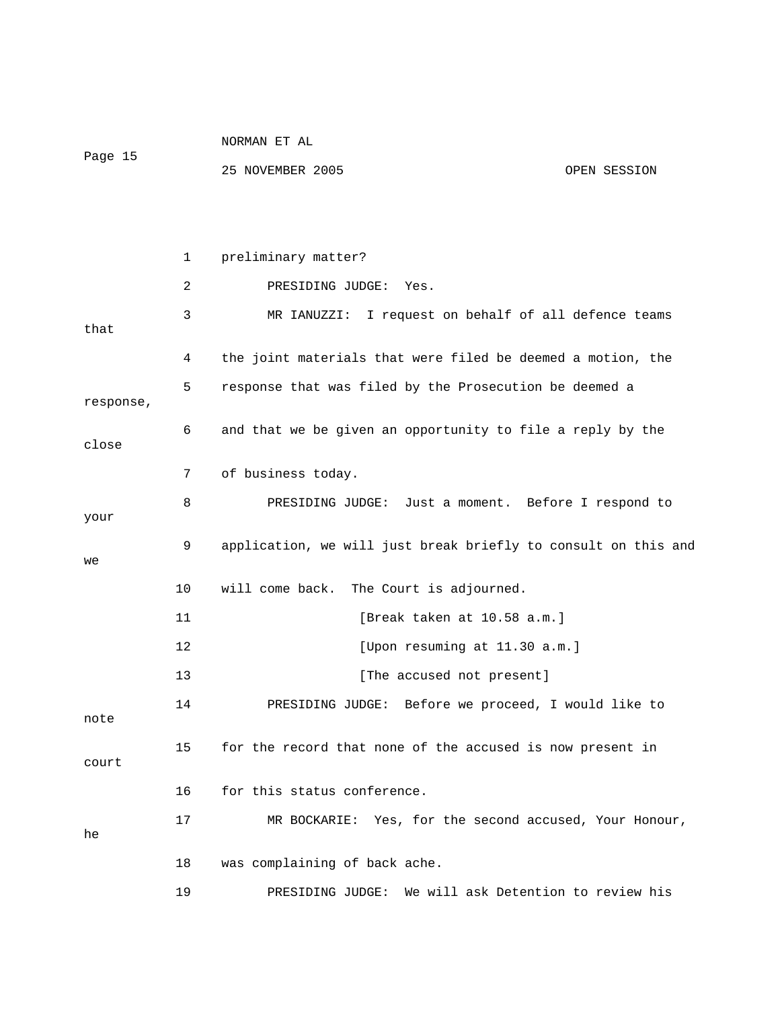|            |    | NORMAN ET AL                                                   |  |  |
|------------|----|----------------------------------------------------------------|--|--|
| Page 15    |    | 25 NOVEMBER 2005<br>OPEN SESSION                               |  |  |
|            |    |                                                                |  |  |
|            |    |                                                                |  |  |
|            | 1  | preliminary matter?                                            |  |  |
|            | 2  | PRESIDING JUDGE:<br>Yes.                                       |  |  |
| that       | 3  | I request on behalf of all defence teams<br>MR IANUZZI:        |  |  |
|            | 4  | the joint materials that were filed be deemed a motion, the    |  |  |
| response,  | 5  | response that was filed by the Prosecution be deemed a         |  |  |
| close      | 6  | and that we be given an opportunity to file a reply by the     |  |  |
|            | 7  | of business today.                                             |  |  |
|            | 8  | PRESIDING JUDGE: Just a moment. Before I respond to            |  |  |
| your<br>we | 9  | application, we will just break briefly to consult on this and |  |  |
|            | 10 | will come back.<br>The Court is adjourned.                     |  |  |
|            | 11 | [Break taken at 10.58 a.m.]                                    |  |  |
|            | 12 | [Upon resuming at 11.30 a.m.]                                  |  |  |
|            | 13 | [The accused not present]                                      |  |  |
| note       | 14 | Before we proceed, I would like to<br>PRESIDING JUDGE:         |  |  |
| court      | 15 | for the record that none of the accused is now present in      |  |  |
|            | 16 | for this status conference.                                    |  |  |
| he         | 17 | MR BOCKARIE: Yes, for the second accused, Your Honour,         |  |  |
|            | 18 | was complaining of back ache.                                  |  |  |
|            | 19 | We will ask Detention to review his<br>PRESIDING JUDGE:        |  |  |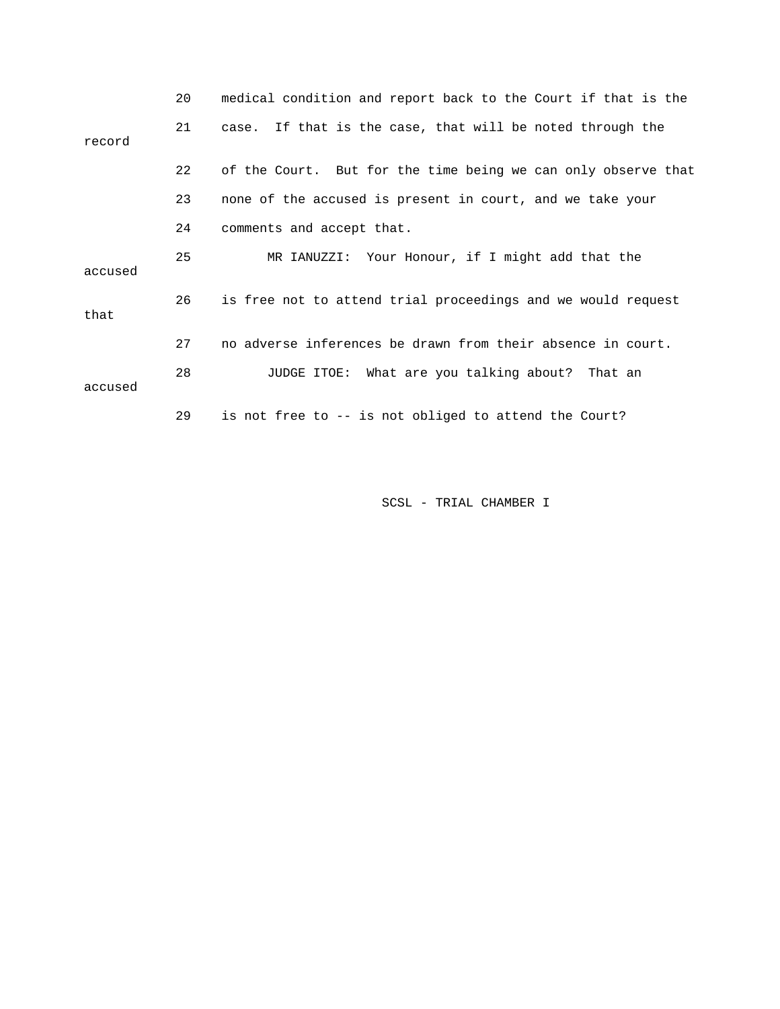|         | 20 | medical condition and report back to the Court if that is the |
|---------|----|---------------------------------------------------------------|
| record  | 21 | case. If that is the case, that will be noted through the     |
|         | 22 | of the Court. But for the time being we can only observe that |
|         | 23 | none of the accused is present in court, and we take your     |
|         | 24 | comments and accept that.                                     |
| accused | 25 | MR IANUZZI: Your Honour, if I might add that the              |
| that    | 26 | is free not to attend trial proceedings and we would request  |
|         | 27 | no adverse inferences be drawn from their absence in court.   |
| accused | 28 | JUDGE ITOE: What are you talking about? That an               |
|         | 29 | is not free to -- is not obliged to attend the Court?         |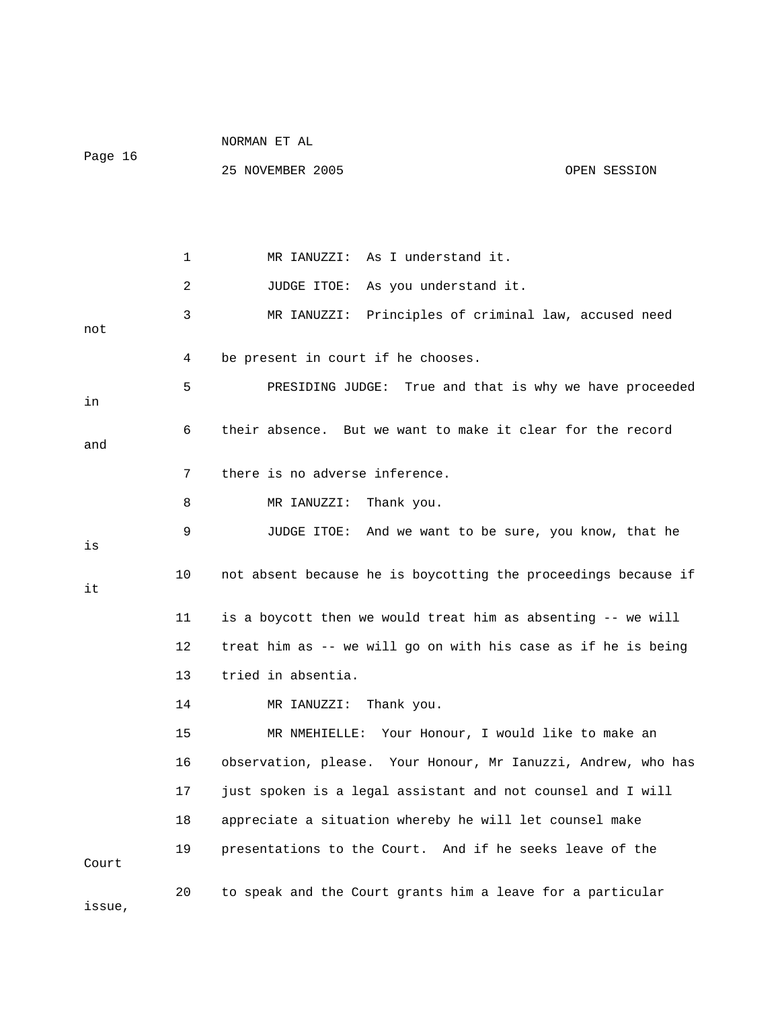|         |    | NORMAN ET AL                                                   |              |  |
|---------|----|----------------------------------------------------------------|--------------|--|
| Page 16 |    | 25 NOVEMBER 2005                                               | OPEN SESSION |  |
|         |    |                                                                |              |  |
|         |    |                                                                |              |  |
|         | 1  | MR IANUZZI: As I understand it.                                |              |  |
|         | 2  | JUDGE ITOE: As you understand it.                              |              |  |
| not     | 3  | MR IANUZZI: Principles of criminal law, accused need           |              |  |
|         | 4  | be present in court if he chooses.                             |              |  |
| in      | 5  | PRESIDING JUDGE: True and that is why we have proceeded        |              |  |
| and     | 6  | their absence. But we want to make it clear for the record     |              |  |
|         | 7  | there is no adverse inference.                                 |              |  |
|         | 8  | MR IANUZZI: Thank you.                                         |              |  |
|         | 9  | JUDGE ITOE: And we want to be sure, you know, that he          |              |  |
| is      |    |                                                                |              |  |
| it      | 10 | not absent because he is boycotting the proceedings because if |              |  |
|         | 11 | is a boycott then we would treat him as absenting -- we will   |              |  |
|         | 12 | treat him as -- we will go on with his case as if he is being  |              |  |
|         | 13 | tried in absentia.                                             |              |  |
|         | 14 | MR IANUZZI: Thank you.                                         |              |  |
|         | 15 | Your Honour, I would like to make an<br>MR NMEHIELLE:          |              |  |
|         | 16 | observation, please. Your Honour, Mr Ianuzzi, Andrew, who has  |              |  |
|         | 17 | just spoken is a legal assistant and not counsel and I will    |              |  |
|         | 18 | appreciate a situation whereby he will let counsel make        |              |  |
| Court   | 19 | presentations to the Court. And if he seeks leave of the       |              |  |
| issue,  | 20 | to speak and the Court grants him a leave for a particular     |              |  |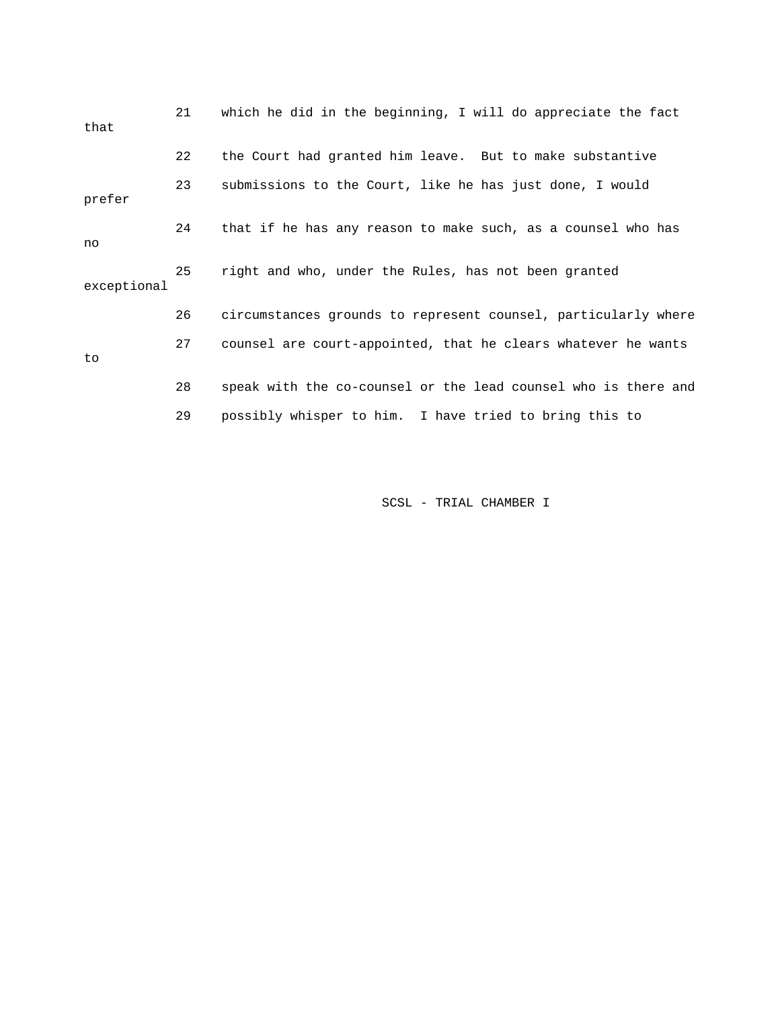| that        | 21 | which he did in the beginning, I will do appreciate the fact   |
|-------------|----|----------------------------------------------------------------|
|             | 22 | the Court had granted him leave. But to make substantive       |
| prefer      | 23 | submissions to the Court, like he has just done, I would       |
| no          | 24 | that if he has any reason to make such, as a counsel who has   |
| exceptional | 25 | right and who, under the Rules, has not been granted           |
|             | 26 | circumstances grounds to represent counsel, particularly where |
| to          | 27 | counsel are court-appointed, that he clears whatever he wants  |
|             | 28 | speak with the co-counsel or the lead counsel who is there and |
|             | 29 | possibly whisper to him. I have tried to bring this to         |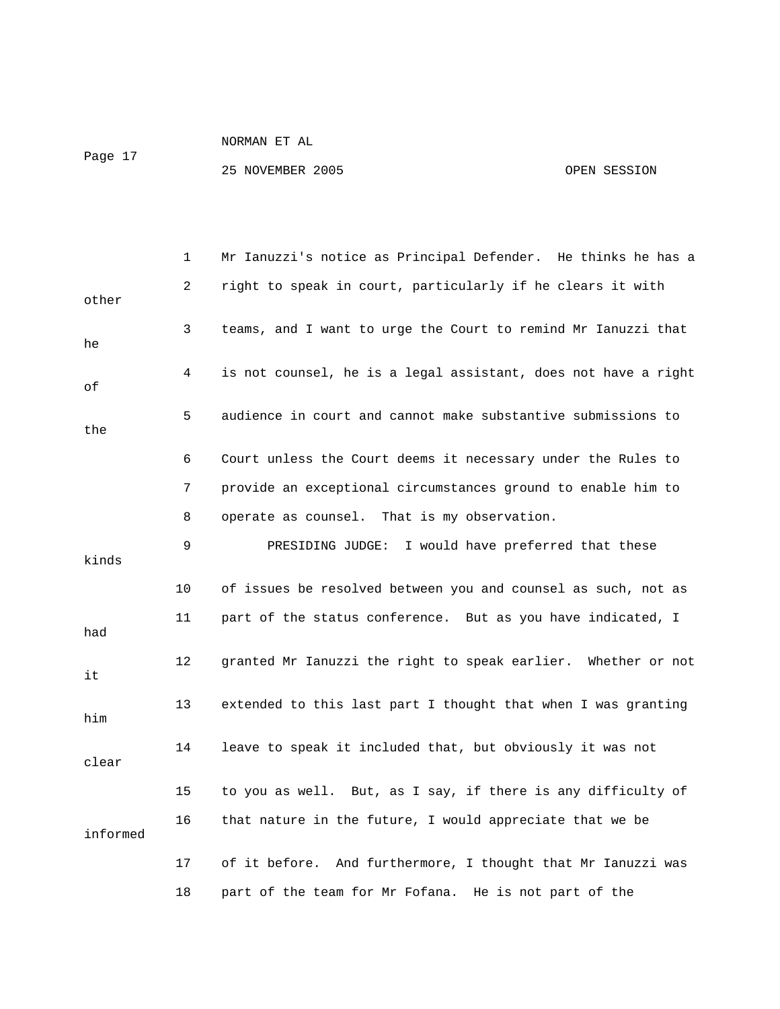Page 17

|          | 1  | Mr Ianuzzi's notice as Principal Defender. He thinks he has a  |  |  |
|----------|----|----------------------------------------------------------------|--|--|
| other    | 2  | right to speak in court, particularly if he clears it with     |  |  |
| he       | 3  | teams, and I want to urge the Court to remind Mr Ianuzzi that  |  |  |
| οf       | 4  | is not counsel, he is a legal assistant, does not have a right |  |  |
| the      | 5  | audience in court and cannot make substantive submissions to   |  |  |
|          | 6  | Court unless the Court deems it necessary under the Rules to   |  |  |
|          | 7  | provide an exceptional circumstances ground to enable him to   |  |  |
|          | 8  | operate as counsel. That is my observation.                    |  |  |
| kinds    | 9  | PRESIDING JUDGE: I would have preferred that these             |  |  |
|          | 10 | of issues be resolved between you and counsel as such, not as  |  |  |
|          |    |                                                                |  |  |
| had      | 11 | part of the status conference. But as you have indicated, I    |  |  |
| it       | 12 | granted Mr Ianuzzi the right to speak earlier. Whether or not  |  |  |
| him      | 13 | extended to this last part I thought that when I was granting  |  |  |
| clear    | 14 | leave to speak it included that, but obviously it was not      |  |  |
|          | 15 | to you as well. But, as I say, if there is any difficulty of   |  |  |
| informed | 16 | that nature in the future, I would appreciate that we be       |  |  |
|          | 17 | of it before. And furthermore, I thought that Mr Ianuzzi was   |  |  |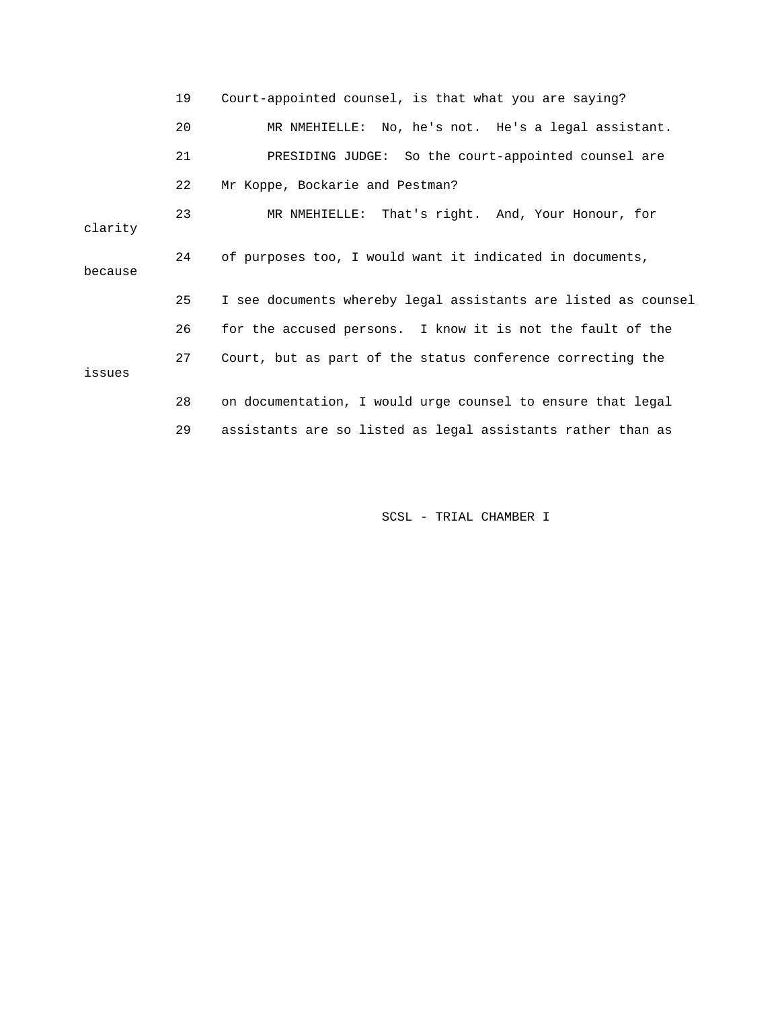|         | 19 | Court-appointed counsel, is that what you are saying?          |  |  |
|---------|----|----------------------------------------------------------------|--|--|
|         | 20 | MR NMEHIELLE: No, he's not. He's a legal assistant.            |  |  |
|         | 21 | PRESIDING JUDGE: So the court-appointed counsel are            |  |  |
|         | 22 | Mr Koppe, Bockarie and Pestman?                                |  |  |
| clarity | 23 | MR NMEHIELLE: That's right. And, Your Honour, for              |  |  |
| because | 24 | of purposes too, I would want it indicated in documents,       |  |  |
|         | 25 | I see documents whereby legal assistants are listed as counsel |  |  |
|         | 26 | for the accused persons. I know it is not the fault of the     |  |  |
| issues  | 27 | Court, but as part of the status conference correcting the     |  |  |
|         | 28 | on documentation, I would urge counsel to ensure that legal    |  |  |
|         | 29 | assistants are so listed as legal assistants rather than as    |  |  |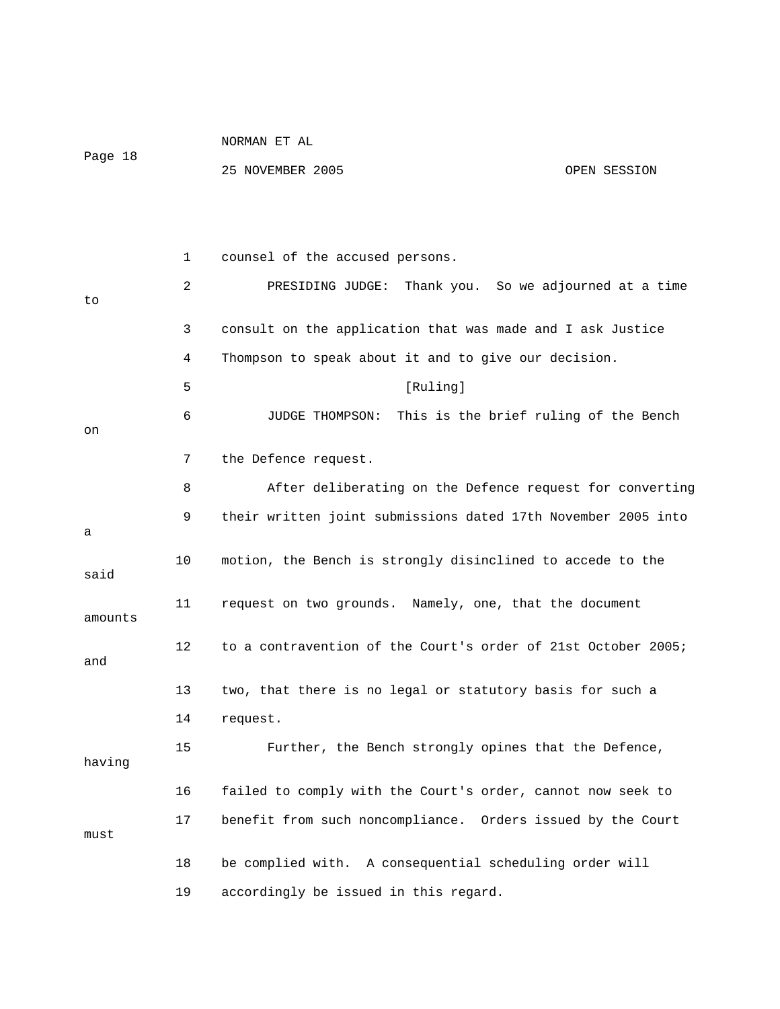|         |    | NORMAN ET AL                                                  |              |
|---------|----|---------------------------------------------------------------|--------------|
| Page 18 |    | 25 NOVEMBER 2005                                              | OPEN SESSION |
|         |    |                                                               |              |
|         |    |                                                               |              |
|         | 1  | counsel of the accused persons.                               |              |
| to      | 2  | PRESIDING JUDGE:<br>Thank you. So we adjourned at a time      |              |
|         | 3  | consult on the application that was made and I ask Justice    |              |
|         | 4  | Thompson to speak about it and to give our decision.          |              |
|         | 5  | [Ruling]                                                      |              |
|         | 6  | This is the brief ruling of the Bench<br>JUDGE THOMPSON:      |              |
| on      |    |                                                               |              |
|         | 7  | the Defence request.                                          |              |
|         | 8  | After deliberating on the Defence request for converting      |              |
| а       | 9  | their written joint submissions dated 17th November 2005 into |              |
| said    | 10 | motion, the Bench is strongly disinclined to accede to the    |              |
| amounts | 11 | request on two grounds. Namely, one, that the document        |              |
| and     | 12 | to a contravention of the Court's order of 21st October 2005; |              |
|         | 13 | two, that there is no legal or statutory basis for such a     |              |
|         | 14 | request.                                                      |              |
| having  | 15 | Further, the Bench strongly opines that the Defence,          |              |
|         | 16 | failed to comply with the Court's order, cannot now seek to   |              |
| must    | 17 | benefit from such noncompliance. Orders issued by the Court   |              |
|         | 18 | be complied with. A consequential scheduling order will       |              |
|         | 19 | accordingly be issued in this regard.                         |              |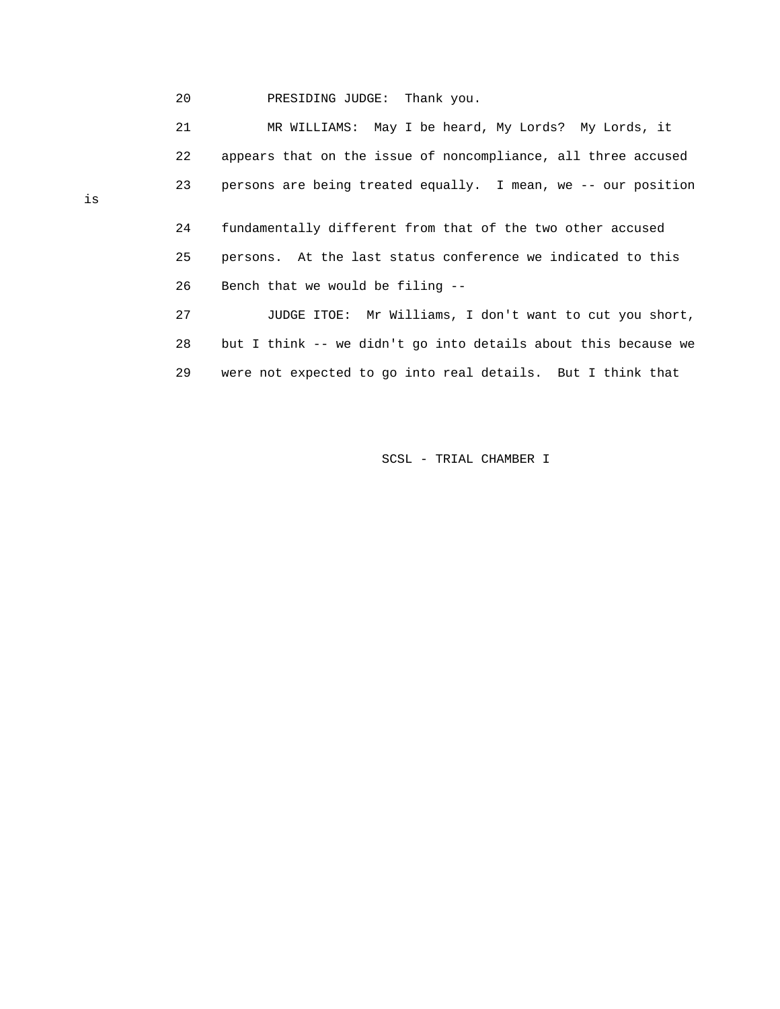20 PRESIDING JUDGE: Thank you.

 21 MR WILLIAMS: May I be heard, My Lords? My Lords, it 22 appears that on the issue of noncompliance, all three accused 23 persons are being treated equally. I mean, we -- our position 24 fundamentally different from that of the two other accused 25 persons. At the last status conference we indicated to this 26 Bench that we would be filing -- 27 JUDGE ITOE: Mr Williams, I don't want to cut you short, 28 but I think -- we didn't go into details about this because we 29 were not expected to go into real details. But I think that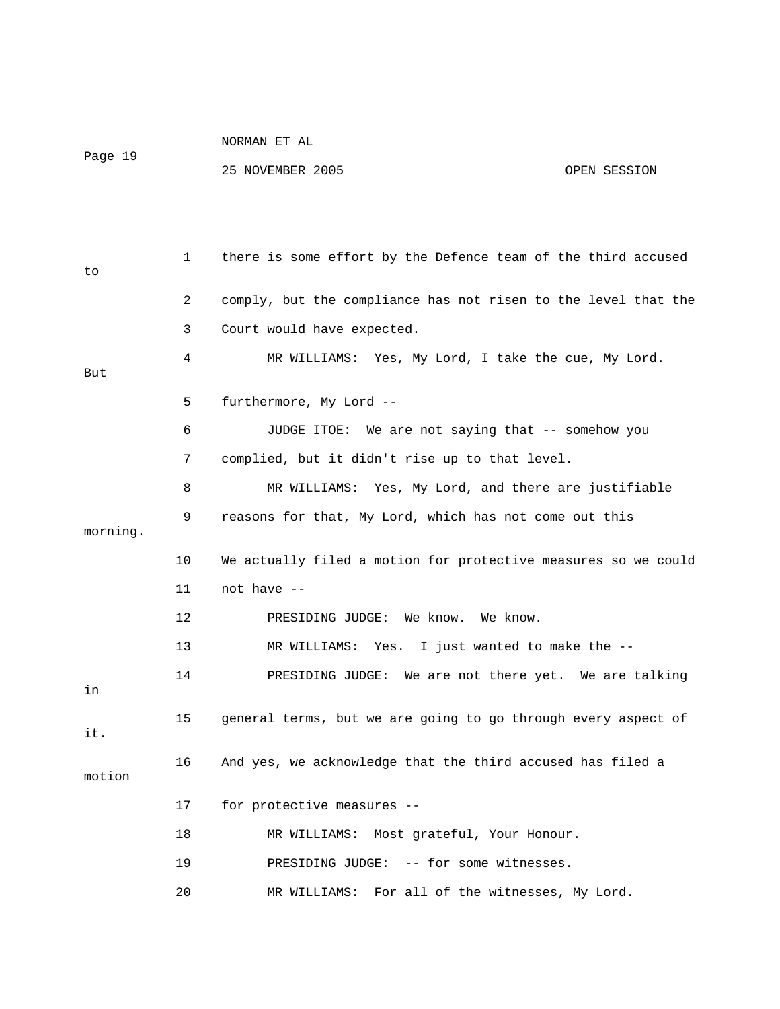Page 19

| to       | 1  | there is some effort by the Defence team of the third accused  |
|----------|----|----------------------------------------------------------------|
|          | 2  | comply, but the compliance has not risen to the level that the |
|          | 3  | Court would have expected.                                     |
| But      | 4  | MR WILLIAMS: Yes, My Lord, I take the cue, My Lord.            |
|          | 5  | furthermore, My Lord --                                        |
|          | 6  | JUDGE ITOE: We are not saying that -- somehow you              |
|          | 7  | complied, but it didn't rise up to that level.                 |
|          | 8  | MR WILLIAMS: Yes, My Lord, and there are justifiable           |
| morning. | 9  | reasons for that, My Lord, which has not come out this         |
|          | 10 | We actually filed a motion for protective measures so we could |
|          | 11 | not have --                                                    |
|          | 12 | PRESIDING JUDGE: We know.<br>We know.                          |
|          | 13 | MR WILLIAMS: Yes. I just wanted to make the --                 |
| in       | 14 | PRESIDING JUDGE: We are not there yet. We are talking          |
| it.      | 15 | general terms, but we are going to go through every aspect of  |
| motion   | 16 | And yes, we acknowledge that the third accused has filed a     |
|          | 17 | for protective measures --                                     |
|          | 18 | MR WILLIAMS: Most grateful, Your Honour.                       |
|          | 19 | PRESIDING JUDGE: -- for some witnesses.                        |
|          | 20 | MR WILLIAMS: For all of the witnesses, My Lord.                |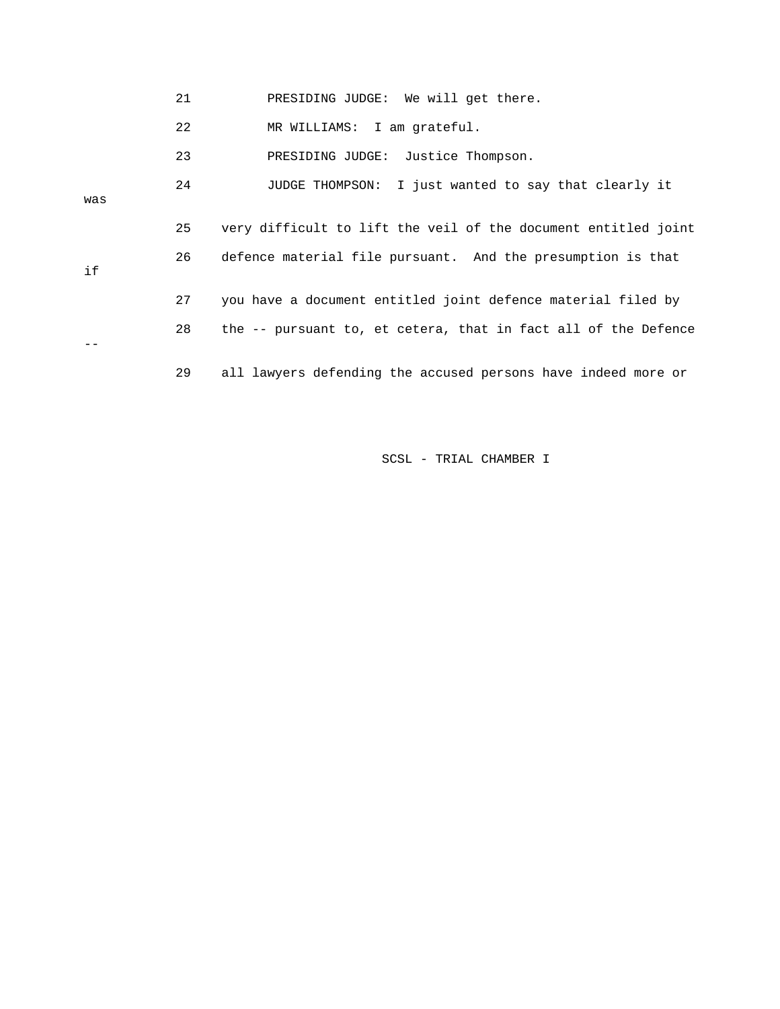|     | 21 | PRESIDING JUDGE: We will get there.                            |
|-----|----|----------------------------------------------------------------|
|     | 22 | MR WILLIAMS: I am grateful.                                    |
|     | 23 | PRESIDING JUDGE: Justice Thompson.                             |
| was | 24 | I just wanted to say that clearly it<br>JUDGE THOMPSON:        |
|     | 25 | very difficult to lift the veil of the document entitled joint |
| if  | 26 | defence material file pursuant. And the presumption is that    |
|     | 27 | you have a document entitled joint defence material filed by   |
|     | 28 | the -- pursuant to, et cetera, that in fact all of the Defence |
|     | 29 | all lawyers defending the accused persons have indeed more or  |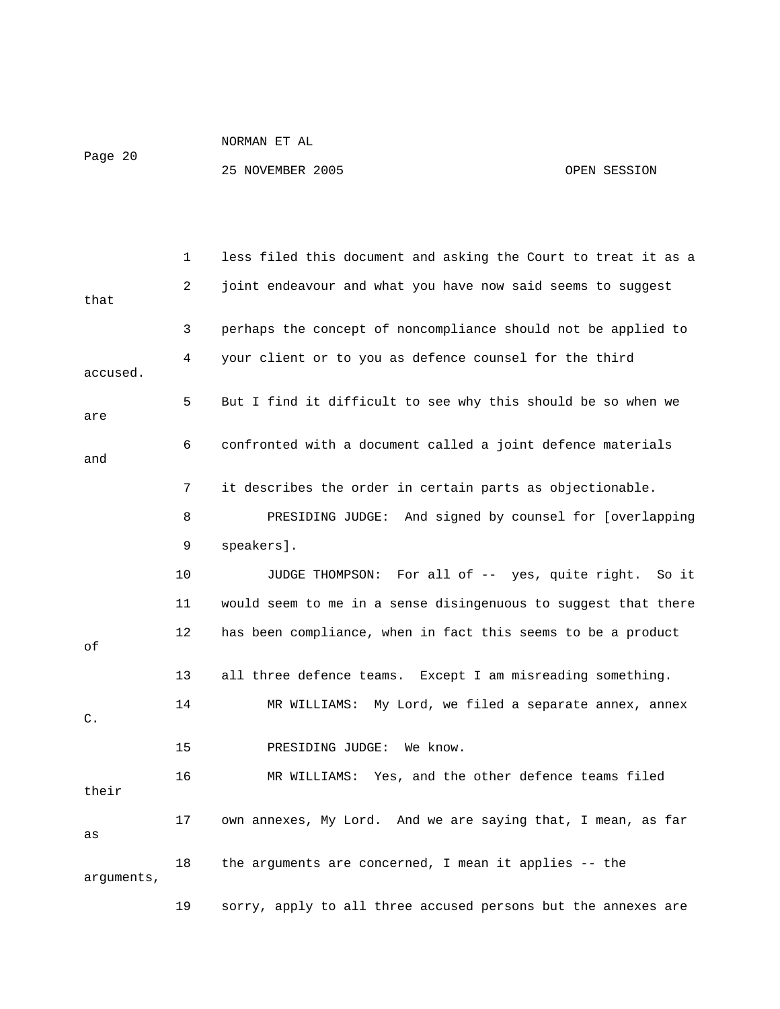# Page 20

NORMAN ET AL

|                | 1  | less filed this document and asking the Court to treat it as a |
|----------------|----|----------------------------------------------------------------|
| that           | 2  | joint endeavour and what you have now said seems to suggest    |
|                | 3  | perhaps the concept of noncompliance should not be applied to  |
| accused.       | 4  | your client or to you as defence counsel for the third         |
| are            | 5  | But I find it difficult to see why this should be so when we   |
| and            | 6  | confronted with a document called a joint defence materials    |
|                | 7  | it describes the order in certain parts as objectionable.      |
|                | 8  | PRESIDING JUDGE: And signed by counsel for [overlapping        |
|                | 9  | speakers].                                                     |
|                | 10 | JUDGE THOMPSON: For all of -- yes, quite right.<br>So it       |
|                | 11 | would seem to me in a sense disingenuous to suggest that there |
| οf             | 12 | has been compliance, when in fact this seems to be a product   |
|                | 13 | all three defence teams. Except I am misreading something.     |
| $\mathsf{C}$ . | 14 | MR WILLIAMS: My Lord, we filed a separate annex, annex         |
|                | 15 | PRESIDING JUDGE:<br>We know.                                   |
| their          | 16 | MR WILLIAMS: Yes, and the other defence teams filed            |
| as             | 17 | own annexes, My Lord. And we are saying that, I mean, as far   |
| arguments,     | 18 | the arguments are concerned, I mean it applies -- the          |
|                | 19 | sorry, apply to all three accused persons but the annexes are  |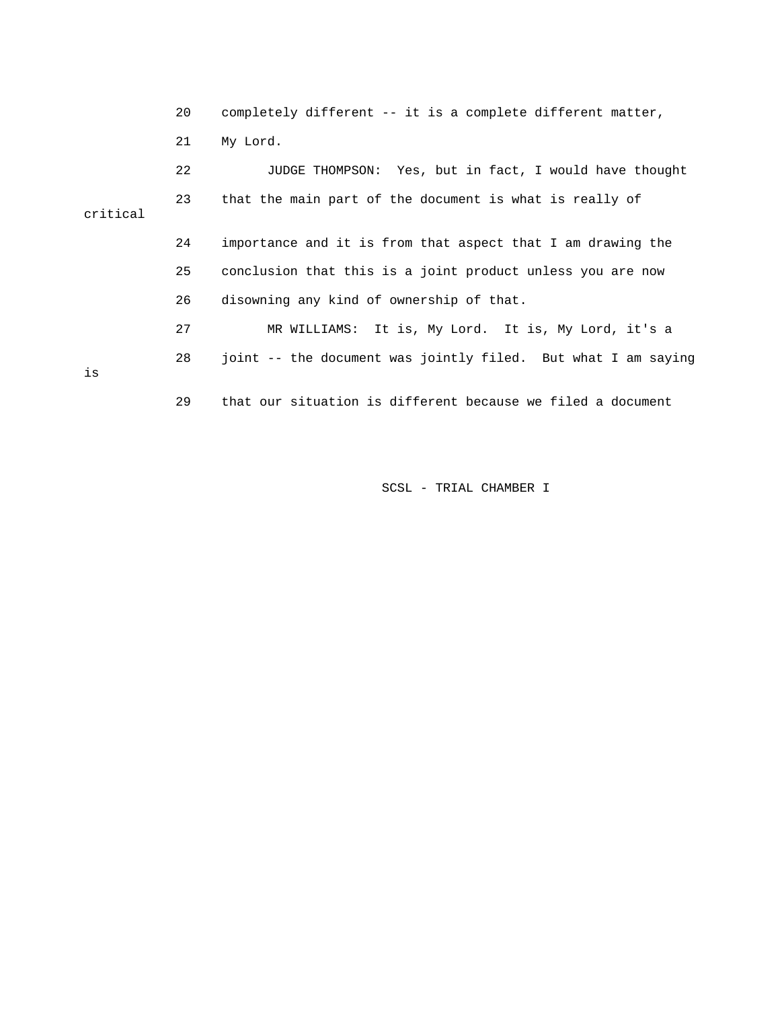20 completely different -- it is a complete different matter, 21 My Lord.

 22 JUDGE THOMPSON: Yes, but in fact, I would have thought 23 that the main part of the document is what is really of critical 24 importance and it is from that aspect that I am drawing the 25 conclusion that this is a joint product unless you are now 26 disowning any kind of ownership of that. 27 MR WILLIAMS: It is, My Lord. It is, My Lord, it's a 28 joint -- the document was jointly filed. But what I am saying is 29 that our situation is different because we filed a document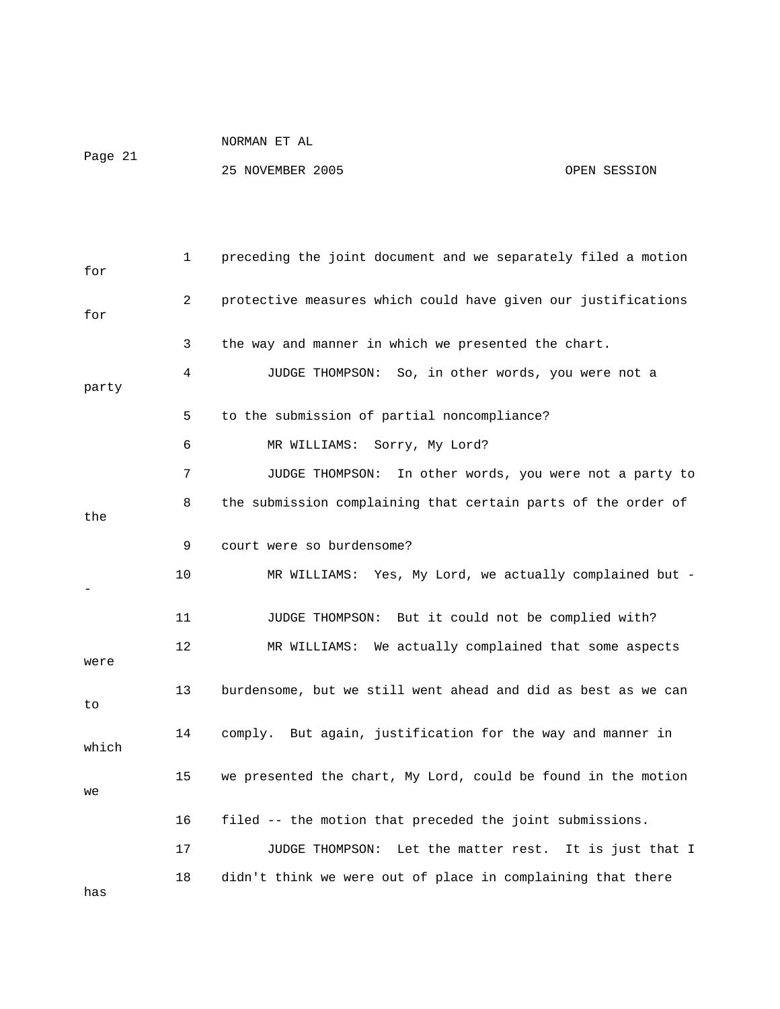Page 21

NORMAN ET AL

25 NOVEMBER 2005 OPEN SESSION

| for   | 1  | preceding the joint document and we separately filed a motion |
|-------|----|---------------------------------------------------------------|
| for   | 2  | protective measures which could have given our justifications |
|       | 3  | the way and manner in which we presented the chart.           |
| party | 4  | So, in other words, you were not a<br>JUDGE THOMPSON:         |
|       | 5  | to the submission of partial noncompliance?                   |
|       | 6  | MR WILLIAMS: Sorry, My Lord?                                  |
|       | 7  | In other words, you were not a party to<br>JUDGE THOMPSON:    |
| the   | 8  | the submission complaining that certain parts of the order of |
|       | 9  | court were so burdensome?                                     |
|       | 10 | MR WILLIAMS: Yes, My Lord, we actually complained but -       |
|       | 11 | But it could not be complied with?<br>JUDGE THOMPSON:         |
| were  | 12 | MR WILLIAMS: We actually complained that some aspects         |
| to    | 13 | burdensome, but we still went ahead and did as best as we can |
| which | 14 | comply. But again, justification for the way and manner in    |
| we    | 15 | we presented the chart, My Lord, could be found in the motion |
|       | 16 | filed -- the motion that preceded the joint submissions.      |
|       | 17 | Let the matter rest. It is just that I<br>JUDGE THOMPSON:     |
|       | 18 | didn't think we were out of place in complaining that there   |

has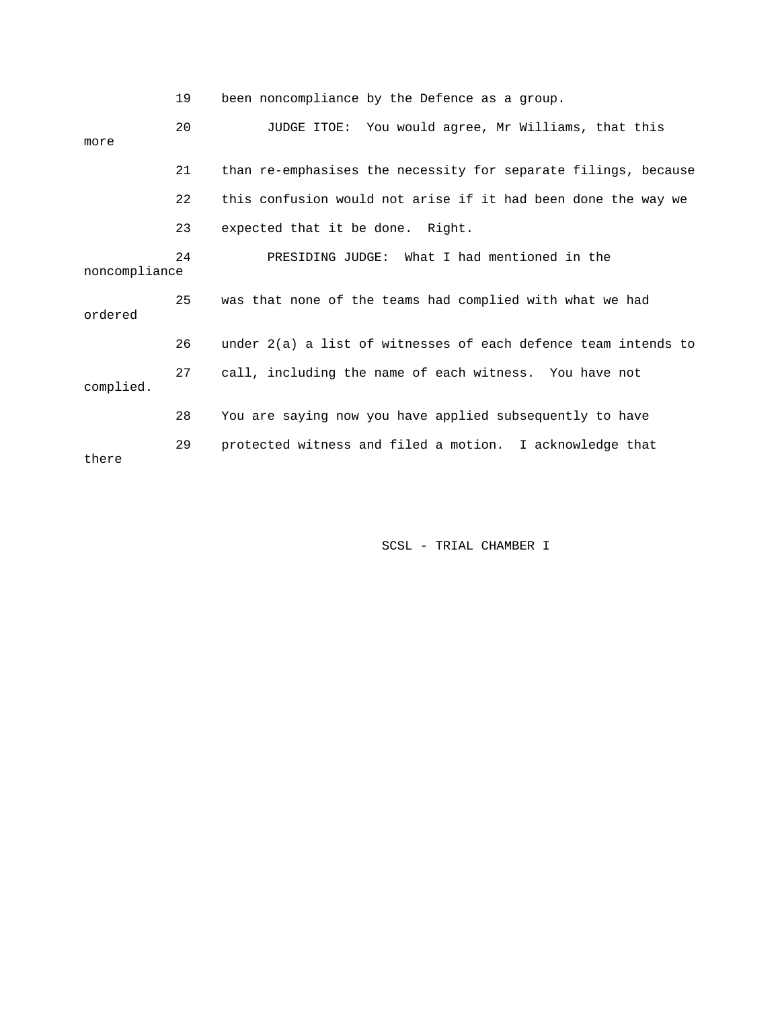|               | 19 | been noncompliance by the Defence as a group.                    |
|---------------|----|------------------------------------------------------------------|
| more          | 20 | JUDGE ITOE: You would agree, Mr Williams, that this              |
|               | 21 | than re-emphasises the necessity for separate filings, because   |
|               | 22 | this confusion would not arise if it had been done the way we    |
|               | 23 | expected that it be done. Right.                                 |
| noncompliance | 24 | PRESIDING JUDGE: What I had mentioned in the                     |
| ordered       | 25 | was that none of the teams had complied with what we had         |
|               | 26 | under $2(a)$ a list of witnesses of each defence team intends to |
| complied.     | 27 | call, including the name of each witness. You have not           |
|               | 28 | You are saying now you have applied subsequently to have         |
| there         | 29 | protected witness and filed a motion. I acknowledge that         |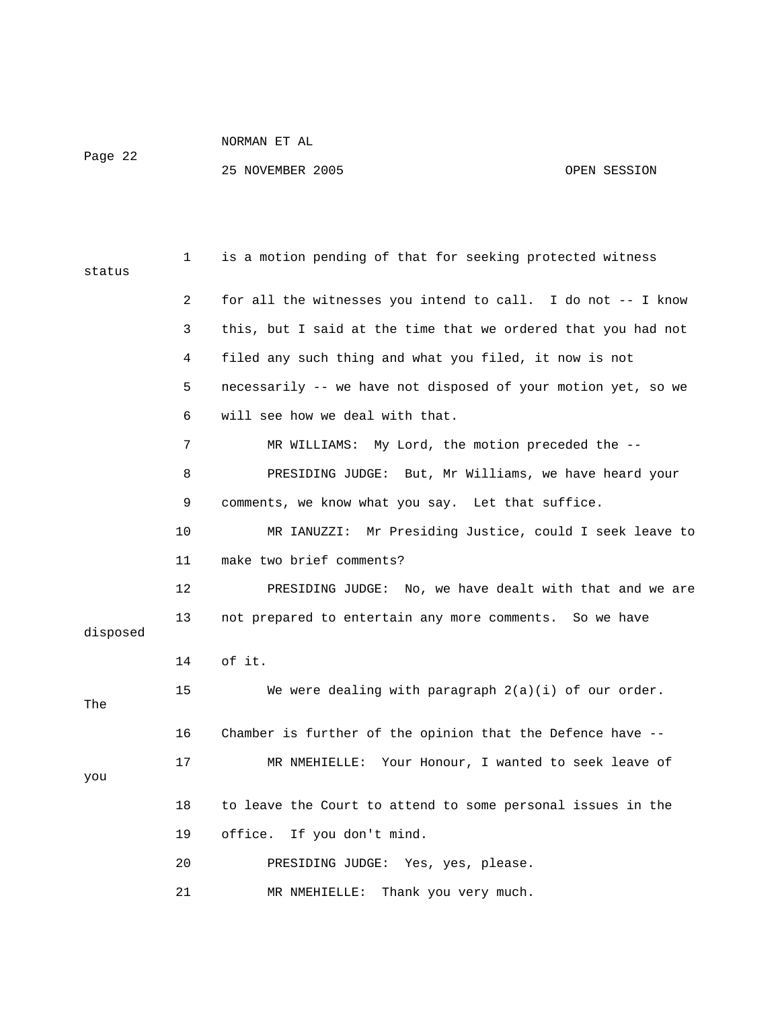Page 22

| status   | 1  | is a motion pending of that for seeking protected witness     |
|----------|----|---------------------------------------------------------------|
|          | 2  | for all the witnesses you intend to call. I do not -- I know  |
|          | 3  | this, but I said at the time that we ordered that you had not |
|          | 4  | filed any such thing and what you filed, it now is not        |
|          | 5  | necessarily -- we have not disposed of your motion yet, so we |
|          | 6  | will see how we deal with that.                               |
|          | 7  | MR WILLIAMS: My Lord, the motion preceded the --              |
|          | 8  | PRESIDING JUDGE: But, Mr Williams, we have heard your         |
|          | 9  | comments, we know what you say. Let that suffice.             |
|          | 10 | MR IANUZZI: Mr Presiding Justice, could I seek leave to       |
|          | 11 | make two brief comments?                                      |
|          | 12 | PRESIDING JUDGE: No, we have dealt with that and we are       |
| disposed | 13 | not prepared to entertain any more comments. So we have       |
|          | 14 | of it.                                                        |
| The      | 15 | We were dealing with paragraph $2(a)(i)$ of our order.        |
|          | 16 | Chamber is further of the opinion that the Defence have --    |
| you      | 17 | MR NMEHIELLE: Your Honour, I wanted to seek leave of          |
|          | 18 | to leave the Court to attend to some personal issues in the   |
|          | 19 | office. If you don't mind.                                    |
|          | 20 | PRESIDING JUDGE: Yes, yes, please.                            |
|          | 21 | MR NMEHIELLE:<br>Thank you very much.                         |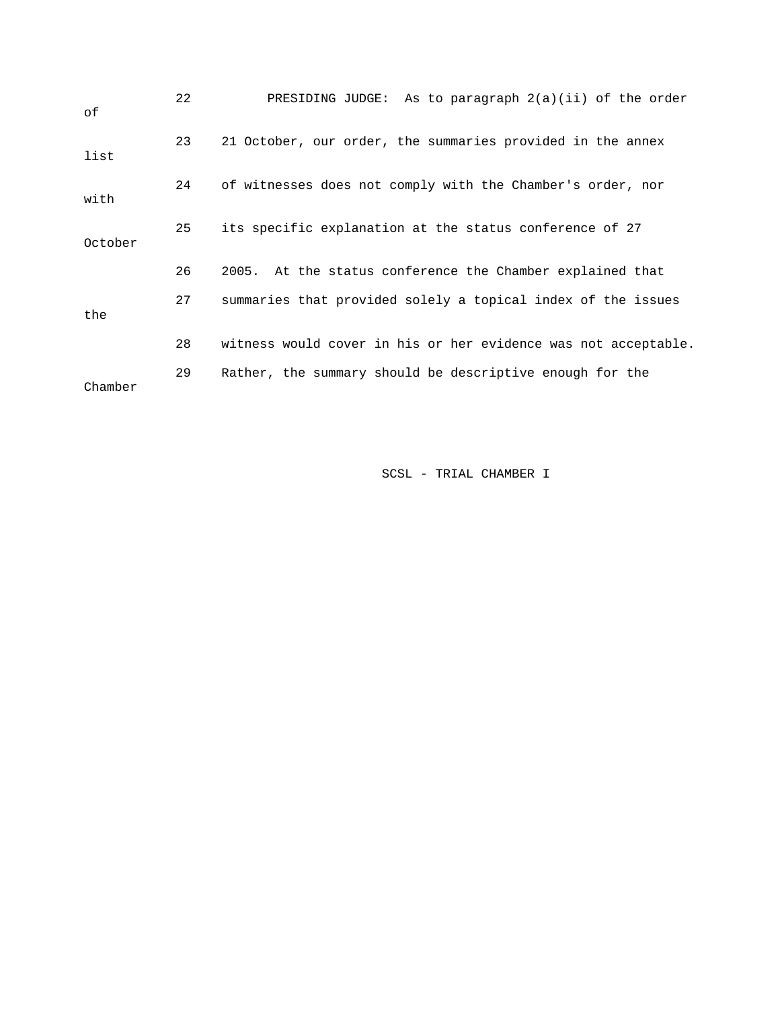| оf      | 22 | PRESIDING JUDGE: As to paragraph $2(a)(ii)$ of the order       |
|---------|----|----------------------------------------------------------------|
| list    | 23 | 21 October, our order, the summaries provided in the annex     |
| with    | 24 | of witnesses does not comply with the Chamber's order, nor     |
| October | 25 | its specific explanation at the status conference of 27        |
|         | 26 | 2005. At the status conference the Chamber explained that      |
| the     | 27 | summaries that provided solely a topical index of the issues   |
|         | 28 | witness would cover in his or her evidence was not acceptable. |
| Chamber | 29 | Rather, the summary should be descriptive enough for the       |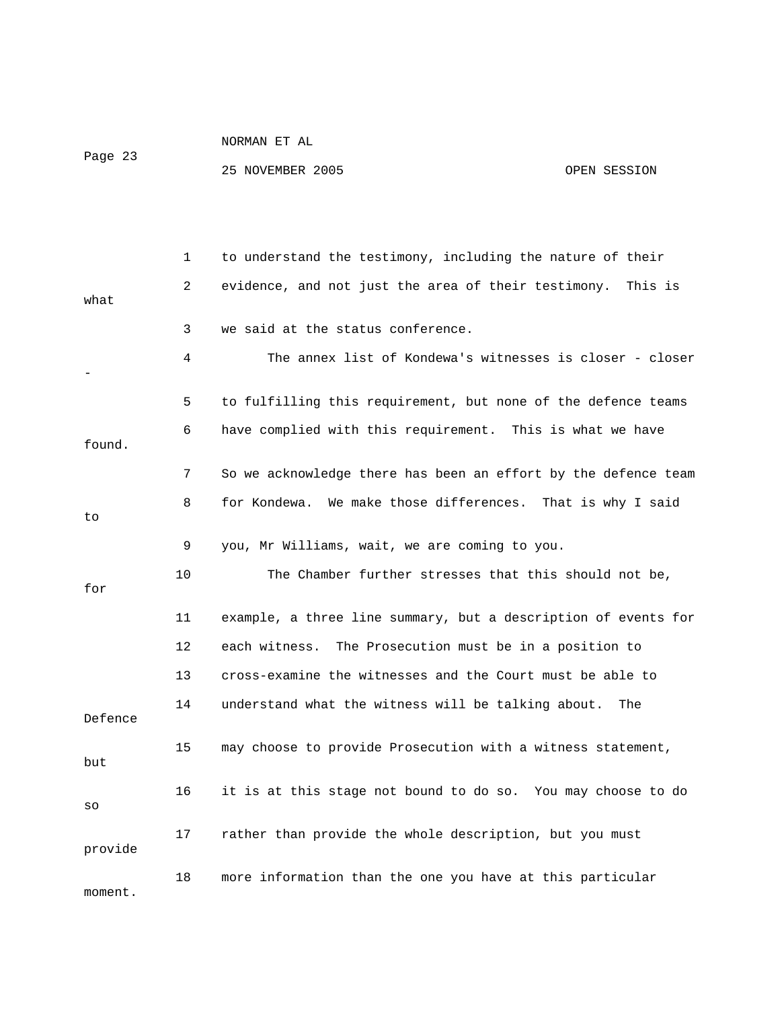Page 23

|         | 1  | to understand the testimony, including the nature of their     |
|---------|----|----------------------------------------------------------------|
| what    | 2  | evidence, and not just the area of their testimony.<br>This is |
|         | 3  | we said at the status conference.                              |
|         | 4  | The annex list of Kondewa's witnesses is closer - closer       |
|         | 5  | to fulfilling this requirement, but none of the defence teams  |
| found.  | 6  | have complied with this requirement. This is what we have      |
|         | 7  | So we acknowledge there has been an effort by the defence team |
| to      | 8  | We make those differences. That is why I said<br>for Kondewa.  |
|         | 9  | you, Mr Williams, wait, we are coming to you.                  |
| for     | 10 | The Chamber further stresses that this should not be,          |
|         | 11 | example, a three line summary, but a description of events for |
|         | 12 | each witness.<br>The Prosecution must be in a position to      |
|         | 13 | cross-examine the witnesses and the Court must be able to      |
| Defence | 14 | understand what the witness will be talking about.<br>The      |
| but     | 15 | may choose to provide Prosecution with a witness statement,    |
| SO      | 16 | it is at this stage not bound to do so. You may choose to do   |
| provide | 17 | rather than provide the whole description, but you must        |
| moment. | 18 | more information than the one you have at this particular      |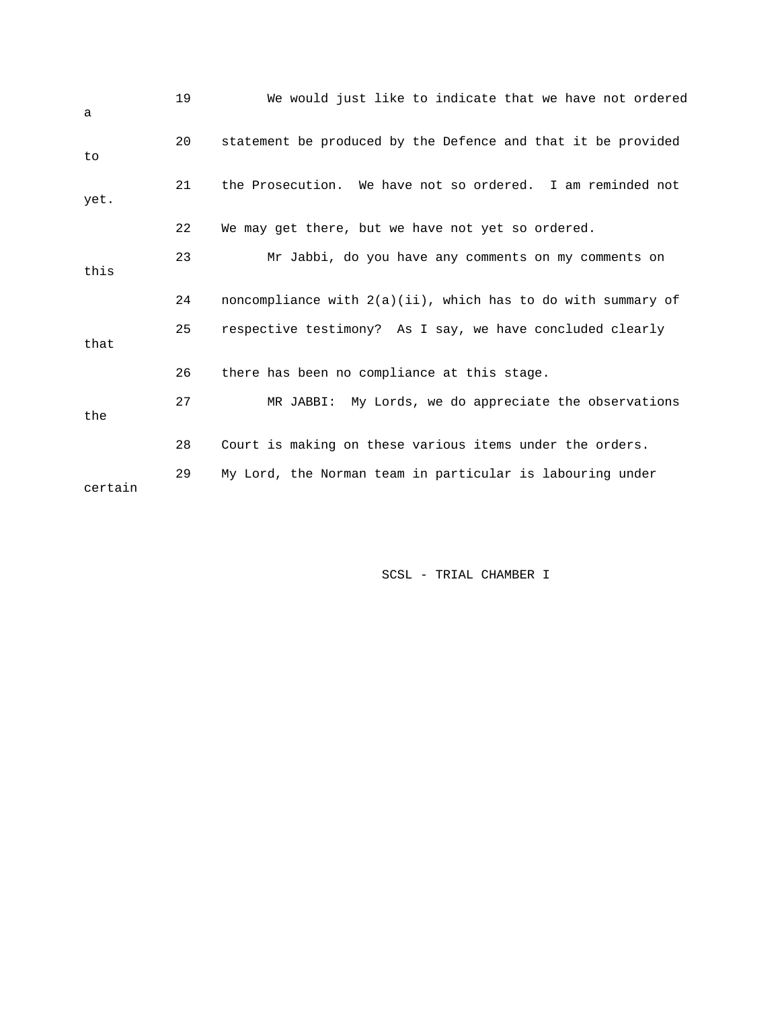| a       | 19 | We would just like to indicate that we have not ordered         |
|---------|----|-----------------------------------------------------------------|
| to      | 20 | statement be produced by the Defence and that it be provided    |
| yet.    | 21 | the Prosecution. We have not so ordered. I am reminded not      |
|         | 22 | We may get there, but we have not yet so ordered.               |
| this    | 23 | Mr Jabbi, do you have any comments on my comments on            |
|         | 24 | noncompliance with $2(a)(ii)$ , which has to do with summary of |
| that    | 25 | respective testimony? As I say, we have concluded clearly       |
|         | 26 | there has been no compliance at this stage.                     |
| the     | 27 | MR JABBI: My Lords, we do appreciate the observations           |
|         | 28 | Court is making on these various items under the orders.        |
| certain | 29 | My Lord, the Norman team in particular is labouring under       |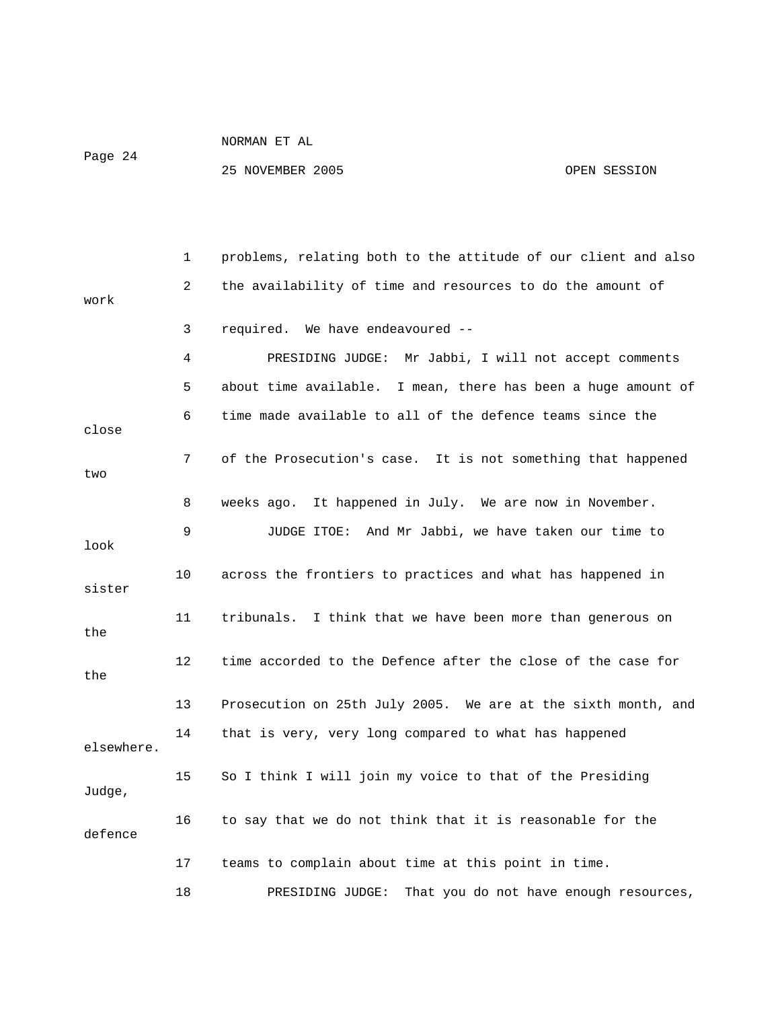Page 24

|            | 1  | problems, relating both to the attitude of our client and also |
|------------|----|----------------------------------------------------------------|
| work       | 2  | the availability of time and resources to do the amount of     |
|            | 3  | required. We have endeavoured --                               |
|            | 4  | PRESIDING JUDGE: Mr Jabbi, I will not accept comments          |
|            | 5  | about time available. I mean, there has been a huge amount of  |
| close      | 6  | time made available to all of the defence teams since the      |
| two        | 7  | of the Prosecution's case. It is not something that happened   |
|            | 8  | It happened in July. We are now in November.<br>weeks ago.     |
| look       | 9  | JUDGE ITOE: And Mr Jabbi, we have taken our time to            |
| sister     | 10 | across the frontiers to practices and what has happened in     |
| the        | 11 | tribunals. I think that we have been more than generous on     |
| the        | 12 | time accorded to the Defence after the close of the case for   |
|            | 13 | Prosecution on 25th July 2005. We are at the sixth month, and  |
| elsewhere. | 14 | that is very, very long compared to what has happened          |
| Judge,     | 15 | So I think I will join my voice to that of the Presiding       |
| defence    | 16 | to say that we do not think that it is reasonable for the      |
|            | 17 | teams to complain about time at this point in time.            |
|            | 18 | That you do not have enough resources,<br>PRESIDING JUDGE:     |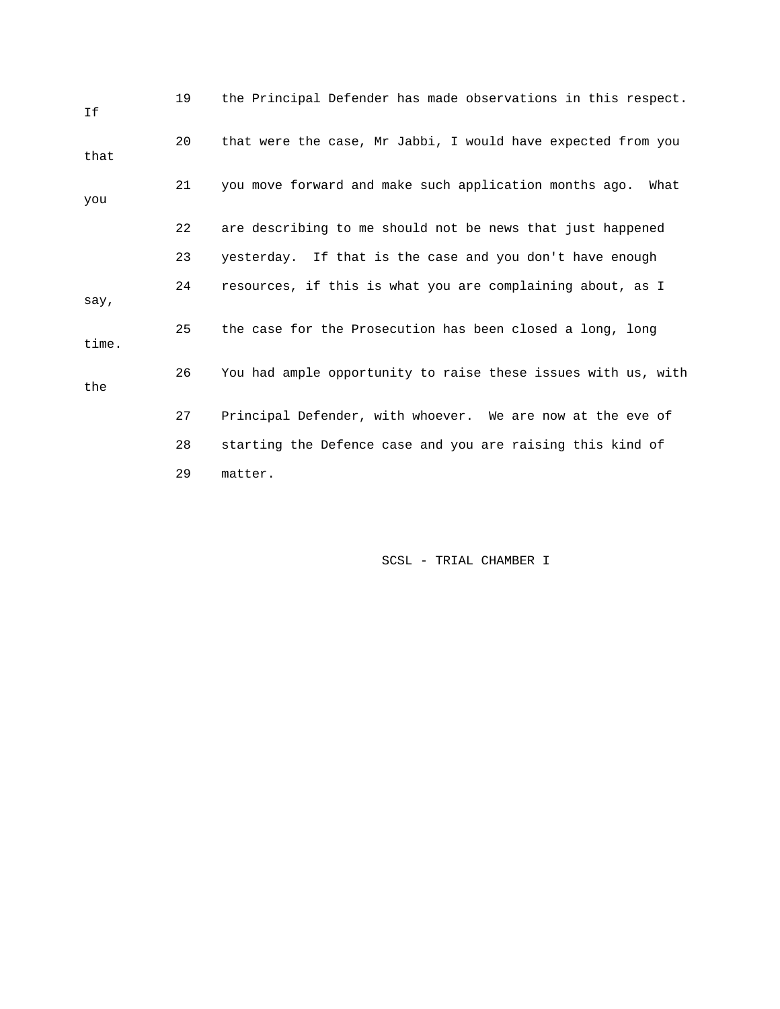| Ιf    | 19 | the Principal Defender has made observations in this respect.  |
|-------|----|----------------------------------------------------------------|
| that  | 20 | that were the case, Mr Jabbi, I would have expected from you   |
| you   | 21 | you move forward and make such application months ago.<br>What |
|       | 22 | are describing to me should not be news that just happened     |
|       | 23 | yesterday. If that is the case and you don't have enough       |
| say,  | 24 | resources, if this is what you are complaining about, as I     |
| time. | 25 | the case for the Prosecution has been closed a long, long      |
| the   | 26 | You had ample opportunity to raise these issues with us, with  |
|       | 27 | Principal Defender, with whoever. We are now at the eve of     |
|       | 28 | starting the Defence case and you are raising this kind of     |
|       | 29 | matter.                                                        |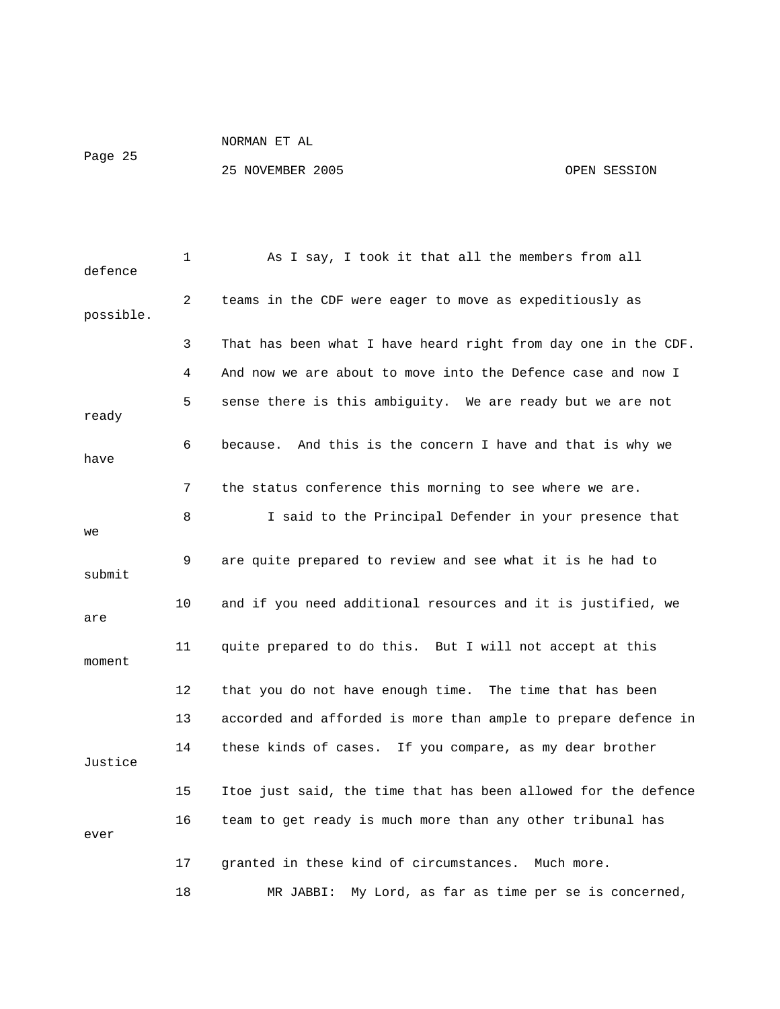Page 25

| defence   | 1    | As I say, I took it that all the members from all              |
|-----------|------|----------------------------------------------------------------|
| possible. | 2    | teams in the CDF were eager to move as expeditiously as        |
|           | 3    | That has been what I have heard right from day one in the CDF. |
|           | 4    | And now we are about to move into the Defence case and now I   |
| ready     | 5    | sense there is this ambiguity. We are ready but we are not     |
| have      | 6    | And this is the concern I have and that is why we<br>because.  |
|           | 7    | the status conference this morning to see where we are.        |
| we        | 8    | I said to the Principal Defender in your presence that         |
| submit    | 9    | are quite prepared to review and see what it is he had to      |
| are       | 10   | and if you need additional resources and it is justified, we   |
| moment    | 11   | quite prepared to do this. But I will not accept at this       |
|           | $12$ | that you do not have enough time. The time that has been       |
|           | 13   | accorded and afforded is more than ample to prepare defence in |
| Justice   | 14   | these kinds of cases. If you compare, as my dear brother       |
|           | 15   | Itoe just said, the time that has been allowed for the defence |
| ever      | 16   | team to get ready is much more than any other tribunal has     |
|           | 17   | granted in these kind of circumstances. Much more.             |
|           | 18   | My Lord, as far as time per se is concerned,<br>MR JABBI:      |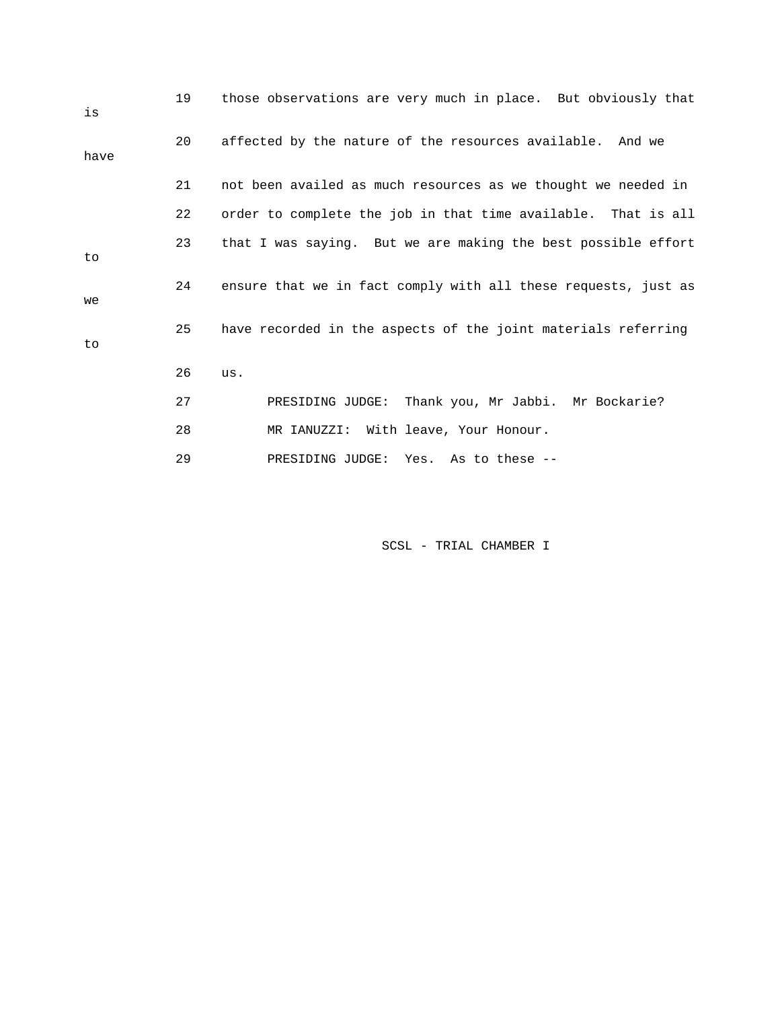| is   | 19 | those observations are very much in place. But obviously that  |
|------|----|----------------------------------------------------------------|
| have | 20 | affected by the nature of the resources available. And we      |
|      | 21 | not been availed as much resources as we thought we needed in  |
|      | 22 | order to complete the job in that time available. That is all  |
| to   | 23 | that I was saying. But we are making the best possible effort  |
| we   | 24 | ensure that we in fact comply with all these requests, just as |
| to   | 25 | have recorded in the aspects of the joint materials referring  |
|      | 26 | us.                                                            |
|      | 27 | PRESIDING JUDGE: Thank you, Mr Jabbi. Mr Bockarie?             |
|      | 28 | MR IANUZZI: With leave, Your Honour.                           |
|      | 29 | PRESIDING JUDGE: Yes. As to these --                           |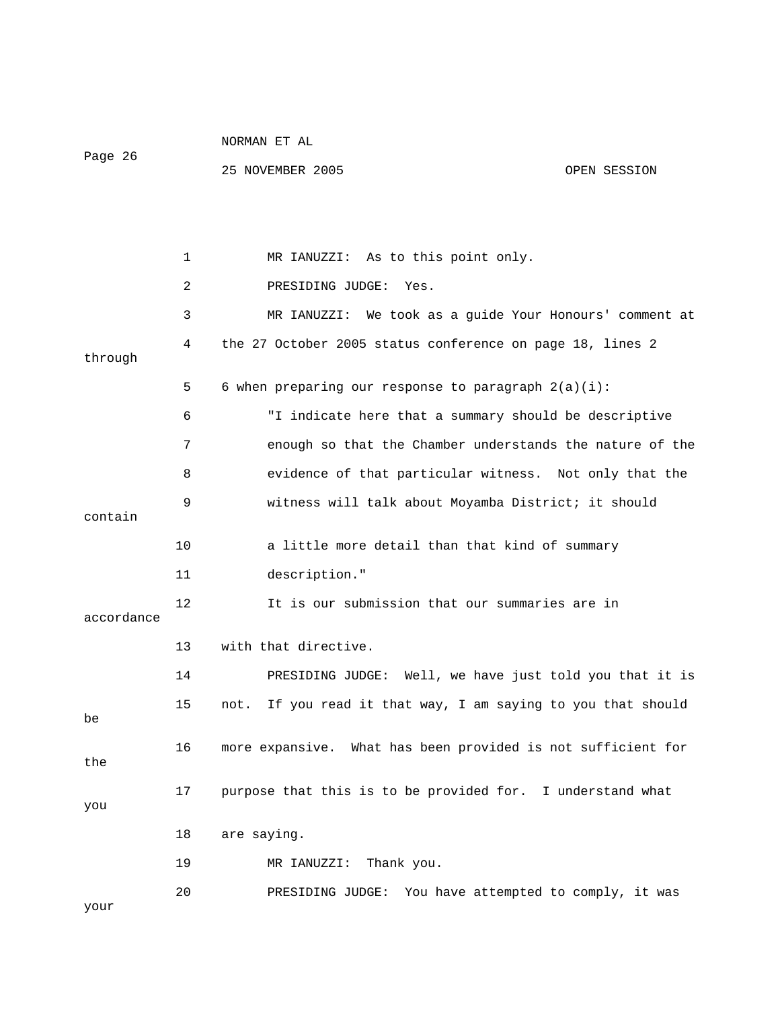|            |                 | NORMAN ET AL                                                 |              |
|------------|-----------------|--------------------------------------------------------------|--------------|
| Page 26    |                 | 25 NOVEMBER 2005                                             | OPEN SESSION |
|            |                 |                                                              |              |
|            |                 |                                                              |              |
|            | 1               | MR IANUZZI: As to this point only.                           |              |
|            | 2               | PRESIDING JUDGE:<br>Yes.                                     |              |
|            | 3               | MR IANUZZI: We took as a guide Your Honours' comment at      |              |
| through    | 4               | the 27 October 2005 status conference on page 18, lines 2    |              |
|            | 5               | 6 when preparing our response to paragraph $2(a)(i)$ :       |              |
|            | 6               | "I indicate here that a summary should be descriptive        |              |
|            | 7               | enough so that the Chamber understands the nature of the     |              |
|            | 8               | evidence of that particular witness. Not only that the       |              |
|            | 9               | witness will talk about Moyamba District; it should          |              |
| contain    |                 |                                                              |              |
|            | 10              | a little more detail than that kind of summary               |              |
|            | 11              | description."                                                |              |
| accordance | 12              | It is our submission that our summaries are in               |              |
|            | 13              | with that directive.                                         |              |
|            | 14              | PRESIDING JUDGE: Well, we have just told you that it is      |              |
| be         | 15 <sub>1</sub> | not. If you read it that way, I am saying to you that should |              |
| the        | 16              | more expansive. What has been provided is not sufficient for |              |
| you        | 17              | purpose that this is to be provided for. I understand what   |              |
|            | 18              | are saying.                                                  |              |
|            | 19              | Thank you.<br>MR IANUZZI:                                    |              |
|            | 20              | You have attempted to comply, it was<br>PRESIDING JUDGE:     |              |
| your       |                 |                                                              |              |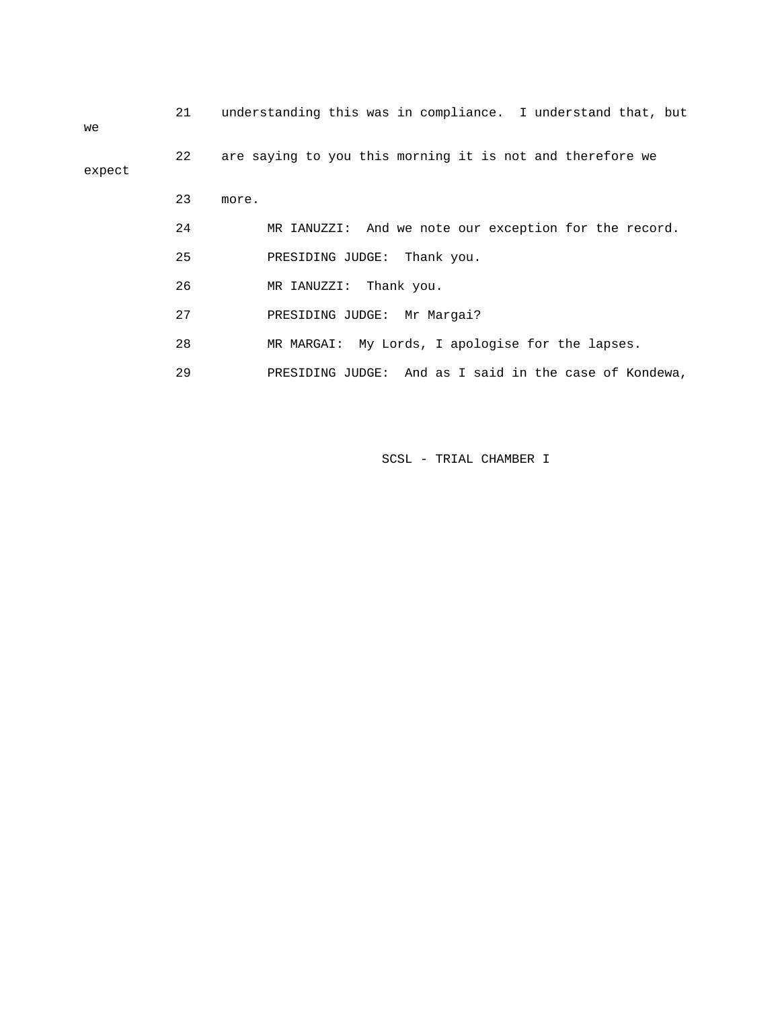| we     | 21 | understanding this was in compliance. I understand that, but |
|--------|----|--------------------------------------------------------------|
| expect | 22 | are saying to you this morning it is not and therefore we    |
|        | 23 | more.                                                        |
|        | 24 | MR IANUZZI: And we note our exception for the record.        |
|        | 25 | PRESIDING JUDGE: Thank you.                                  |
|        | 26 | MR IANUZZI: Thank you.                                       |
|        | 27 | PRESIDING JUDGE: Mr Margai?                                  |
|        | 28 | MR MARGAI: My Lords, I apologise for the lapses.             |
|        | 29 | PRESIDING JUDGE: And as I said in the case of Kondewa,       |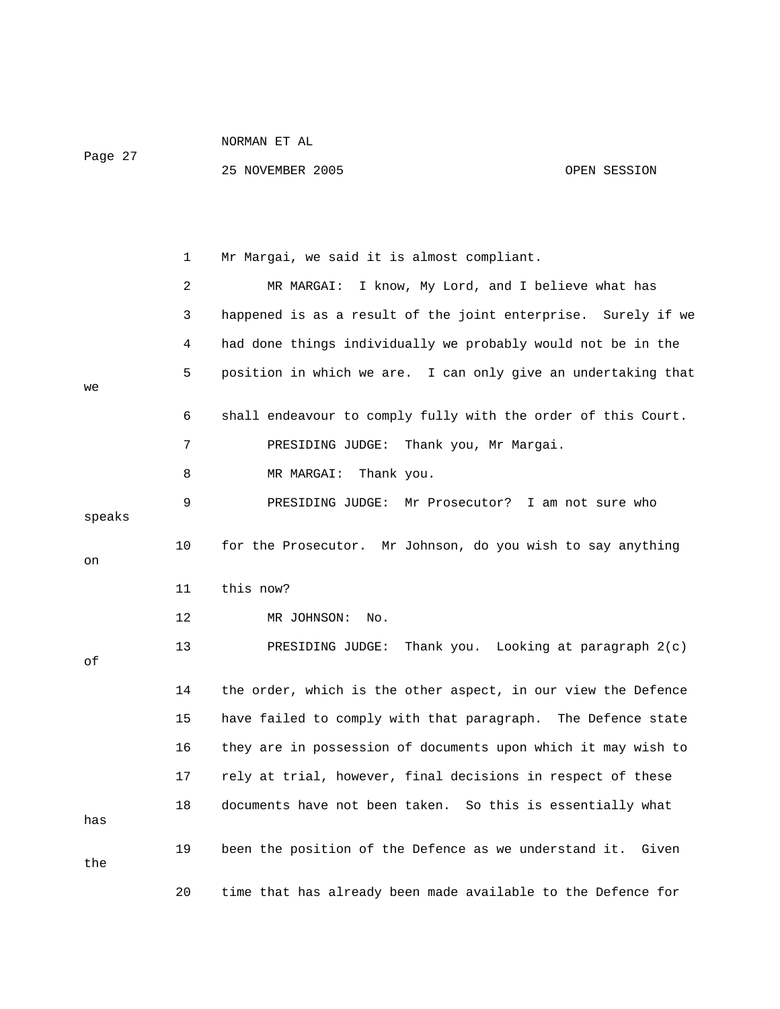| $\sim$ |  |
|--------|--|
|--------|--|

|        | 1  | Mr Margai, we said it is almost compliant.                    |
|--------|----|---------------------------------------------------------------|
|        | 2  | MR MARGAI:<br>I know, My Lord, and I believe what has         |
|        | 3  | happened is as a result of the joint enterprise. Surely if we |
|        | 4  | had done things individually we probably would not be in the  |
| we     | 5  | position in which we are. I can only give an undertaking that |
|        | 6  | shall endeavour to comply fully with the order of this Court. |
|        | 7  | Thank you, Mr Margai.<br>PRESIDING JUDGE:                     |
|        | 8  | MR MARGAI:<br>Thank you.                                      |
| speaks | 9  | PRESIDING JUDGE:<br>Mr Prosecutor?<br>I am not sure who       |
| on     | 10 | for the Prosecutor. Mr Johnson, do you wish to say anything   |
|        | 11 | this now?                                                     |
|        | 12 | MR JOHNSON:<br>No.                                            |
| оf     | 13 | PRESIDING JUDGE:<br>Thank you. Looking at paragraph $2(c)$    |
|        | 14 | the order, which is the other aspect, in our view the Defence |
|        | 15 | have failed to comply with that paragraph. The Defence state  |
|        | 16 | they are in possession of documents upon which it may wish to |
|        | 17 | rely at trial, however, final decisions in respect of these   |
| has    | 18 | documents have not been taken. So this is essentially what    |
| the    | 19 | been the position of the Defence as we understand it. Given   |
|        | 20 | time that has already been made available to the Defence for  |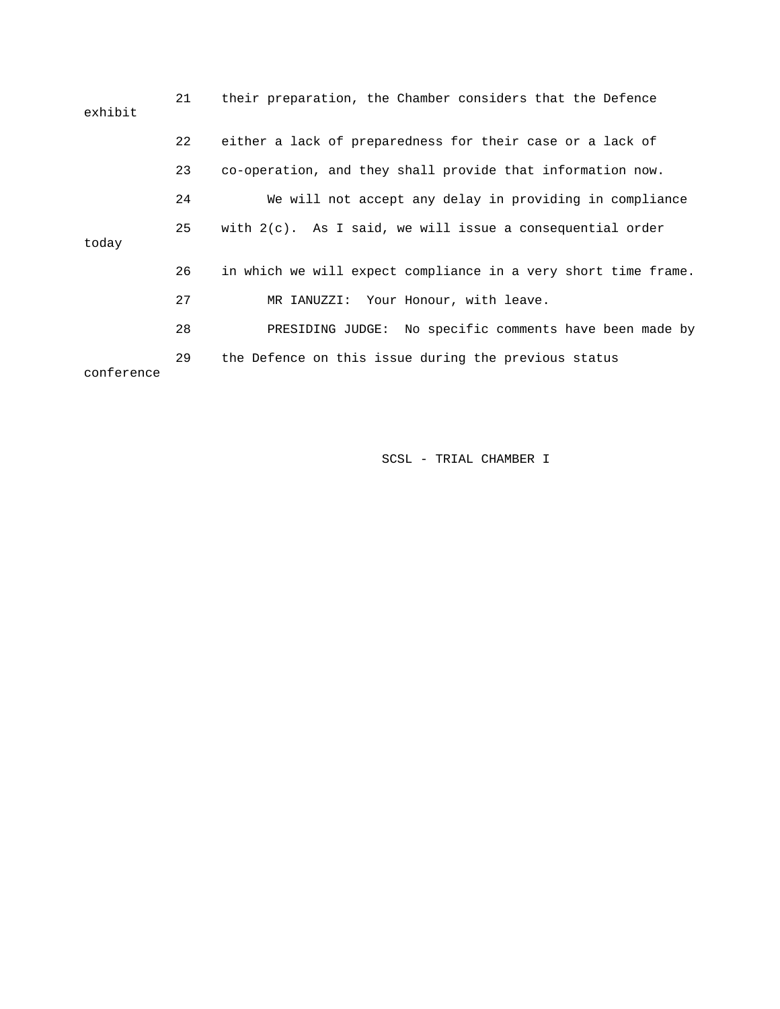| exhibit    | 21 | their preparation, the Chamber considers that the Defence      |
|------------|----|----------------------------------------------------------------|
|            | 22 | either a lack of preparedness for their case or a lack of      |
|            | 23 | co-operation, and they shall provide that information now.     |
| today      | 24 | We will not accept any delay in providing in compliance        |
|            | 25 | with $2(c)$ . As I said, we will issue a consequential order   |
|            |    |                                                                |
|            | 26 | in which we will expect compliance in a very short time frame. |
|            | 27 | MR IANUZZI: Your Honour, with leave.                           |
|            | 28 | PRESIDING JUDGE: No specific comments have been made by        |
| conference | 29 | the Defence on this issue during the previous status           |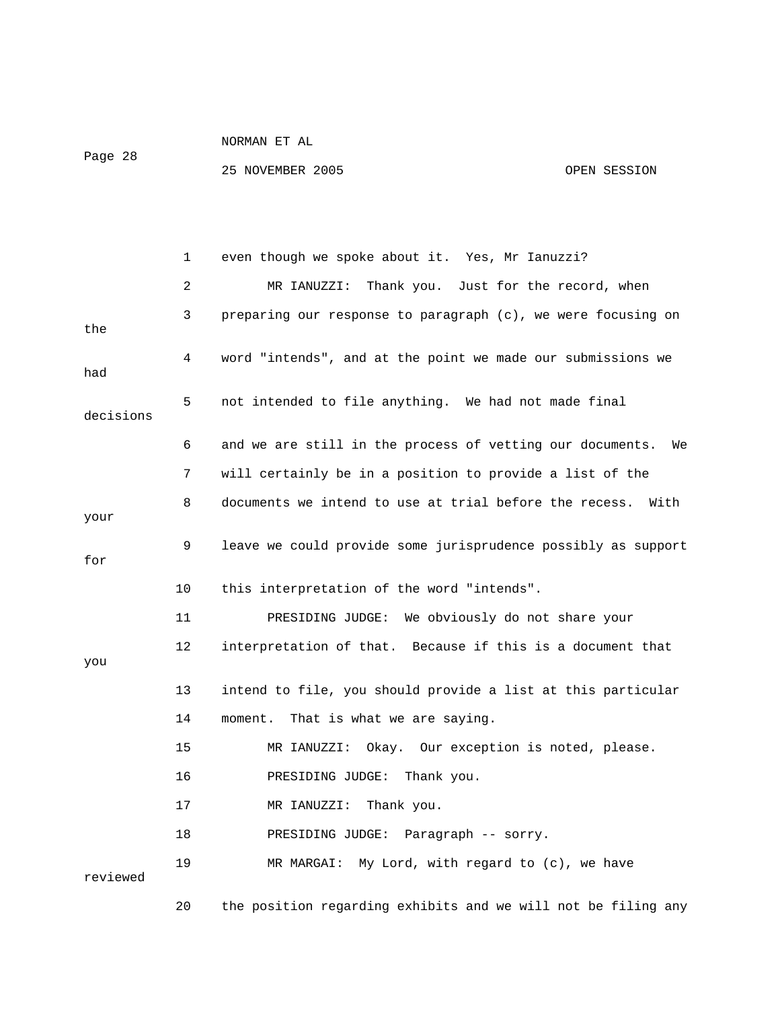Page 28

|           | 1  | even though we spoke about it. Yes, Mr Ianuzzi?                 |
|-----------|----|-----------------------------------------------------------------|
|           | 2  | Thank you. Just for the record, when<br>MR IANUZZI:             |
| the       | 3  | preparing our response to paragraph (c), we were focusing on    |
| had       | 4  | word "intends", and at the point we made our submissions we     |
| decisions | 5  | not intended to file anything. We had not made final            |
|           | 6  | and we are still in the process of vetting our documents.<br>We |
|           | 7  | will certainly be in a position to provide a list of the        |
| your      | 8  | documents we intend to use at trial before the recess.<br>With  |
| for       | 9  | leave we could provide some jurisprudence possibly as support   |
|           | 10 | this interpretation of the word "intends".                      |
|           | 11 | PRESIDING JUDGE: We obviously do not share your                 |
| you       | 12 | interpretation of that. Because if this is a document that      |
|           | 13 | intend to file, you should provide a list at this particular    |
|           | 14 | That is what we are saying.<br>moment.                          |
|           | 15 | MR IANUZZI: Okay. Our exception is noted, please.               |
|           | 16 | PRESIDING JUDGE:<br>Thank you.                                  |
|           | 17 | MR IANUZZI:<br>Thank you.                                       |
|           | 18 | PRESIDING JUDGE: Paragraph -- sorry.                            |
| reviewed  | 19 | My Lord, with regard to (c), we have<br>MR MARGAI:              |
|           | 20 | the position regarding exhibits and we will not be filing any   |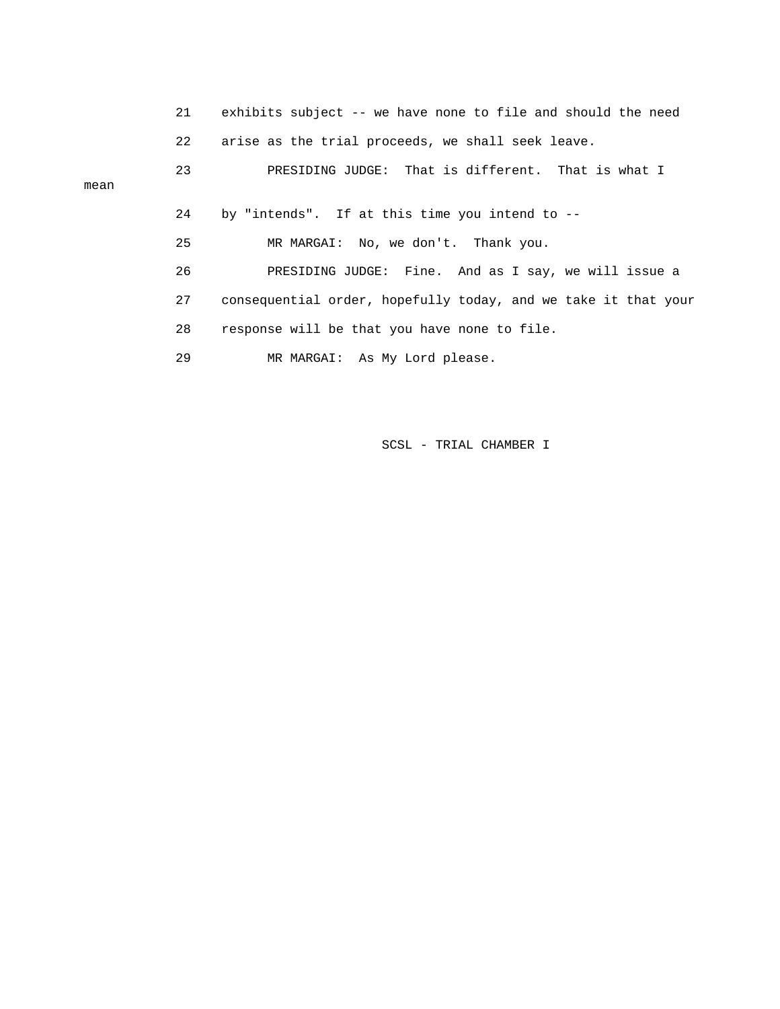21 exhibits subject -- we have none to file and should the need 22 arise as the trial proceeds, we shall seek leave. 23 PRESIDING JUDGE: That is different. That is what I mean 24 by "intends". If at this time you intend to -- 25 MR MARGAI: No, we don't. Thank you. 26 PRESIDING JUDGE: Fine. And as I say, we will issue a 27 consequential order, hopefully today, and we take it that your 28 response will be that you have none to file. 29 MR MARGAI: As My Lord please.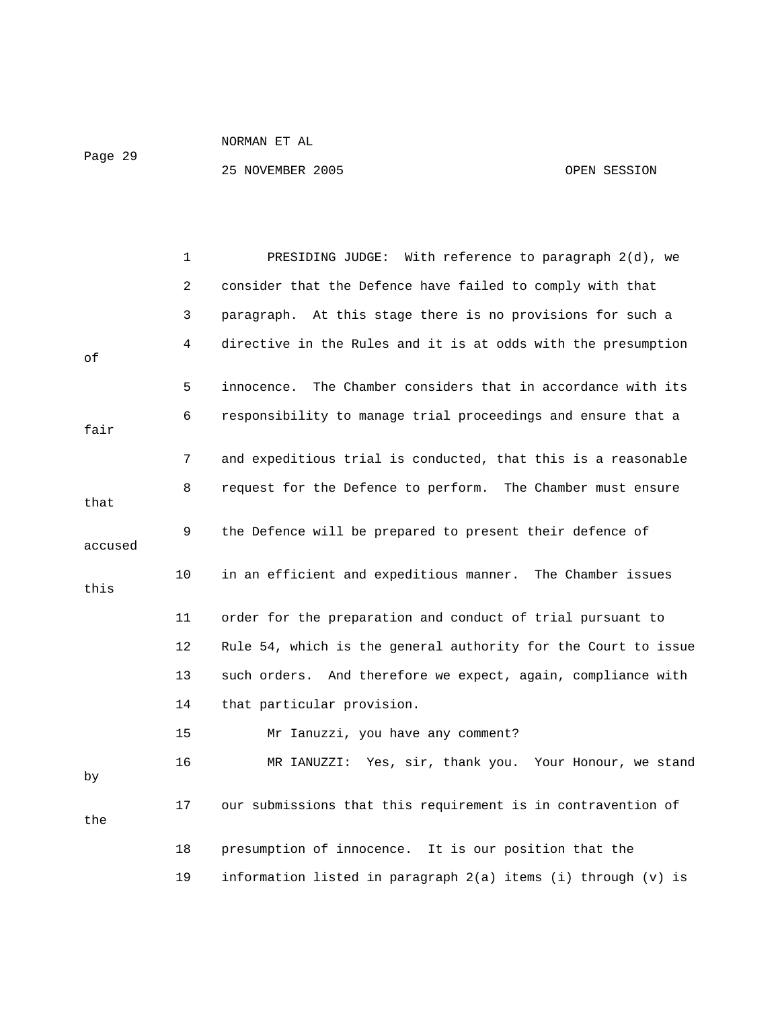Page 29

|         | 1  | PRESIDING JUDGE: With reference to paragraph 2(d), we           |
|---------|----|-----------------------------------------------------------------|
|         | 2  | consider that the Defence have failed to comply with that       |
|         | 3  | paragraph. At this stage there is no provisions for such a      |
| οf      | 4  | directive in the Rules and it is at odds with the presumption   |
|         | 5  | The Chamber considers that in accordance with its<br>innocence. |
| fair    | 6  | responsibility to manage trial proceedings and ensure that a    |
|         | 7  | and expeditious trial is conducted, that this is a reasonable   |
| that    | 8  | request for the Defence to perform. The Chamber must ensure     |
| accused | 9  | the Defence will be prepared to present their defence of        |
| this    | 10 | in an efficient and expeditious manner. The Chamber issues      |
|         | 11 | order for the preparation and conduct of trial pursuant to      |
|         | 12 | Rule 54, which is the general authority for the Court to issue  |
|         | 13 | such orders. And therefore we expect, again, compliance with    |
|         | 14 | that particular provision.                                      |
|         | 15 | Mr Ianuzzi, you have any comment?                               |
| by      | 16 | MR IANUZZI: Yes, sir, thank you. Your Honour, we stand          |
| the     | 17 | our submissions that this requirement is in contravention of    |
|         | 18 | presumption of innocence. It is our position that the           |
|         | 19 | information listed in paragraph 2(a) items (i) through (v) is   |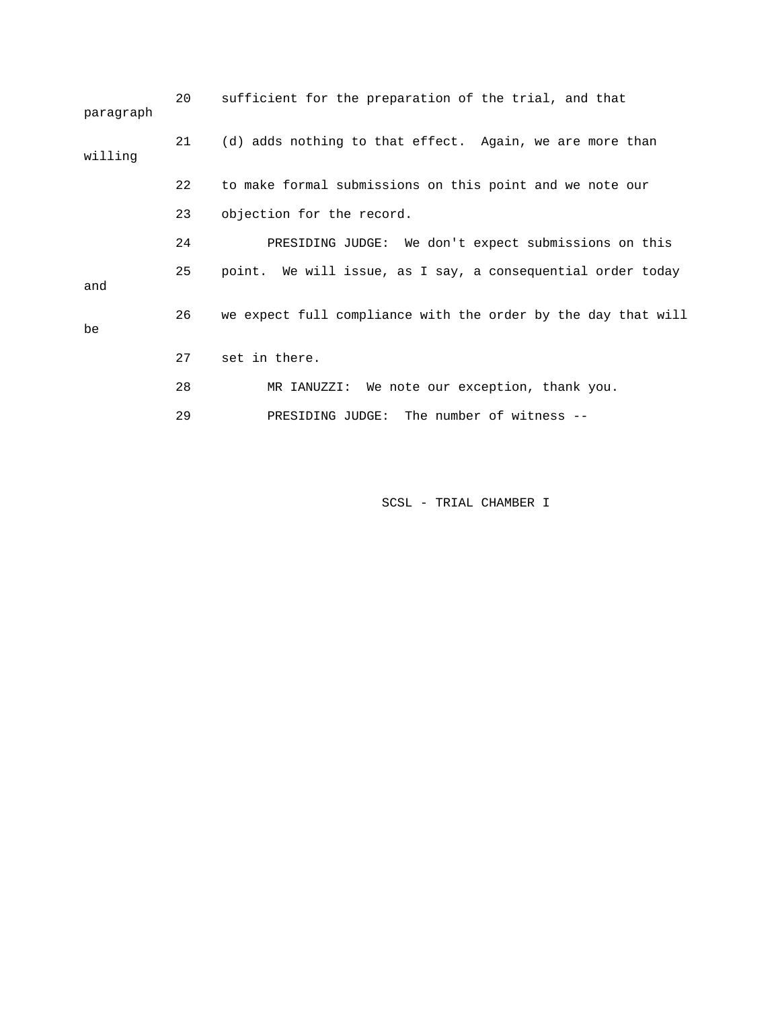| 20 | sufficient for the preparation of the trial, and that         |
|----|---------------------------------------------------------------|
| 21 | (d) adds nothing to that effect. Again, we are more than      |
| 22 | to make formal submissions on this point and we note our      |
| 23 | objection for the record.                                     |
| 24 | PRESIDING JUDGE: We don't expect submissions on this          |
| 25 | point. We will issue, as I say, a consequential order today   |
| 26 | we expect full compliance with the order by the day that will |
| 27 | set in there.                                                 |
| 28 | MR IANUZZI: We note our exception, thank you.                 |
| 29 | PRESIDING JUDGE: The number of witness --                     |
|    |                                                               |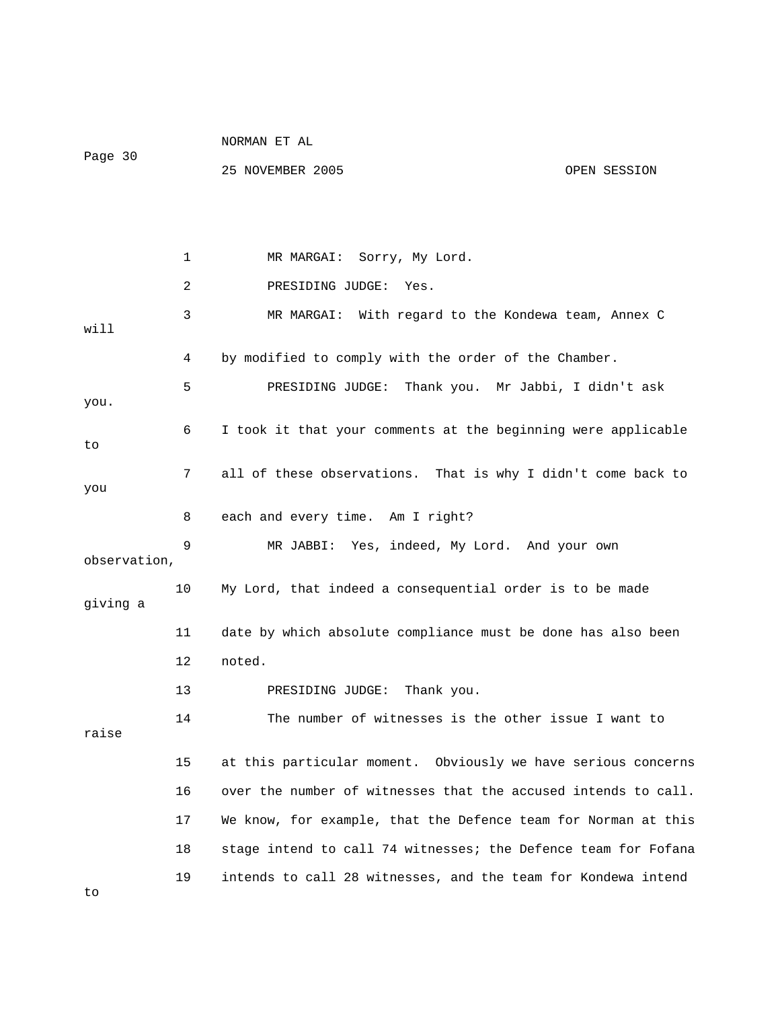|              |    | NORMAN ET AL                                                   |              |
|--------------|----|----------------------------------------------------------------|--------------|
| Page 30      |    | 25 NOVEMBER 2005                                               | OPEN SESSION |
|              |    |                                                                |              |
|              |    |                                                                |              |
|              | 1  | Sorry, My Lord.<br>MR MARGAI:                                  |              |
|              | 2  | PRESIDING JUDGE:<br>Yes.                                       |              |
| will         | 3  | MR MARGAI: With regard to the Kondewa team, Annex C            |              |
|              | 4  | by modified to comply with the order of the Chamber.           |              |
| you.         | 5  | Thank you. Mr Jabbi, I didn't ask<br>PRESIDING JUDGE:          |              |
| to           | 6  | I took it that your comments at the beginning were applicable  |              |
| you          | 7  | all of these observations. That is why I didn't come back to   |              |
|              | 8  | each and every time. Am I right?                               |              |
| observation, | 9  | MR JABBI: Yes, indeed, My Lord. And your own                   |              |
| giving a     | 10 | My Lord, that indeed a consequential order is to be made       |              |
|              | 11 | date by which absolute compliance must be done has also been   |              |
|              | 12 | noted.                                                         |              |
|              | 13 | Thank you.<br>PRESIDING JUDGE:                                 |              |
| raise        | 14 | The number of witnesses is the other issue I want to           |              |
|              | 15 | at this particular moment. Obviously we have serious concerns  |              |
|              | 16 | over the number of witnesses that the accused intends to call. |              |
|              | 17 | We know, for example, that the Defence team for Norman at this |              |
|              | 18 | stage intend to call 74 witnesses; the Defence team for Fofana |              |
| to           | 19 | intends to call 28 witnesses, and the team for Kondewa intend  |              |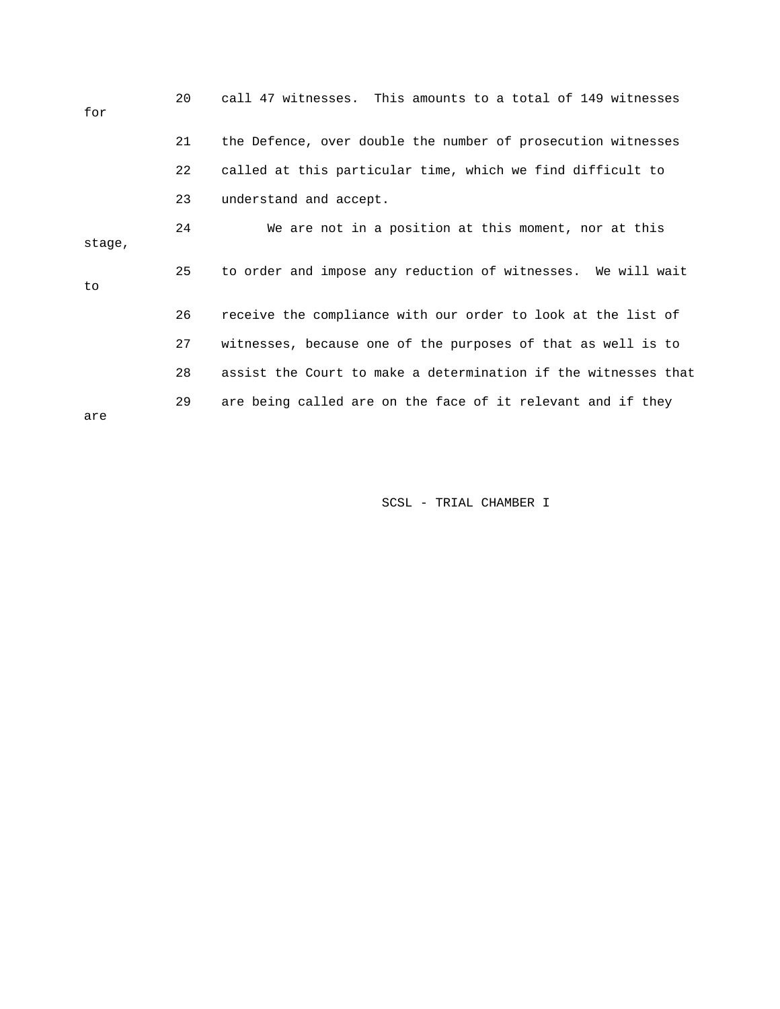| for    | 20 | call 47 witnesses. This amounts to a total of 149 witnesses    |
|--------|----|----------------------------------------------------------------|
|        | 21 | the Defence, over double the number of prosecution witnesses   |
|        | 22 | called at this particular time, which we find difficult to     |
|        | 23 | understand and accept.                                         |
| stage, | 24 | We are not in a position at this moment, nor at this           |
| to     | 25 | to order and impose any reduction of witnesses. We will wait   |
|        | 26 | receive the compliance with our order to look at the list of   |
|        | 27 | witnesses, because one of the purposes of that as well is to   |
|        | 28 | assist the Court to make a determination if the witnesses that |
| are    | 29 | are being called are on the face of it relevant and if they    |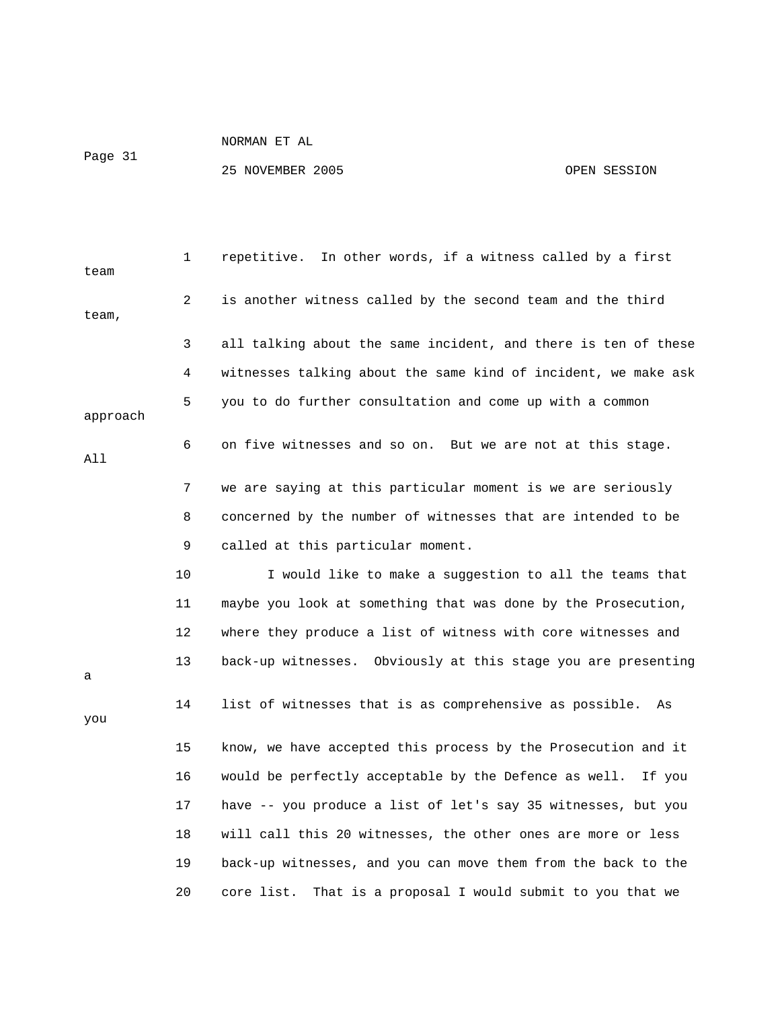Page 31

| team     | 1              | repetitive. In other words, if a witness called by a first      |
|----------|----------------|-----------------------------------------------------------------|
| team,    | $\overline{2}$ | is another witness called by the second team and the third      |
|          | 3              | all talking about the same incident, and there is ten of these  |
|          | 4              | witnesses talking about the same kind of incident, we make ask  |
| approach | 5              | you to do further consultation and come up with a common        |
| All      | 6              | on five witnesses and so on. But we are not at this stage.      |
|          | 7              | we are saying at this particular moment is we are seriously     |
|          | 8              | concerned by the number of witnesses that are intended to be    |
|          | 9              | called at this particular moment.                               |
|          | 10             | I would like to make a suggestion to all the teams that         |
|          | 11             | maybe you look at something that was done by the Prosecution,   |
|          | 12             | where they produce a list of witness with core witnesses and    |
| а        | 13             | back-up witnesses. Obviously at this stage you are presenting   |
| you      | 14             | list of witnesses that is as comprehensive as possible.<br>As   |
|          | 15             | know, we have accepted this process by the Prosecution and it   |
|          | 16             | would be perfectly acceptable by the Defence as well.<br>If you |
|          | 17             | have -- you produce a list of let's say 35 witnesses, but you   |
|          | 18             | will call this 20 witnesses, the other ones are more or less    |
|          | 19             | back-up witnesses, and you can move them from the back to the   |
|          | 20             | core list.<br>That is a proposal I would submit to you that we  |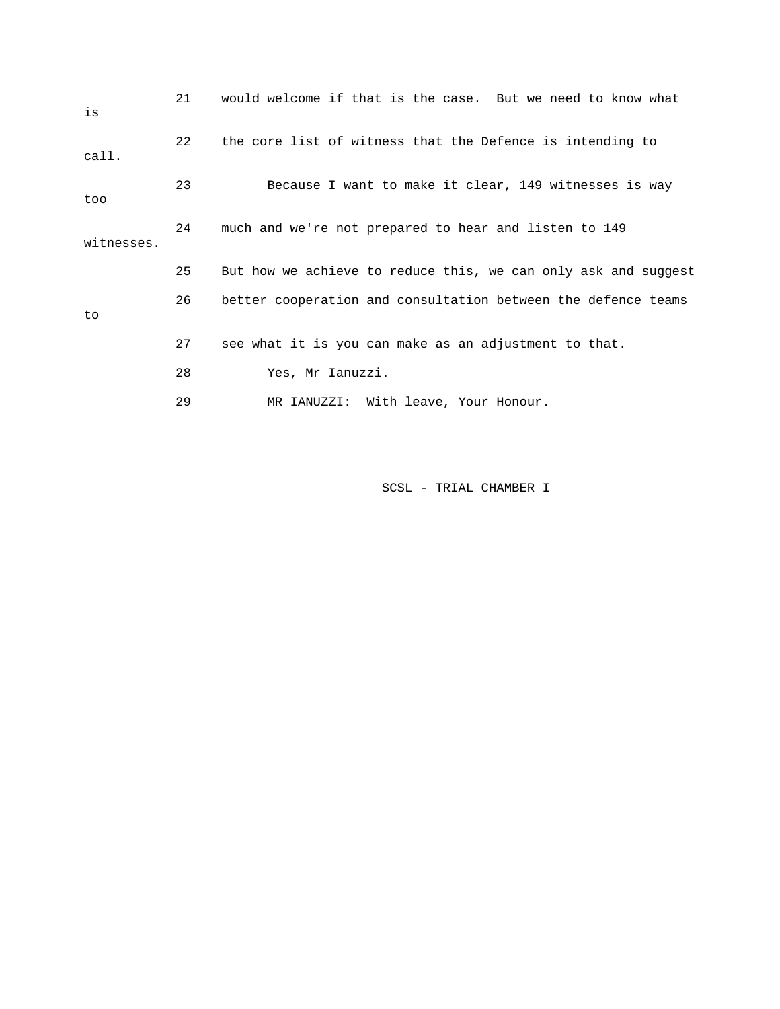| is         | 21 | would welcome if that is the case. But we need to know what    |
|------------|----|----------------------------------------------------------------|
| call.      | 22 | the core list of witness that the Defence is intending to      |
| too        | 23 | Because I want to make it clear, 149 witnesses is way          |
| witnesses. | 24 | much and we're not prepared to hear and listen to 149          |
|            | 25 | But how we achieve to reduce this, we can only ask and suggest |
| to         | 26 | better cooperation and consultation between the defence teams  |
|            | 27 | see what it is you can make as an adjustment to that.          |
|            | 28 | Yes, Mr Ianuzzi.                                               |
|            | 29 | MR IANUZZI: With leave, Your Honour.                           |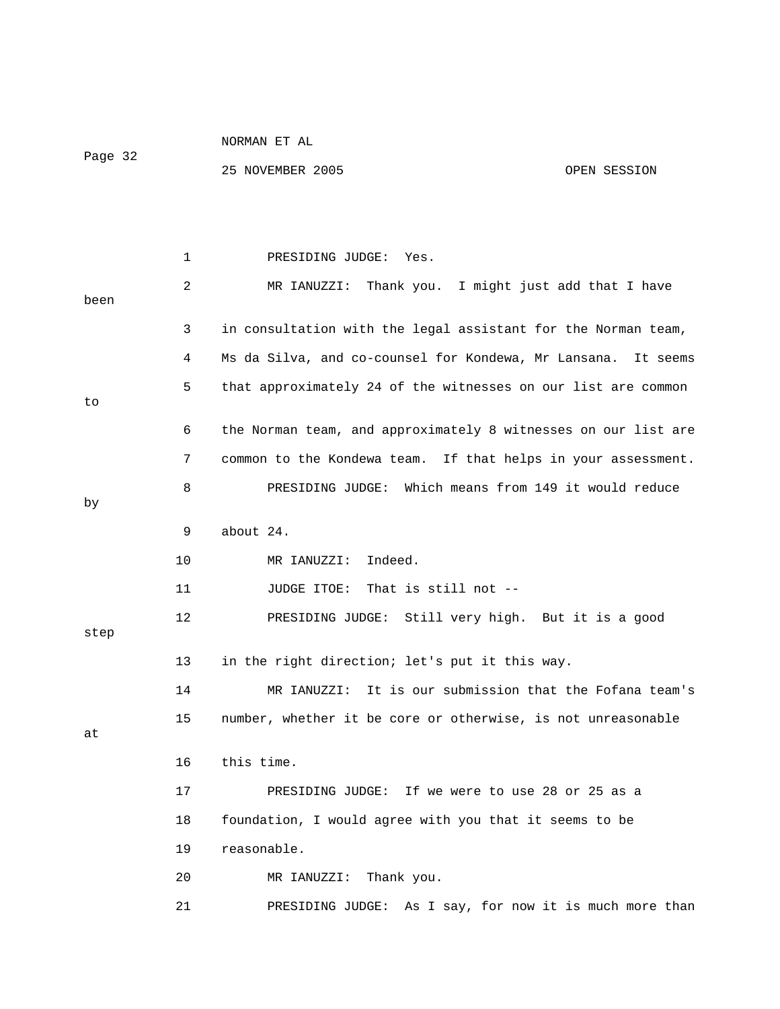| Page 32 |    | 25 NOVEMBER 2005<br>OPEN SESSION                                 |
|---------|----|------------------------------------------------------------------|
|         |    |                                                                  |
|         | 1  | PRESIDING JUDGE:<br>Yes.                                         |
| been    | 2  | MR IANUZZI: Thank you.<br>I might just add that I have           |
|         | 3  | in consultation with the legal assistant for the Norman team,    |
|         | 4  | Ms da Silva, and co-counsel for Kondewa, Mr Lansana.<br>It seems |
| to      | 5  | that approximately 24 of the witnesses on our list are common    |
|         | 6  | the Norman team, and approximately 8 witnesses on our list are   |
|         | 7  | common to the Kondewa team. If that helps in your assessment.    |
| by      | 8  | PRESIDING JUDGE: Which means from 149 it would reduce            |
|         | 9  | about 24.                                                        |
|         | 10 | MR IANUZZI:<br>Indeed.                                           |
|         | 11 | That is still not $-$ -<br>JUDGE ITOE:                           |
| step    | 12 | PRESIDING JUDGE: Still very high. But it is a good               |
|         | 13 | in the right direction; let's put it this way.                   |
|         | 14 | It is our submission that the Fofana team's<br>MR IANUZZI:       |
| at      | 15 | number, whether it be core or otherwise, is not unreasonable     |
|         | 16 | this time.                                                       |
|         | 17 | PRESIDING JUDGE: If we were to use 28 or 25 as a                 |
|         | 18 | foundation, I would agree with you that it seems to be           |
|         | 19 | reasonable.                                                      |
|         | 20 | MR IANUZZI: Thank you.                                           |
|         | 21 | PRESIDING JUDGE: As I say, for now it is much more than          |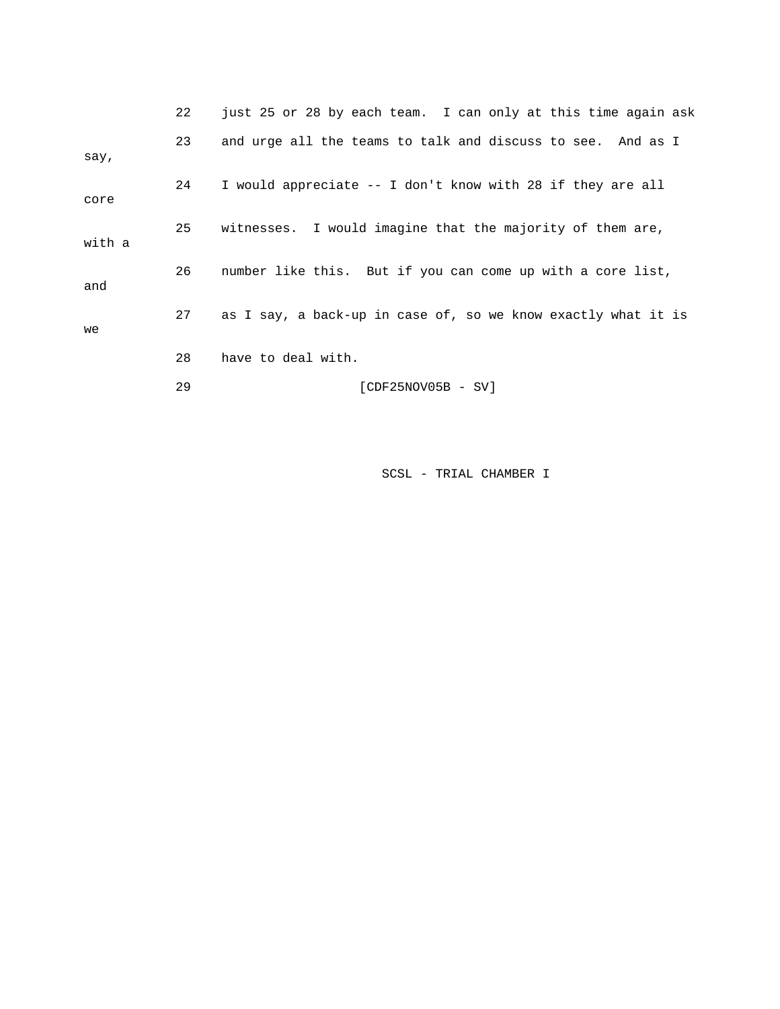|        | 22 | just 25 or 28 by each team. I can only at this time again ask |
|--------|----|---------------------------------------------------------------|
| say,   | 23 | and urge all the teams to talk and discuss to see. And as I   |
| core   | 24 | I would appreciate -- I don't know with 28 if they are all    |
| with a | 25 | witnesses. I would imagine that the majority of them are,     |
| and    | 26 | number like this. But if you can come up with a core list,    |
| we     | 27 | as I say, a back-up in case of, so we know exactly what it is |
|        | 28 | have to deal with.                                            |
|        | 29 | [CDF25NOV05B - SV]                                            |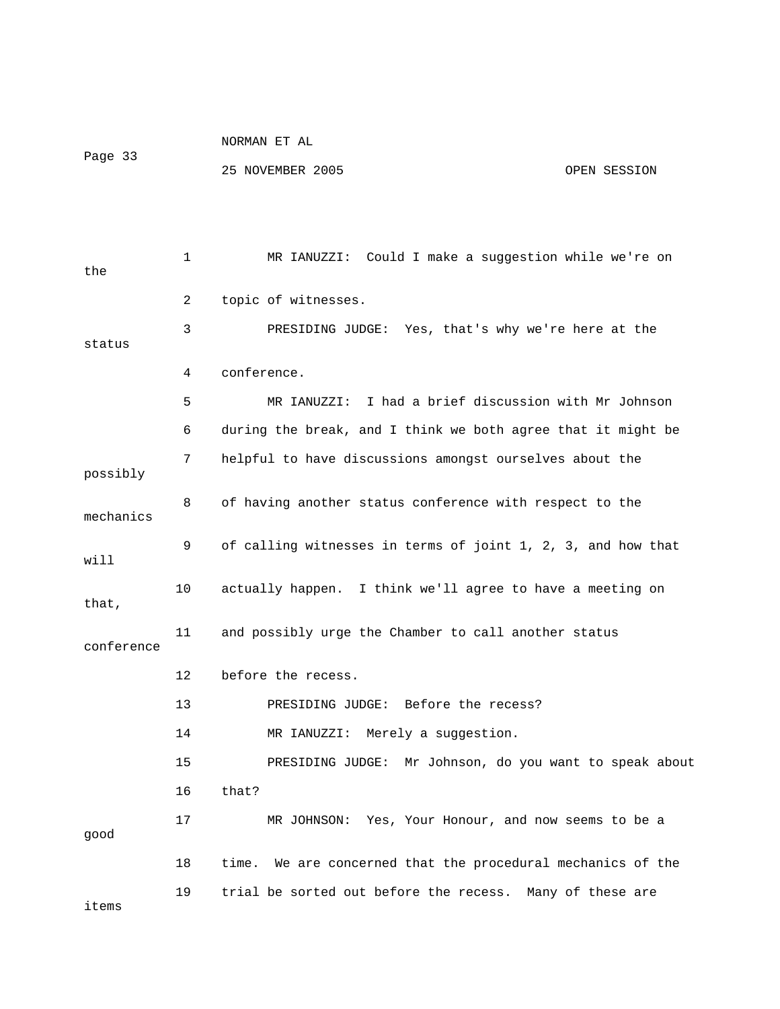NORMAN ET AL Page 33

| the        | 1              | MR IANUZZI: Could I make a suggestion while we're on         |
|------------|----------------|--------------------------------------------------------------|
|            | $\overline{2}$ | topic of witnesses.                                          |
| status     | 3              | PRESIDING JUDGE: Yes, that's why we're here at the           |
|            | 4              | conference.                                                  |
|            | 5              | MR IANUZZI: I had a brief discussion with Mr Johnson         |
|            | 6              | during the break, and I think we both agree that it might be |
| possibly   | 7              | helpful to have discussions amongst ourselves about the      |
| mechanics  | 8              | of having another status conference with respect to the      |
| will       | 9              | of calling witnesses in terms of joint 1, 2, 3, and how that |
| that,      | 10             | actually happen. I think we'll agree to have a meeting on    |
| conference | 11             | and possibly urge the Chamber to call another status         |
|            | 12             | before the recess.                                           |
|            | 13             | PRESIDING JUDGE: Before the recess?                          |
|            | 14             | MR IANUZZI: Merely a suggestion.                             |
|            | 15             | PRESIDING JUDGE: Mr Johnson, do you want to speak about      |
|            | 16             | that?                                                        |
| good       | 17             | MR JOHNSON: Yes, Your Honour, and now seems to be a          |
|            | 18             | time. We are concerned that the procedural mechanics of the  |
| items      | 19             | trial be sorted out before the recess. Many of these are     |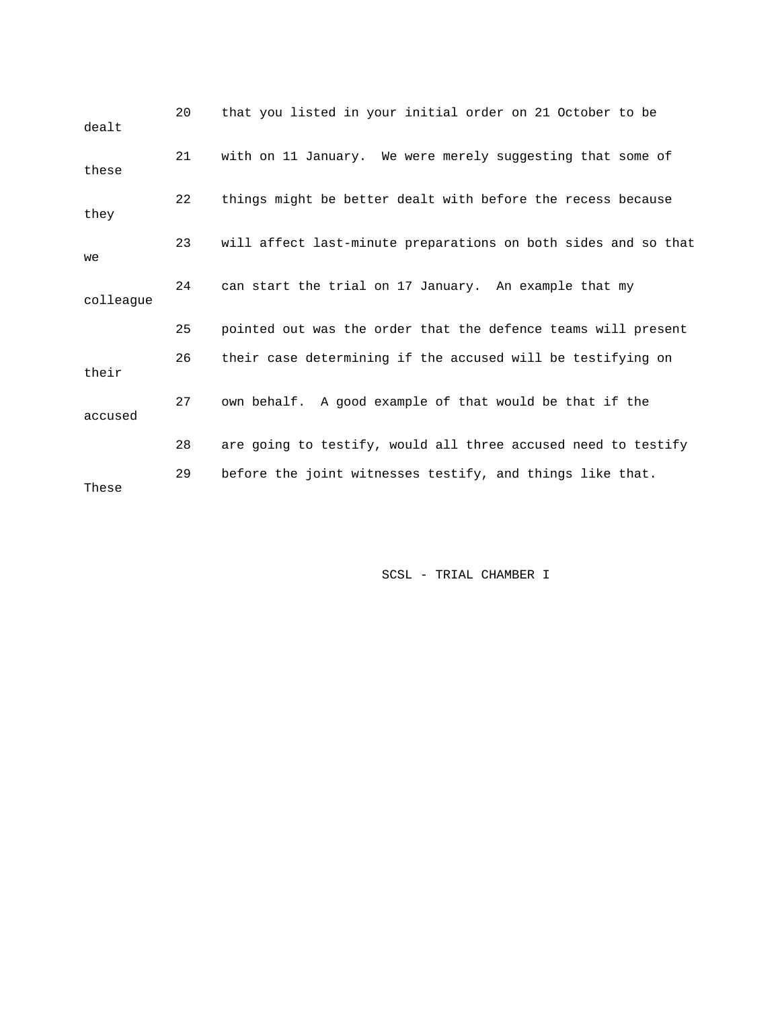| dealt     | 20 | that you listed in your initial order on 21 October to be      |
|-----------|----|----------------------------------------------------------------|
| these     | 21 | with on 11 January. We were merely suggesting that some of     |
| they      | 22 | things might be better dealt with before the recess because    |
| we        | 23 | will affect last-minute preparations on both sides and so that |
| colleague | 24 | can start the trial on 17 January. An example that my          |
|           | 25 | pointed out was the order that the defence teams will present  |
| their     | 26 | their case determining if the accused will be testifying on    |
| accused   | 27 | own behalf. A good example of that would be that if the        |
|           | 28 | are going to testify, would all three accused need to testify  |
| These     | 29 | before the joint witnesses testify, and things like that.      |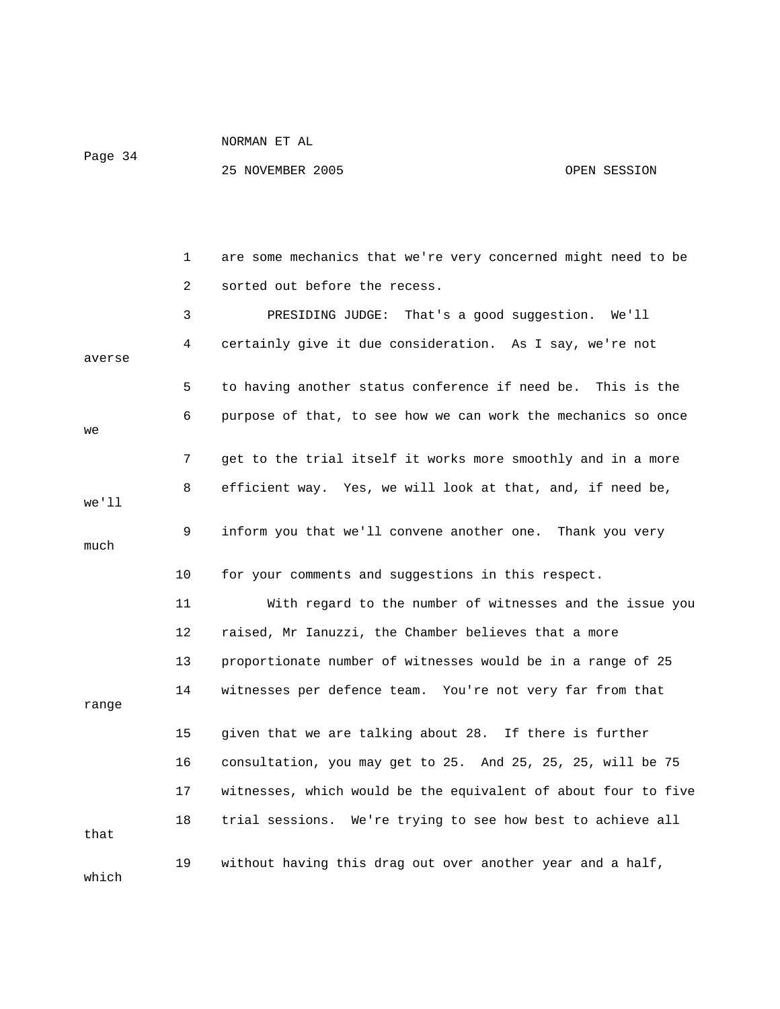| NORMAN I | EТ | AT. |
|----------|----|-----|
|          |    |     |

Page 34

|        | 1  | are some mechanics that we're very concerned might need to be  |
|--------|----|----------------------------------------------------------------|
|        | 2  | sorted out before the recess.                                  |
|        | 3  | That's a good suggestion. We'll<br>PRESIDING JUDGE:            |
| averse | 4  | certainly give it due consideration. As I say, we're not       |
|        | 5  | to having another status conference if need be. This is the    |
| we     | 6  | purpose of that, to see how we can work the mechanics so once  |
|        | 7  | get to the trial itself it works more smoothly and in a more   |
| we'll  | 8  | efficient way. Yes, we will look at that, and, if need be,     |
| much   | 9  | inform you that we'll convene another one. Thank you very      |
|        | 10 | for your comments and suggestions in this respect.             |
|        | 11 | With regard to the number of witnesses and the issue you       |
|        | 12 | raised, Mr Ianuzzi, the Chamber believes that a more           |
|        | 13 | proportionate number of witnesses would be in a range of 25    |
| range  | 14 | witnesses per defence team. You're not very far from that      |
|        | 15 | given that we are talking about 28. If there is further        |
|        | 16 | consultation, you may get to 25. And 25, 25, 25, will be 75    |
|        | 17 | witnesses, which would be the equivalent of about four to five |
| that   | 18 | trial sessions. We're trying to see how best to achieve all    |
| which  | 19 | without having this drag out over another year and a half,     |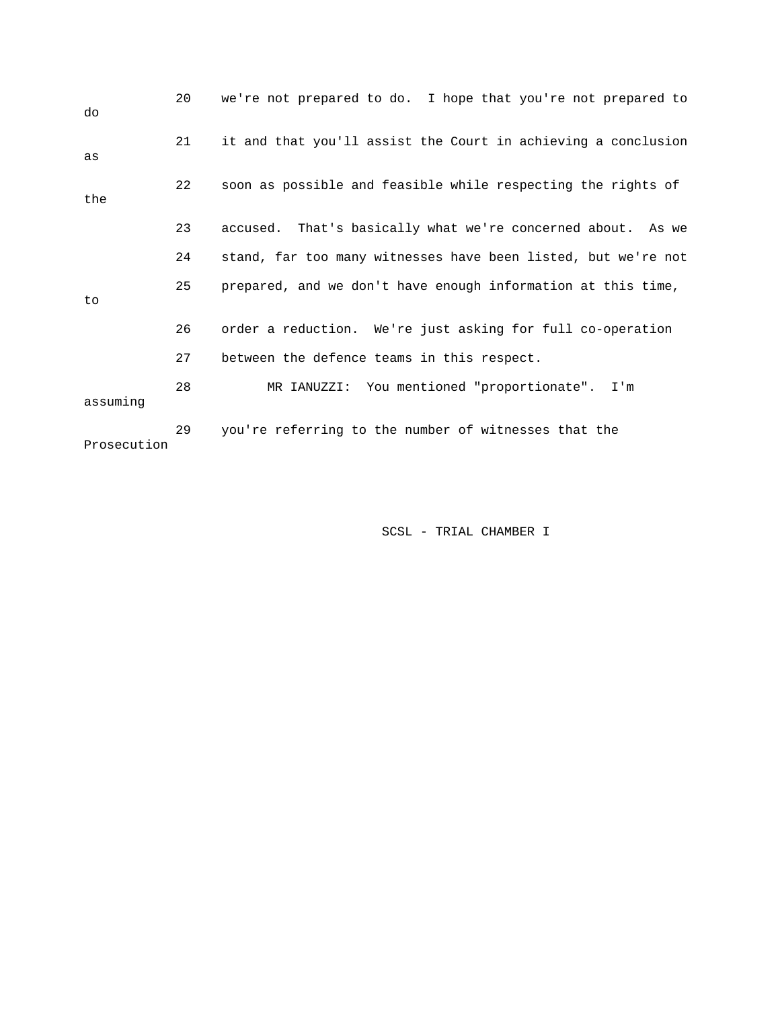| do          | 20 | we're not prepared to do. I hope that you're not prepared to  |
|-------------|----|---------------------------------------------------------------|
| as          | 21 | it and that you'll assist the Court in achieving a conclusion |
| the         | 22 | soon as possible and feasible while respecting the rights of  |
|             | 23 | accused. That's basically what we're concerned about. As we   |
|             | 24 | stand, far too many witnesses have been listed, but we're not |
| to          | 25 | prepared, and we don't have enough information at this time,  |
|             | 26 | order a reduction. We're just asking for full co-operation    |
|             | 27 | between the defence teams in this respect.                    |
| assuming    | 28 | MR IANUZZI: You mentioned "proportionate". I'm                |
| Prosecution | 29 | you're referring to the number of witnesses that the          |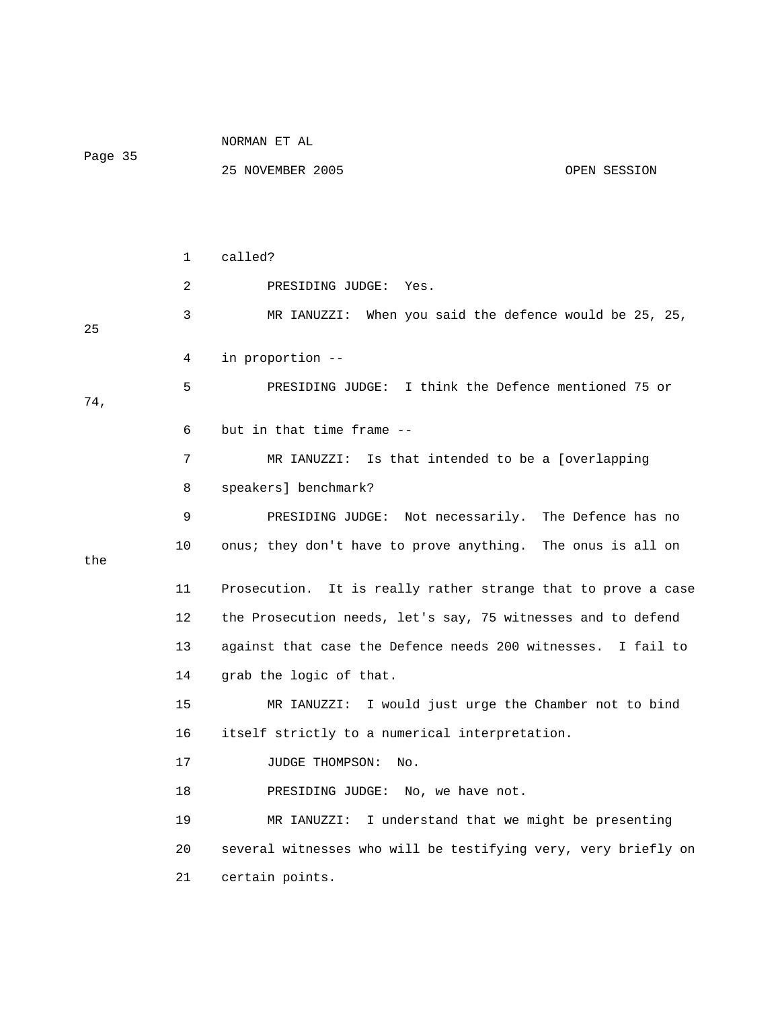|         |                 | NORMAN ET AL                                                   |
|---------|-----------------|----------------------------------------------------------------|
| Page 35 |                 | 25 NOVEMBER 2005<br>OPEN SESSION                               |
|         |                 |                                                                |
|         |                 |                                                                |
|         | 1               | called?                                                        |
|         | 2               | PRESIDING JUDGE:<br>Yes.                                       |
| 25      | 3               | MR IANUZZI: When you said the defence would be 25, 25,         |
|         | 4               | in proportion --                                               |
| 74,     | 5               | PRESIDING JUDGE: I think the Defence mentioned 75 or           |
|         | 6               | but in that time frame --                                      |
|         | 7               | MR IANUZZI: Is that intended to be a [overlapping              |
|         | 8               | speakers] benchmark?                                           |
|         | 9               | PRESIDING JUDGE: Not necessarily. The Defence has no           |
| the     | 10              | onus; they don't have to prove anything. The onus is all on    |
|         | 11              | Prosecution. It is really rather strange that to prove a case  |
|         | 12              | the Prosecution needs, let's say, 75 witnesses and to defend   |
|         | 13              | against that case the Defence needs 200 witnesses. I fail to   |
|         | 14              | grab the logic of that.                                        |
|         | 15 <sub>1</sub> | MR IANUZZI: I would just urge the Chamber not to bind          |
|         | 16              | itself strictly to a numerical interpretation.                 |
|         | 17              | JUDGE THOMPSON:<br>No.                                         |
|         | 18              | PRESIDING JUDGE: No, we have not.                              |
|         | 19              | I understand that we might be presenting<br>MR IANUZZI:        |
|         | 20              | several witnesses who will be testifying very, very briefly on |
|         | 21              | certain points.                                                |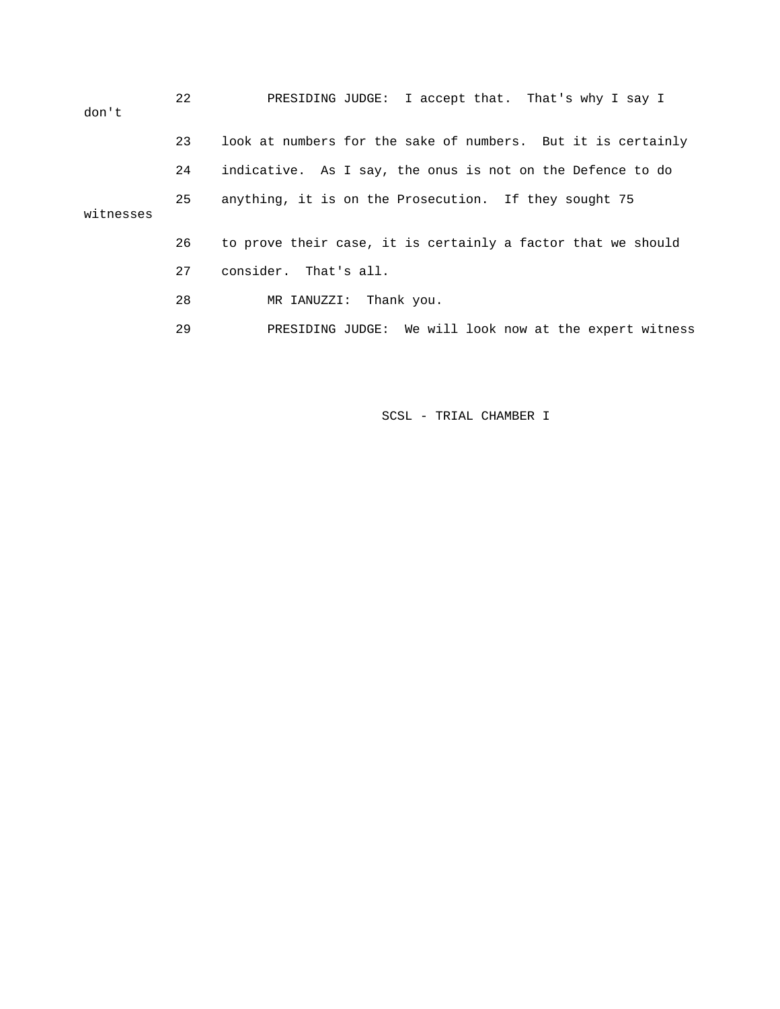| don't     | 22 | PRESIDING JUDGE: I accept that. That's why I say I           |
|-----------|----|--------------------------------------------------------------|
|           | 23 | look at numbers for the sake of numbers. But it is certainly |
|           | 24 | indicative. As I say, the onus is not on the Defence to do   |
| witnesses | 25 | anything, it is on the Prosecution. If they sought 75        |
|           | 26 | to prove their case, it is certainly a factor that we should |
|           | 27 | consider. That's all.                                        |
|           | 28 | MR IANUZZI: Thank you.                                       |
|           | 29 | PRESIDING JUDGE: We will look now at the expert witness      |
|           |    |                                                              |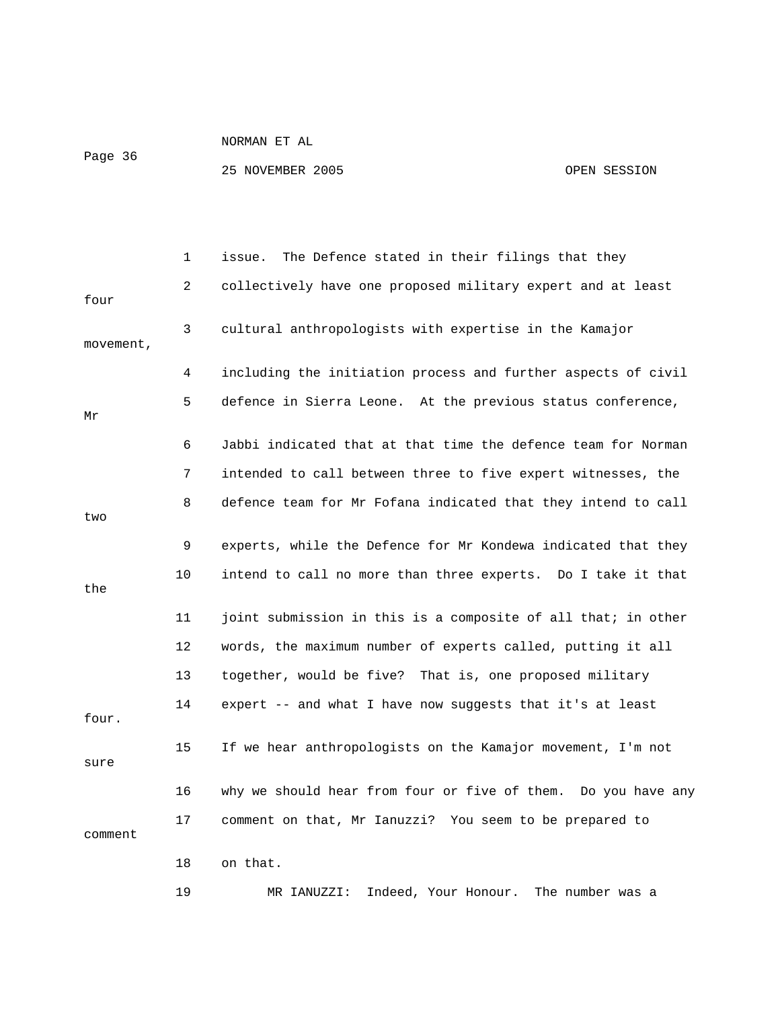Page 36

|           | 1  | The Defence stated in their filings that they<br>issue.       |
|-----------|----|---------------------------------------------------------------|
| four      | 2  | collectively have one proposed military expert and at least   |
| movement, | 3  | cultural anthropologists with expertise in the Kamajor        |
|           | 4  | including the initiation process and further aspects of civil |
| Μr        | 5  | defence in Sierra Leone. At the previous status conference,   |
|           | 6  | Jabbi indicated that at that time the defence team for Norman |
|           | 7  | intended to call between three to five expert witnesses, the  |
| two       | 8  | defence team for Mr Fofana indicated that they intend to call |
|           | 9  | experts, while the Defence for Mr Kondewa indicated that they |
| the       | 10 | intend to call no more than three experts. Do I take it that  |
|           | 11 | joint submission in this is a composite of all that; in other |
|           | 12 | words, the maximum number of experts called, putting it all   |
|           | 13 | together, would be five? That is, one proposed military       |
| four.     | 14 | expert -- and what I have now suggests that it's at least     |
| sure      | 15 | If we hear anthropologists on the Kamajor movement, I'm not   |
|           | 16 | why we should hear from four or five of them. Do you have any |
| comment   | 17 | comment on that, Mr Ianuzzi? You seem to be prepared to       |
|           | 18 | on that.                                                      |
|           | 19 | Indeed, Your Honour.<br>The number was a<br>MR IANUZZI:       |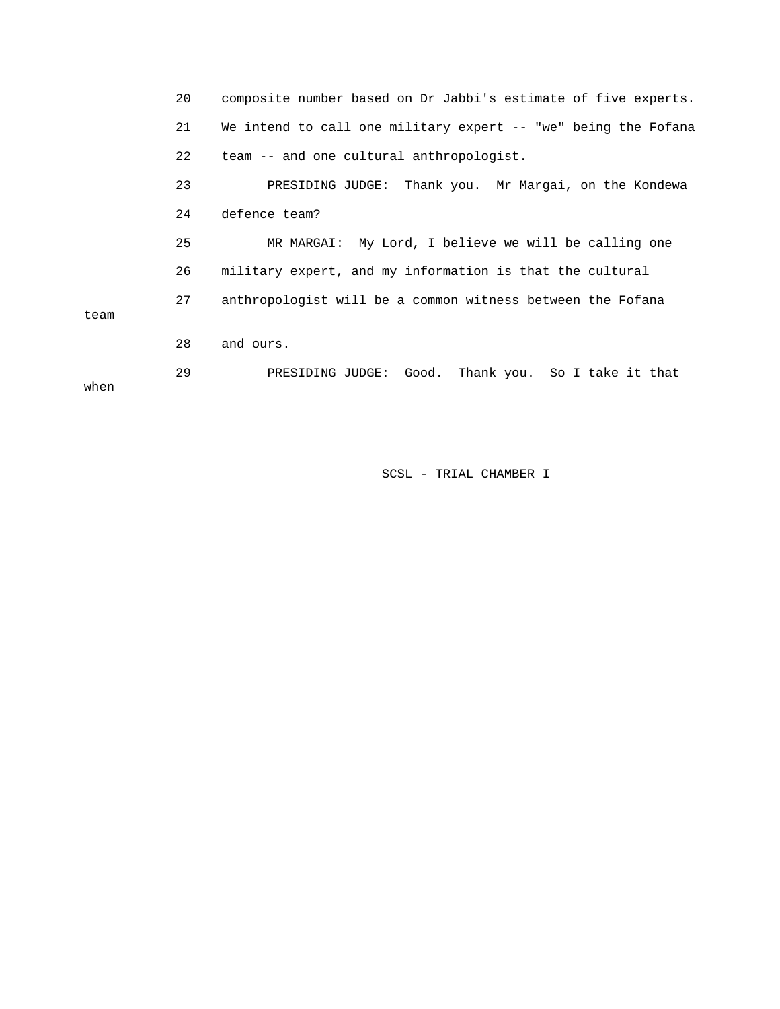|      | 20 | composite number based on Dr Jabbi's estimate of five experts. |
|------|----|----------------------------------------------------------------|
|      | 21 | We intend to call one military expert -- "we" being the Fofana |
|      | 22 | team -- and one cultural anthropologist.                       |
|      | 23 | PRESIDING JUDGE: Thank you. Mr Margai, on the Kondewa          |
|      | 24 | defence team?                                                  |
|      | 25 | MR MARGAI: My Lord, I believe we will be calling one           |
|      | 26 | military expert, and my information is that the cultural       |
| team | 27 | anthropologist will be a common witness between the Fofana     |
|      | 28 | and ours.                                                      |
| when | 29 | PRESIDING JUDGE: Good. Thank you. So I take it that            |
|      |    |                                                                |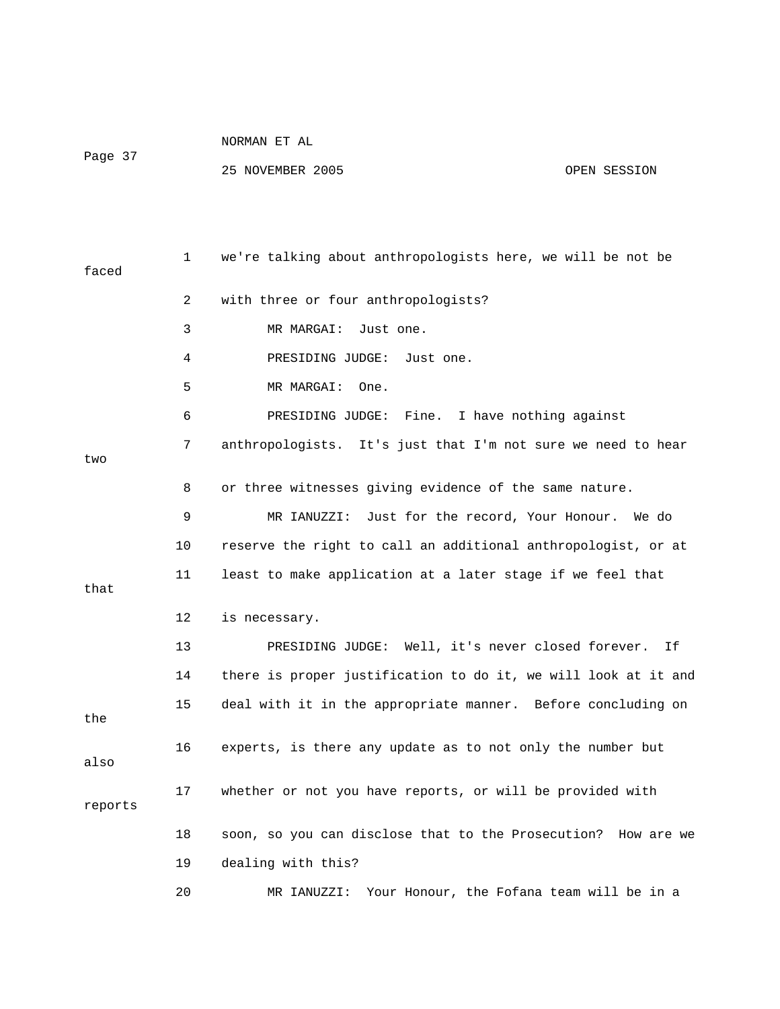| NORMAN ET AL |
|--------------|
|--------------|

Page 37

| faced   | $\mathbf{1}$ | we're talking about anthropologists here, we will be not be    |
|---------|--------------|----------------------------------------------------------------|
|         | 2            | with three or four anthropologists?                            |
|         | 3            | MR MARGAI:<br>Just one.                                        |
|         | 4            | PRESIDING JUDGE:<br>Just one.                                  |
|         | 5            | MR MARGAI:<br>One.                                             |
|         | 6            | I have nothing against<br>PRESIDING JUDGE: Fine.               |
| two     | 7            | anthropologists. It's just that I'm not sure we need to hear   |
|         | 8            | or three witnesses giving evidence of the same nature.         |
|         | 9            | MR IANUZZI:<br>Just for the record, Your Honour. We do         |
|         | 10           | reserve the right to call an additional anthropologist, or at  |
| that    | 11           | least to make application at a later stage if we feel that     |
|         | 12           | is necessary.                                                  |
|         | 13           | PRESIDING JUDGE: Well, it's never closed forever.<br>Ιf        |
|         | 14           | there is proper justification to do it, we will look at it and |
| the     | 15           | deal with it in the appropriate manner. Before concluding on   |
| also    | 16           | experts, is there any update as to not only the number but     |
| reports | 17           | whether or not you have reports, or will be provided with      |
|         | 18           | soon, so you can disclose that to the Prosecution? How are we  |
|         | 19           | dealing with this?                                             |
|         | 20           | MR IANUZZI: Your Honour, the Fofana team will be in a          |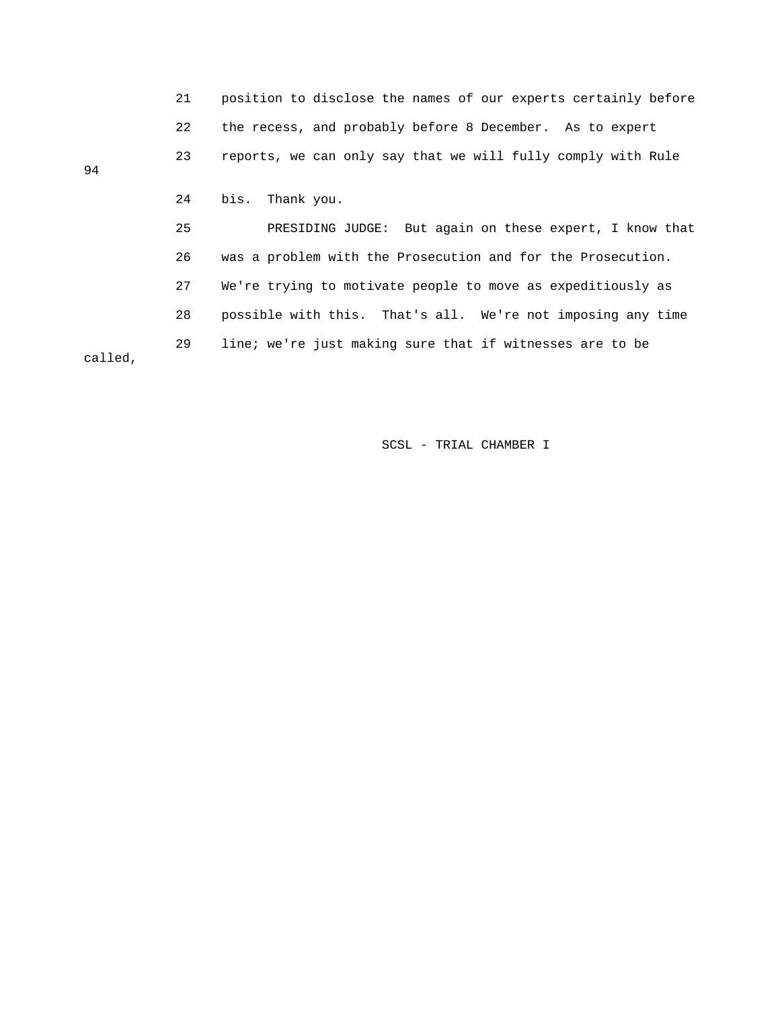|         | 21 | position to disclose the names of our experts certainly before |
|---------|----|----------------------------------------------------------------|
|         | 22 | the recess, and probably before 8 December. As to expert       |
| 94      | 23 | reports, we can only say that we will fully comply with Rule   |
|         |    |                                                                |
|         | 24 | bis.<br>Thank you.                                             |
|         | 25 | PRESIDING JUDGE: But again on these expert, I know that        |
|         | 26 | was a problem with the Prosecution and for the Prosecution.    |
|         | 27 | We're trying to motivate people to move as expeditiously as    |
|         | 28 | possible with this. That's all. We're not imposing any time    |
| called, | 29 | line; we're just making sure that if witnesses are to be       |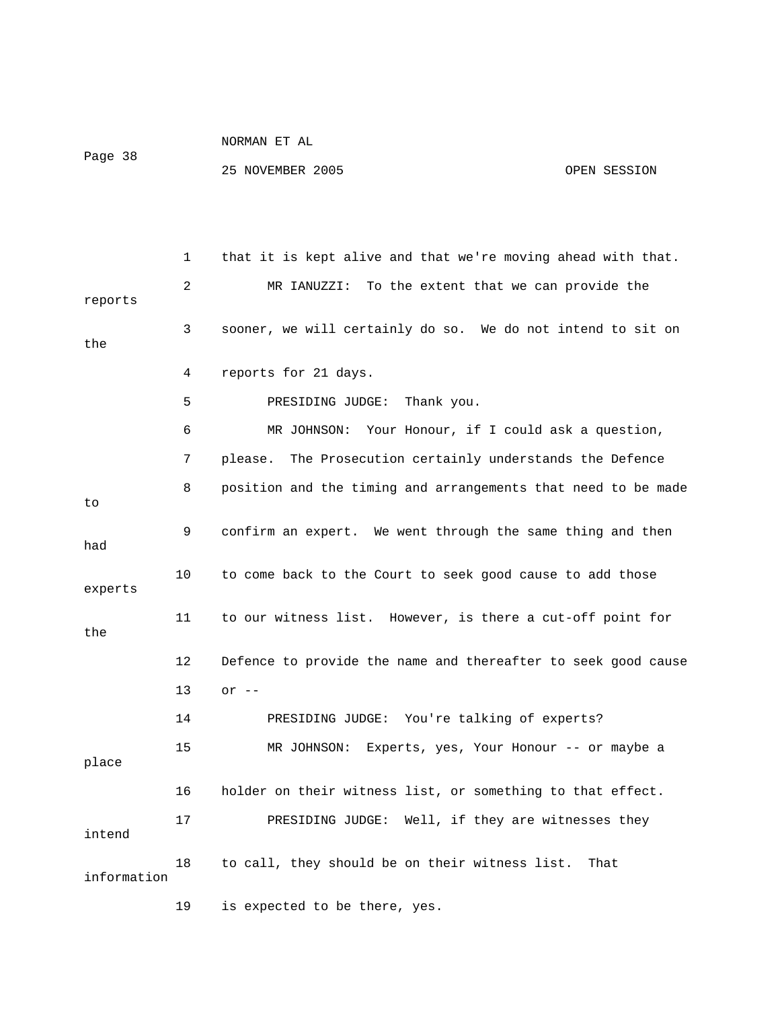Page 38

#### 25 NOVEMBER 2005 OPEN SESSION

 1 that it is kept alive and that we're moving ahead with that. 2 MR IANUZZI: To the extent that we can provide the reports 3 sooner, we will certainly do so. We do not intend to sit on the 4 reports for 21 days. 5 PRESIDING JUDGE: Thank you. 6 MR JOHNSON: Your Honour, if I could ask a question, 7 please. The Prosecution certainly understands the Defence 8 position and the timing and arrangements that need to be made to 9 confirm an expert. We went through the same thing and then had 10 to come back to the Court to seek good cause to add those experts 11 to our witness list. However, is there a cut-off point for the 12 Defence to provide the name and thereafter to seek good cause 13 or -- 14 PRESIDING JUDGE: You're talking of experts? 15 MR JOHNSON: Experts, yes, Your Honour -- or maybe a place 16 holder on their witness list, or something to that effect. 17 PRESIDING JUDGE: Well, if they are witnesses they intend 18 to call, they should be on their witness list. That information 19 is expected to be there, yes.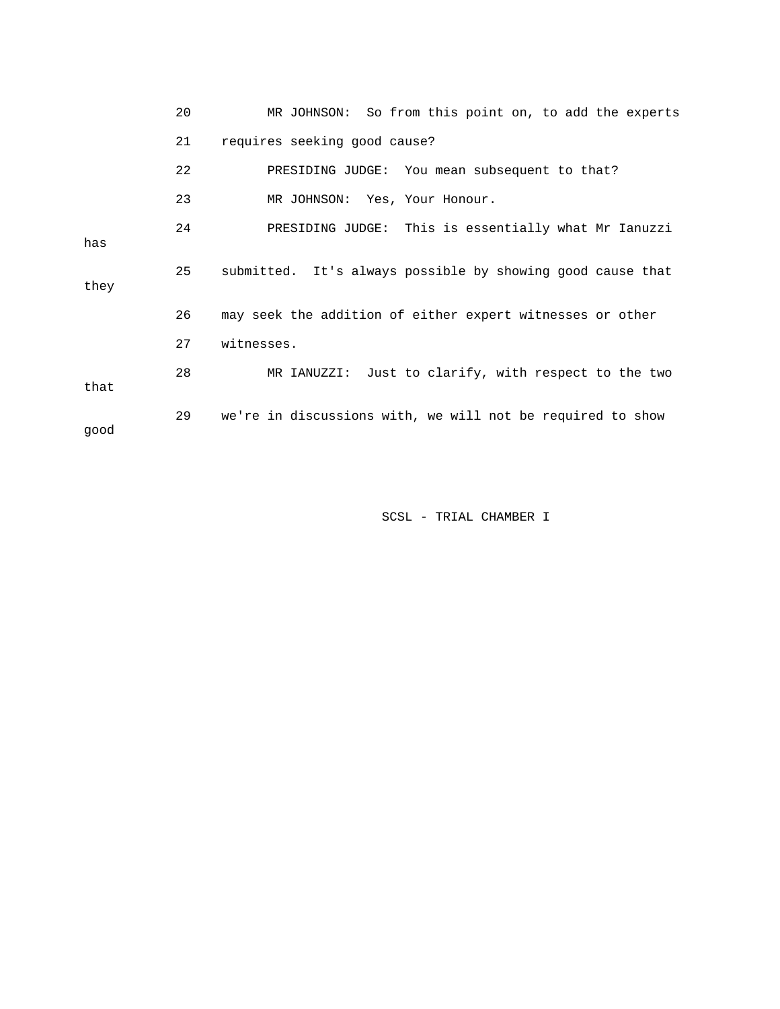|      | 20 | MR JOHNSON: So from this point on, to add the experts      |
|------|----|------------------------------------------------------------|
|      | 21 | requires seeking good cause?                               |
|      | 22 | PRESIDING JUDGE: You mean subsequent to that?              |
|      | 23 | MR JOHNSON: Yes, Your Honour.                              |
| has  | 24 | PRESIDING JUDGE: This is essentially what Mr Ianuzzi       |
| they | 25 | submitted. It's always possible by showing good cause that |
|      | 26 | may seek the addition of either expert witnesses or other  |
|      | 27 | witnesses.                                                 |
| that | 28 | MR IANUZZI: Just to clarify, with respect to the two       |
| qood | 29 | we're in discussions with, we will not be required to show |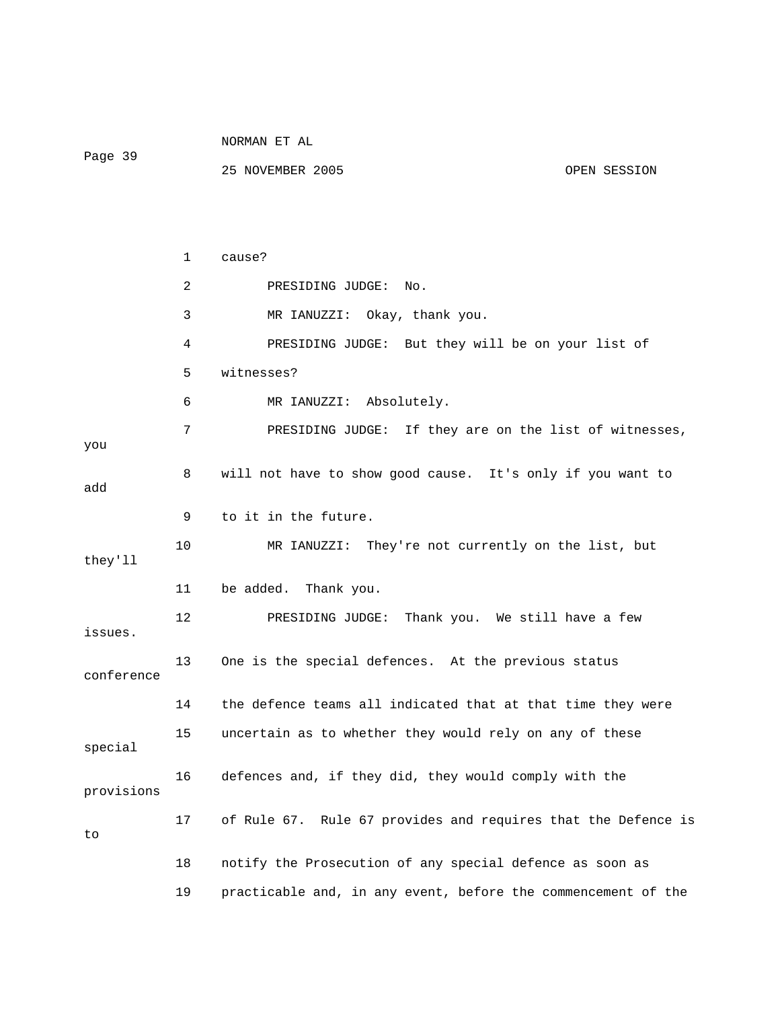|            |    | NORMAN ET AL                                                  |              |  |
|------------|----|---------------------------------------------------------------|--------------|--|
| Page 39    |    | 25 NOVEMBER 2005                                              | OPEN SESSION |  |
|            |    |                                                               |              |  |
|            |    |                                                               |              |  |
|            | 1  | cause?                                                        |              |  |
|            | 2  | PRESIDING JUDGE:<br>No.                                       |              |  |
|            | 3  | MR IANUZZI: Okay, thank you.                                  |              |  |
|            | 4  | PRESIDING JUDGE: But they will be on your list of             |              |  |
|            | 5  | witnesses?                                                    |              |  |
|            | 6  | MR IANUZZI: Absolutely.                                       |              |  |
|            | 7  | PRESIDING JUDGE: If they are on the list of witnesses,        |              |  |
| you        |    |                                                               |              |  |
| add        | 8  | will not have to show good cause. It's only if you want to    |              |  |
|            | 9  | to it in the future.                                          |              |  |
| they'll    | 10 | MR IANUZZI: They're not currently on the list, but            |              |  |
|            | 11 | be added. Thank you.                                          |              |  |
| issues.    | 12 | PRESIDING JUDGE: Thank you. We still have a few               |              |  |
| conference | 13 | One is the special defences. At the previous status           |              |  |
|            | 14 | the defence teams all indicated that at that time they were   |              |  |
| special    | 15 | uncertain as to whether they would rely on any of these       |              |  |
| provisions | 16 | defences and, if they did, they would comply with the         |              |  |
| to         | 17 | of Rule 67. Rule 67 provides and requires that the Defence is |              |  |
|            | 18 | notify the Prosecution of any special defence as soon as      |              |  |
|            | 19 | practicable and, in any event, before the commencement of the |              |  |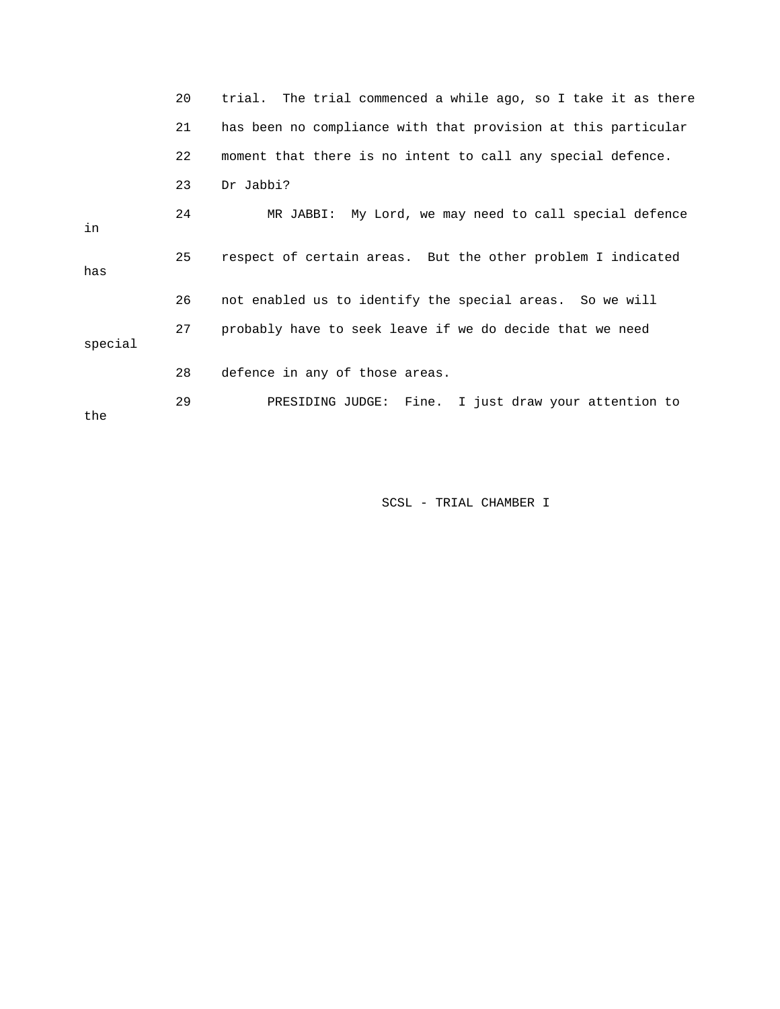|         | 20 | trial. The trial commenced a while ago, so I take it as there |
|---------|----|---------------------------------------------------------------|
|         | 21 | has been no compliance with that provision at this particular |
|         | 22 | moment that there is no intent to call any special defence.   |
|         | 23 | Dr Jabbi?                                                     |
| in      | 24 | MR JABBI: My Lord, we may need to call special defence        |
| has     | 25 | respect of certain areas. But the other problem I indicated   |
|         | 26 | not enabled us to identify the special areas. So we will      |
| special | 27 | probably have to seek leave if we do decide that we need      |
|         | 28 | defence in any of those areas.                                |
| the     | 29 | PRESIDING JUDGE: Fine. I just draw your attention to          |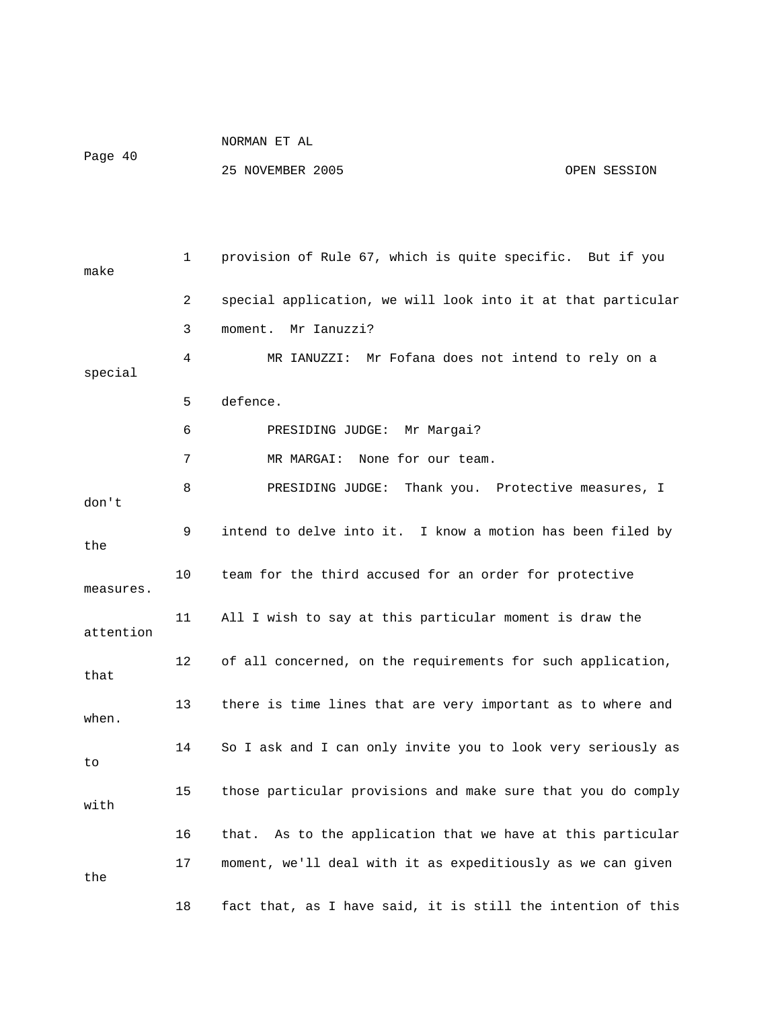Page 40

NORMAN ET AL

25 NOVEMBER 2005 OPEN SESSION

 1 provision of Rule 67, which is quite specific. But if you make 2 special application, we will look into it at that particular 3 moment. Mr Ianuzzi? 4 MR IANUZZI: Mr Fofana does not intend to rely on a special 5 defence. 6 PRESIDING JUDGE: Mr Margai? 7 MR MARGAI: None for our team. 8 PRESIDING JUDGE: Thank you. Protective measures, I don't 9 intend to delve into it. I know a motion has been filed by the 10 team for the third accused for an order for protective measures. 11 All I wish to say at this particular moment is draw the attention 12 of all concerned, on the requirements for such application, that 13 there is time lines that are very important as to where and when. 14 So I ask and I can only invite you to look very seriously as to 15 those particular provisions and make sure that you do comply with 16 that. As to the application that we have at this particular 17 moment, we'll deal with it as expeditiously as we can given the 18 fact that, as I have said, it is still the intention of this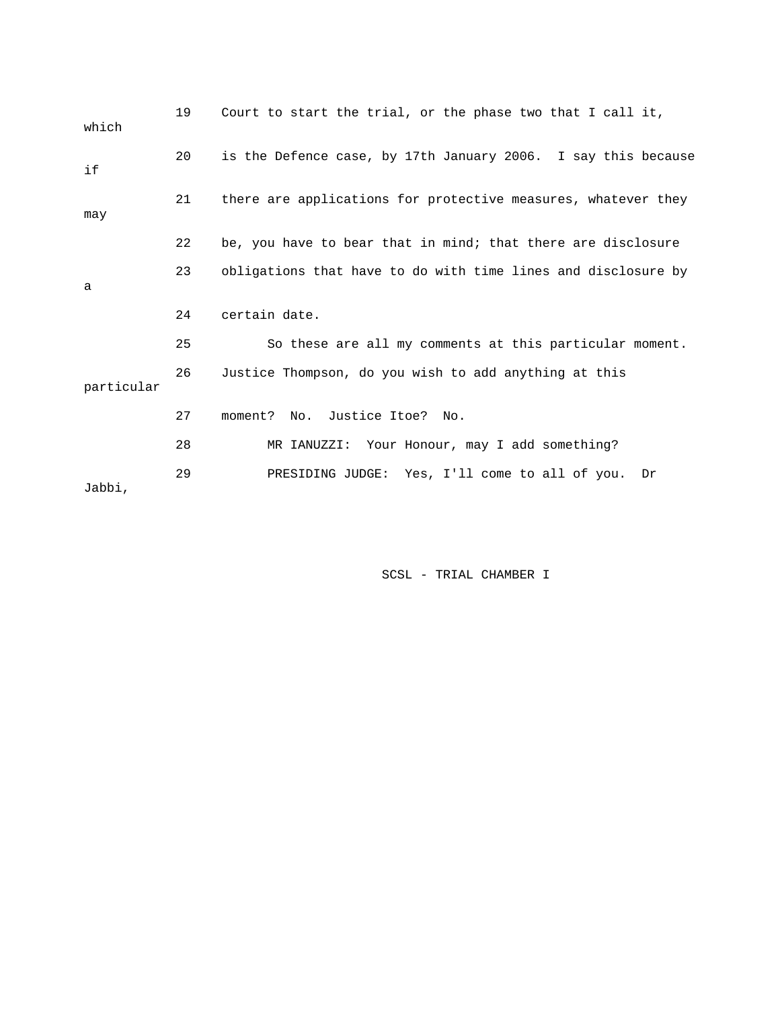| which      | 19 | Court to start the trial, or the phase two that I call it,    |
|------------|----|---------------------------------------------------------------|
| if         | 20 | is the Defence case, by 17th January 2006. I say this because |
| may        | 21 | there are applications for protective measures, whatever they |
|            | 22 | be, you have to bear that in mind; that there are disclosure  |
| a          | 23 | obligations that have to do with time lines and disclosure by |
|            | 24 | certain date.                                                 |
|            | 25 | So these are all my comments at this particular moment.       |
| particular | 26 | Justice Thompson, do you wish to add anything at this         |
|            | 27 | moment? No. Justice Itoe? No.                                 |
|            | 28 | MR IANUZZI: Your Honour, may I add something?                 |
| Jabbi,     | 29 | PRESIDING JUDGE: Yes, I'll come to all of you.<br>Dr          |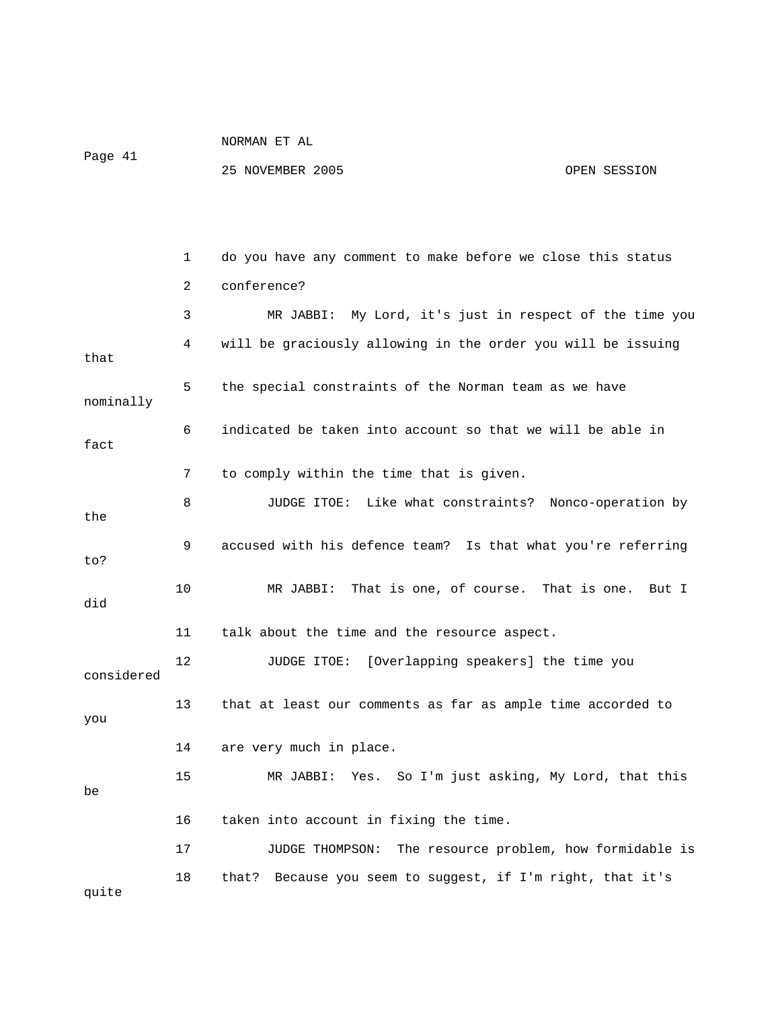| 41<br>Page |  |
|------------|--|
|------------|--|

|            | 1              | do you have any comment to make before we close this status   |
|------------|----------------|---------------------------------------------------------------|
|            | $\overline{2}$ | conference?                                                   |
|            | 3              | MR JABBI: My Lord, it's just in respect of the time you       |
| that       | 4              | will be graciously allowing in the order you will be issuing  |
| nominally  | 5              | the special constraints of the Norman team as we have         |
| fact       | 6              | indicated be taken into account so that we will be able in    |
|            | 7              | to comply within the time that is given.                      |
| the        | 8              | JUDGE ITOE: Like what constraints? Nonco-operation by         |
| to?        | 9              | accused with his defence team? Is that what you're referring  |
| did        | 10             | MR JABBI:<br>That is one, of course.<br>That is one.<br>But I |
|            | 11             | talk about the time and the resource aspect.                  |
| considered | 12             | JUDGE ITOE: [Overlapping speakers] the time you               |
| you        | 13             | that at least our comments as far as ample time accorded to   |
|            | 14             | are very much in place.                                       |
| be         | 15             | Yes. So I'm just asking, My Lord, that this<br>MR JABBI:      |
|            | 16             | taken into account in fixing the time.                        |
|            | 17             | JUDGE THOMPSON:<br>The resource problem, how formidable is    |
| quite      | 18             | Because you seem to suggest, if I'm right, that it's<br>that? |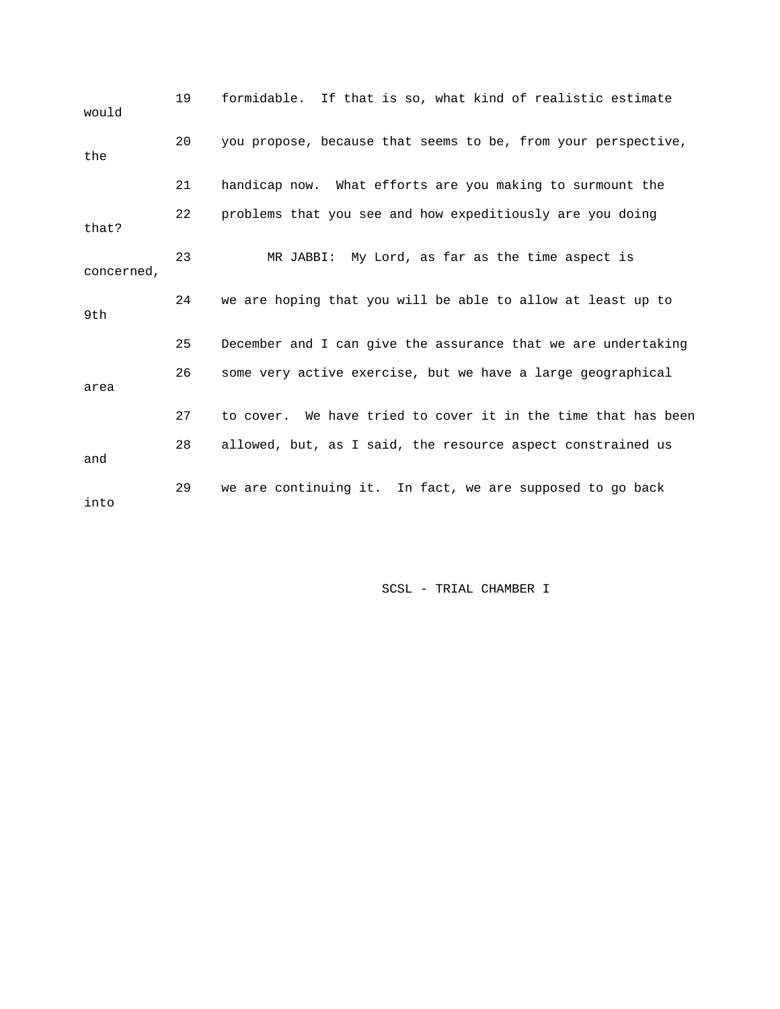19 formidable. If that is so, what kind of realistic estimate would 20 you propose, because that seems to be, from your perspective, the 21 handicap now. What efforts are you making to surmount the 22 problems that you see and how expeditiously are you doing that? 23 MR JABBI: My Lord, as far as the time aspect is concerned, 24 we are hoping that you will be able to allow at least up to 9th 25 December and I can give the assurance that we are undertaking 26 some very active exercise, but we have a large geographical area 27 to cover. We have tried to cover it in the time that has been 28 allowed, but, as I said, the resource aspect constrained us and 29 we are continuing it. In fact, we are supposed to go back into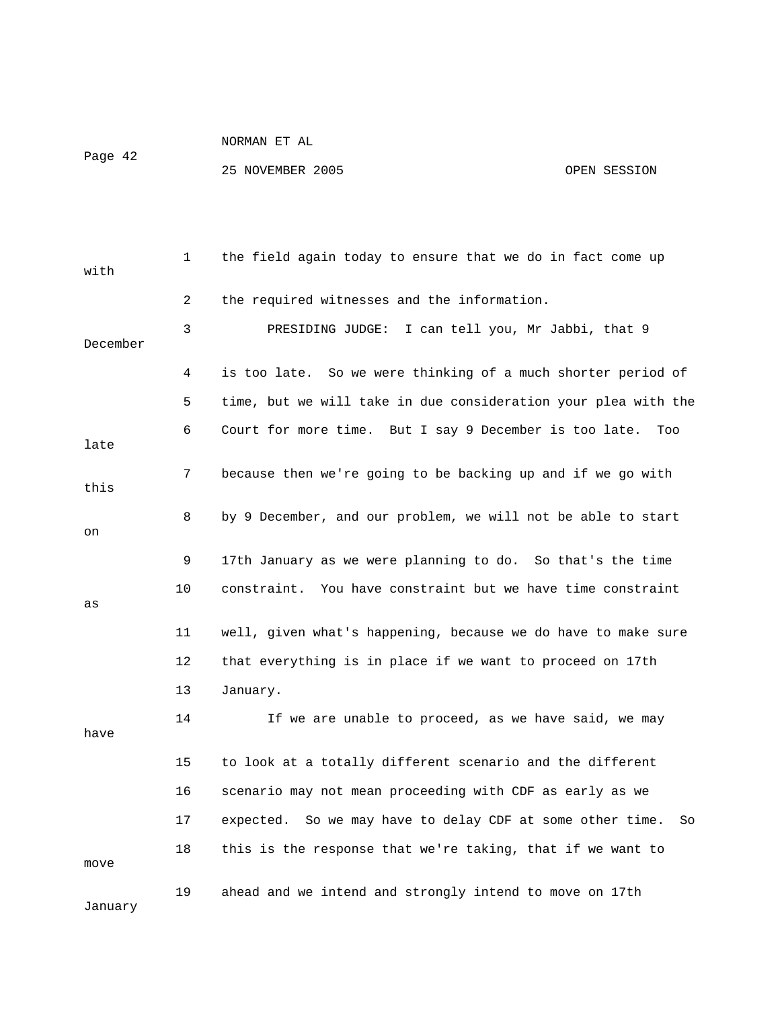Page 42

| with     | 1  | the field again today to ensure that we do in fact come up      |
|----------|----|-----------------------------------------------------------------|
|          | 2  | the required witnesses and the information.                     |
| December | 3  | PRESIDING JUDGE:<br>I can tell you, Mr Jabbi, that 9            |
|          | 4  | is too late.  So we were thinking of a much shorter period of   |
|          | 5  | time, but we will take in due consideration your plea with the  |
| late     | 6  | Court for more time. But I say 9 December is too late.<br>Too   |
| this     | 7  | because then we're going to be backing up and if we go with     |
| on       | 8  | by 9 December, and our problem, we will not be able to start    |
|          | 9  | 17th January as we were planning to do. So that's the time      |
| as       | 10 | constraint. You have constraint but we have time constraint     |
|          | 11 | well, given what's happening, because we do have to make sure   |
|          | 12 | that everything is in place if we want to proceed on 17th       |
|          | 13 | January.                                                        |
| have     | 14 | If we are unable to proceed, as we have said, we may            |
|          | 15 | to look at a totally different scenario and the different       |
|          | 16 | scenario may not mean proceeding with CDF as early as we        |
|          | 17 | expected. So we may have to delay CDF at some other time.<br>So |
| move     | 18 | this is the response that we're taking, that if we want to      |
| January  | 19 | ahead and we intend and strongly intend to move on 17th         |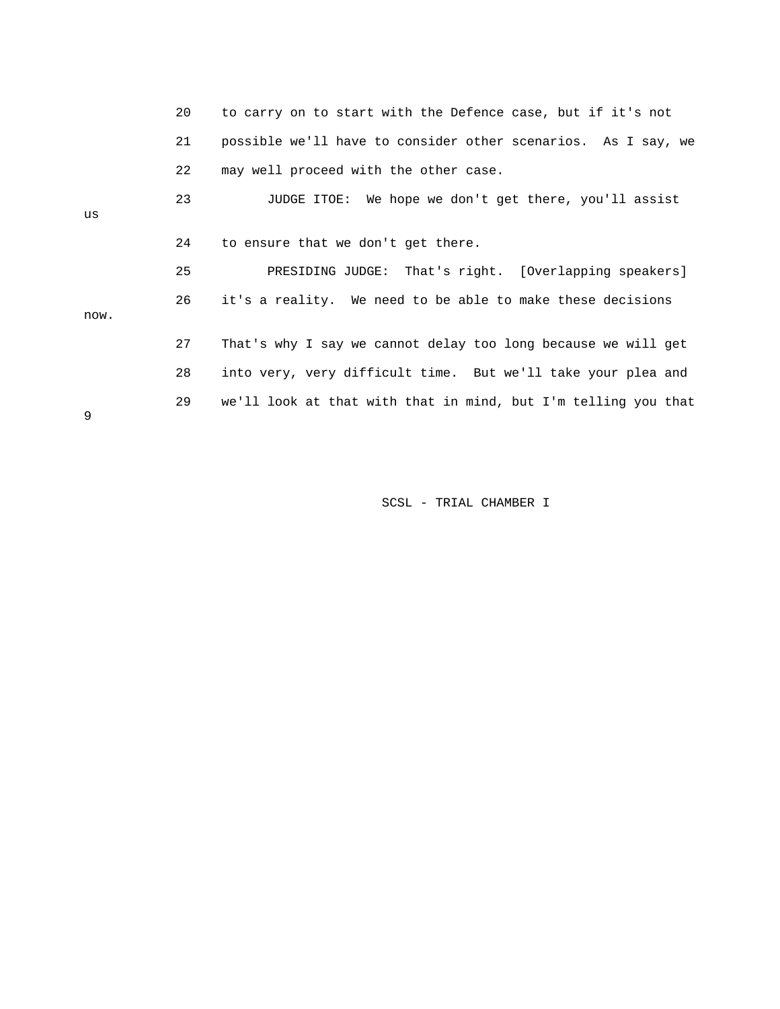|      | 20 | to carry on to start with the Defence case, but if it's not    |
|------|----|----------------------------------------------------------------|
|      | 21 | possible we'll have to consider other scenarios. As I say, we  |
|      | 22 | may well proceed with the other case.                          |
| us   | 23 | JUDGE ITOE: We hope we don't get there, you'll assist          |
|      | 24 | to ensure that we don't get there.                             |
|      | 25 | PRESIDING JUDGE: That's right. [Overlapping speakers]          |
| now. | 26 | it's a reality. We need to be able to make these decisions     |
|      | 27 | That's why I say we cannot delay too long because we will get  |
|      | 28 | into very, very difficult time. But we'll take your plea and   |
| 9    | 29 | we'll look at that with that in mind, but I'm telling you that |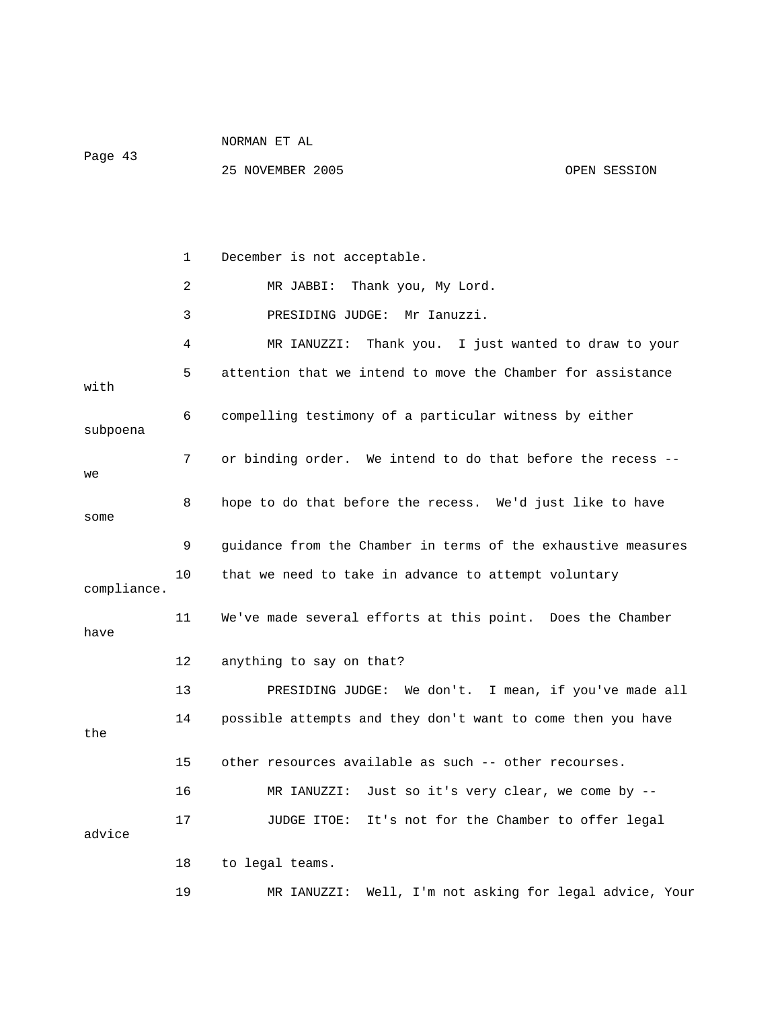|             | 1              | December is not acceptable.                                   |
|-------------|----------------|---------------------------------------------------------------|
|             | $\overline{2}$ | Thank you, My Lord.<br>MR JABBI:                              |
|             | 3              | PRESIDING JUDGE:<br>Mr Ianuzzi.                               |
|             | 4              | MR IANUZZI:<br>Thank you. I just wanted to draw to your       |
| with        | 5              | attention that we intend to move the Chamber for assistance   |
| subpoena    | 6              | compelling testimony of a particular witness by either        |
| we          | 7              | or binding order. We intend to do that before the recess --   |
| some        | 8              | hope to do that before the recess. We'd just like to have     |
|             | 9              | guidance from the Chamber in terms of the exhaustive measures |
| compliance. | 10             | that we need to take in advance to attempt voluntary          |
| have        | 11             | We've made several efforts at this point. Does the Chamber    |
|             | 12             | anything to say on that?                                      |
|             | 13             | We don't.<br>I mean, if you've made all<br>PRESIDING JUDGE:   |
| the         | 14             | possible attempts and they don't want to come then you have   |
|             | 15             | other resources available as such -- other recourses.         |
|             | 16             | Just so it's very clear, we come by --<br>MR IANUZZI:         |

25 NOVEMBER 2005 OPEN SESSION

NORMAN ET AL

advice

Page 43

 18 to legal teams. 19 MR IANUZZI: Well, I'm not asking for legal advice, Your

17 JUDGE ITOE: It's not for the Chamber to offer legal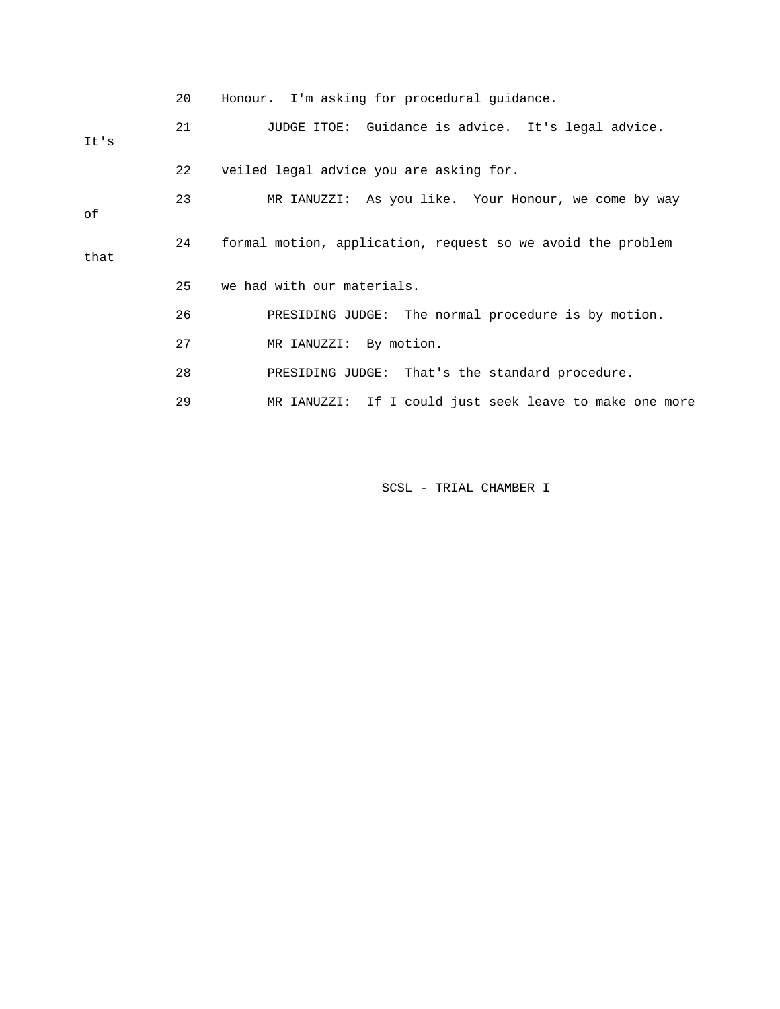|      | 20 | Honour. I'm asking for procedural quidance.                 |
|------|----|-------------------------------------------------------------|
| It's | 21 | JUDGE ITOE: Guidance is advice. It's legal advice.          |
|      | 22 | veiled legal advice you are asking for.                     |
| оf   | 23 | MR IANUZZI: As you like. Your Honour, we come by way        |
| that | 24 | formal motion, application, request so we avoid the problem |
|      | 25 | we had with our materials.                                  |
|      | 26 | PRESIDING JUDGE: The normal procedure is by motion.         |
|      | 27 | MR IANUZZI: By motion.                                      |
|      | 28 | PRESIDING JUDGE: That's the standard procedure.             |
|      | 29 | MR IANUZZI: If I could just seek leave to make one more     |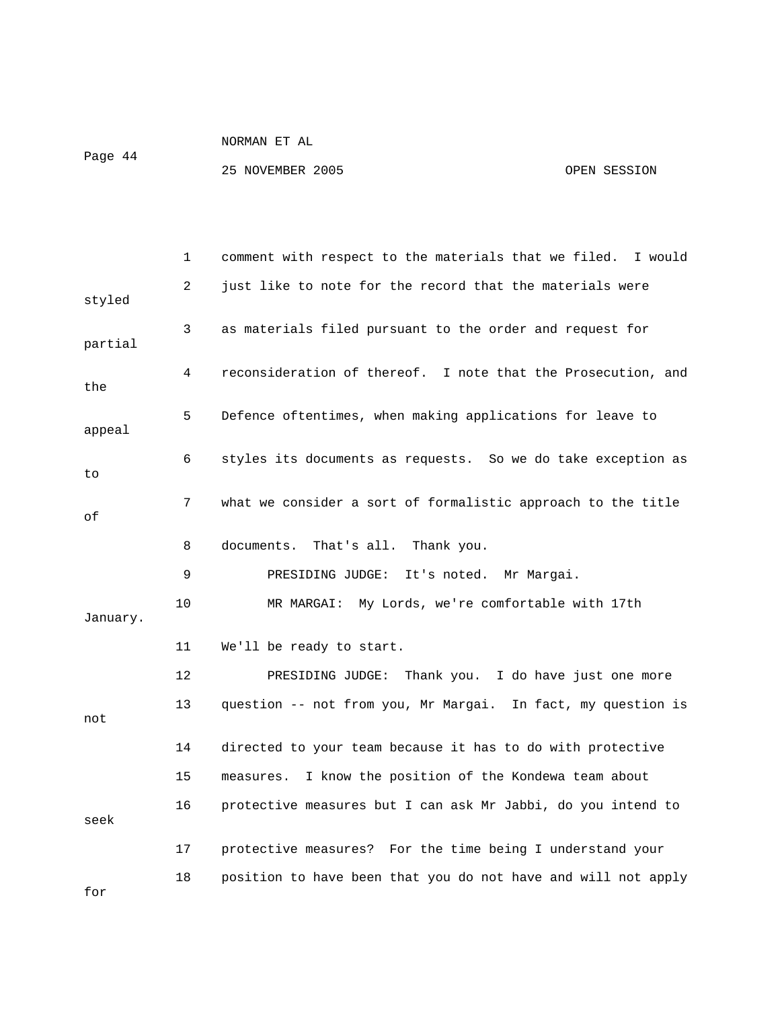NORMAN ET AL Page 44

|          | 1  | comment with respect to the materials that we filed.<br>I would |
|----------|----|-----------------------------------------------------------------|
| styled   | 2  | just like to note for the record that the materials were        |
| partial  | 3  | as materials filed pursuant to the order and request for        |
| the      | 4  | reconsideration of thereof. I note that the Prosecution, and    |
| appeal   | 5  | Defence oftentimes, when making applications for leave to       |
| to       | 6  | styles its documents as requests. So we do take exception as    |
| οf       | 7  | what we consider a sort of formalistic approach to the title    |
|          | 8  | documents. That's all. Thank you.                               |
|          | 9  | It's noted.<br>PRESIDING JUDGE:<br>Mr Margai.                   |
| January. | 10 | MR MARGAI: My Lords, we're comfortable with 17th                |
|          | 11 | We'll be ready to start.                                        |
|          | 12 | Thank you. I do have just one more<br>PRESIDING JUDGE:          |
| not      | 13 | question -- not from you, Mr Margai. In fact, my question is    |
|          | 14 | directed to your team because it has to do with protective      |
|          | 15 | I know the position of the Kondewa team about<br>measures.      |
| seek     | 16 | protective measures but I can ask Mr Jabbi, do you intend to    |
|          | 17 | protective measures? For the time being I understand your       |
| for      | 18 | position to have been that you do not have and will not apply   |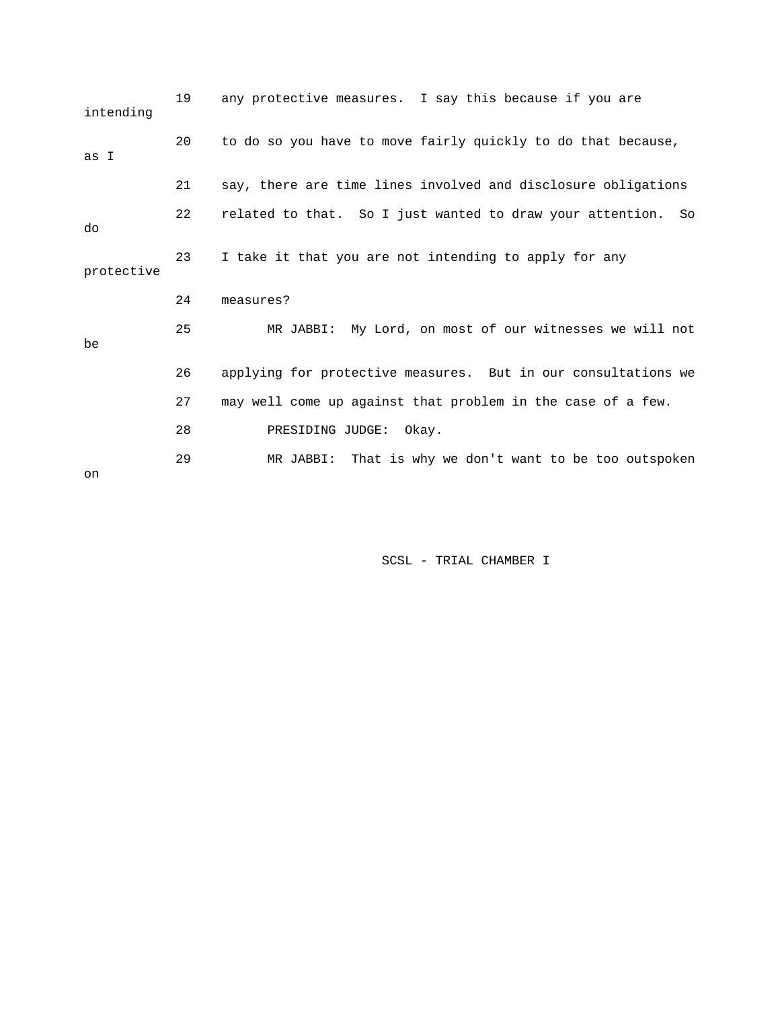| intending  | 19 | any protective measures. I say this because if you are          |
|------------|----|-----------------------------------------------------------------|
| as I       | 20 | to do so you have to move fairly quickly to do that because,    |
|            | 21 | say, there are time lines involved and disclosure obligations   |
| do         | 22 | related to that. So I just wanted to draw your attention.<br>So |
| protective | 23 | I take it that you are not intending to apply for any           |
|            | 24 | measures?                                                       |
| be         | 25 | MR JABBI: My Lord, on most of our witnesses we will not         |
|            | 26 | applying for protective measures. But in our consultations we   |
|            | 27 | may well come up against that problem in the case of a few.     |
|            | 28 | PRESIDING JUDGE:<br>Okay.                                       |
| on         | 29 | That is why we don't want to be too outspoken<br>MR JABBI:      |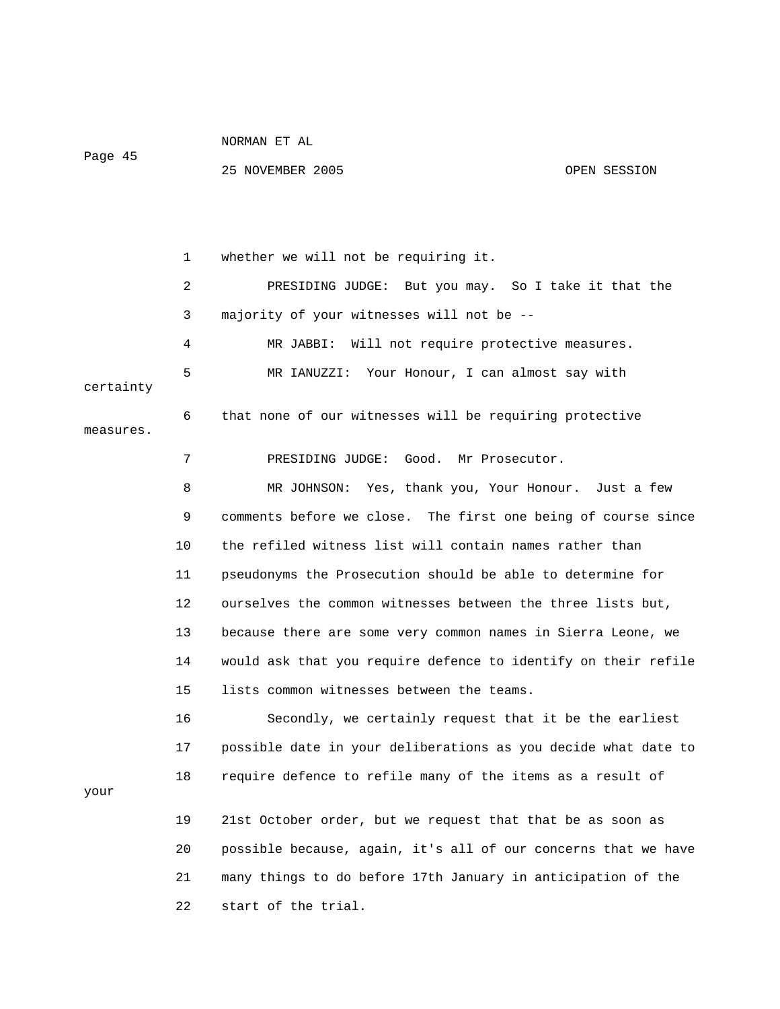Page 45

your

25 NOVEMBER 2005 OPEN SESSION

 1 whether we will not be requiring it. 2 PRESIDING JUDGE: But you may. So I take it that the 3 majority of your witnesses will not be -- 4 MR JABBI: Will not require protective measures. 5 MR IANUZZI: Your Honour, I can almost say with certainty 6 that none of our witnesses will be requiring protective measures. 7 PRESIDING JUDGE: Good. Mr Prosecutor. 8 MR JOHNSON: Yes, thank you, Your Honour. Just a few 9 comments before we close. The first one being of course since 10 the refiled witness list will contain names rather than 11 pseudonyms the Prosecution should be able to determine for 12 ourselves the common witnesses between the three lists but, 13 because there are some very common names in Sierra Leone, we 14 would ask that you require defence to identify on their refile 15 lists common witnesses between the teams. 16 Secondly, we certainly request that it be the earliest

 17 possible date in your deliberations as you decide what date to 18 require defence to refile many of the items as a result of

 19 21st October order, but we request that that be as soon as 20 possible because, again, it's all of our concerns that we have 21 many things to do before 17th January in anticipation of the 22 start of the trial.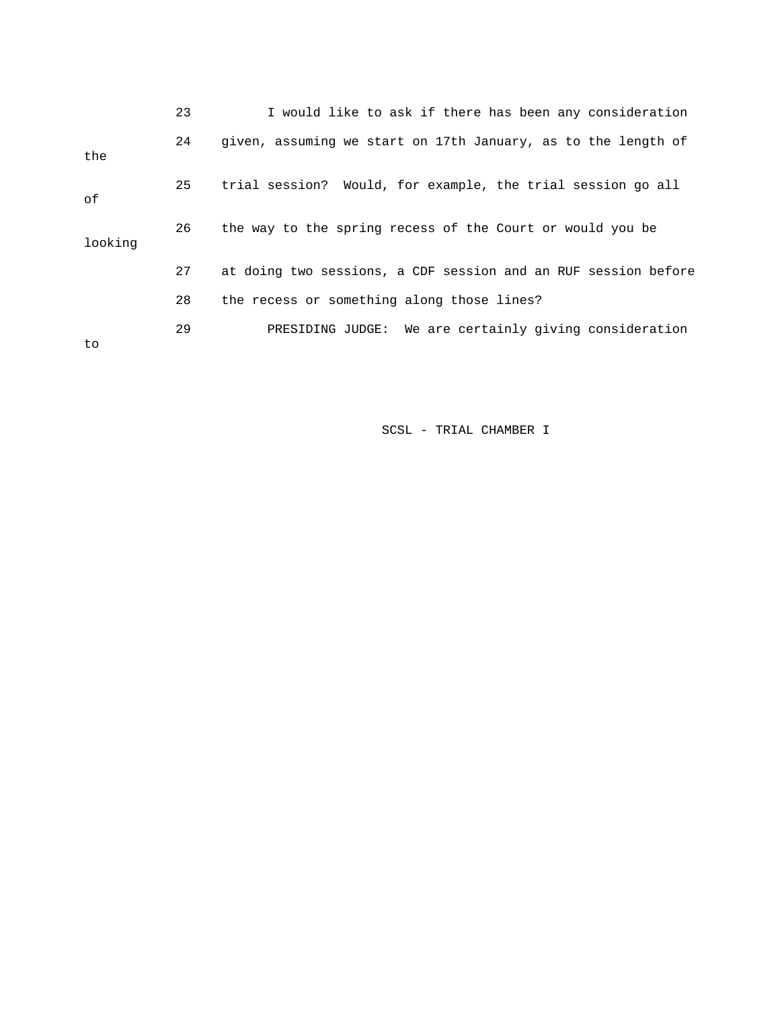|         | 23 | I would like to ask if there has been any consideration        |
|---------|----|----------------------------------------------------------------|
| the     | 24 | given, assuming we start on 17th January, as to the length of  |
| оf      | 25 | trial session? Would, for example, the trial session go all    |
| looking | 26 | the way to the spring recess of the Court or would you be      |
|         | 27 | at doing two sessions, a CDF session and an RUF session before |
|         | 28 | the recess or something along those lines?                     |
| to      | 29 | PRESIDING JUDGE: We are certainly giving consideration         |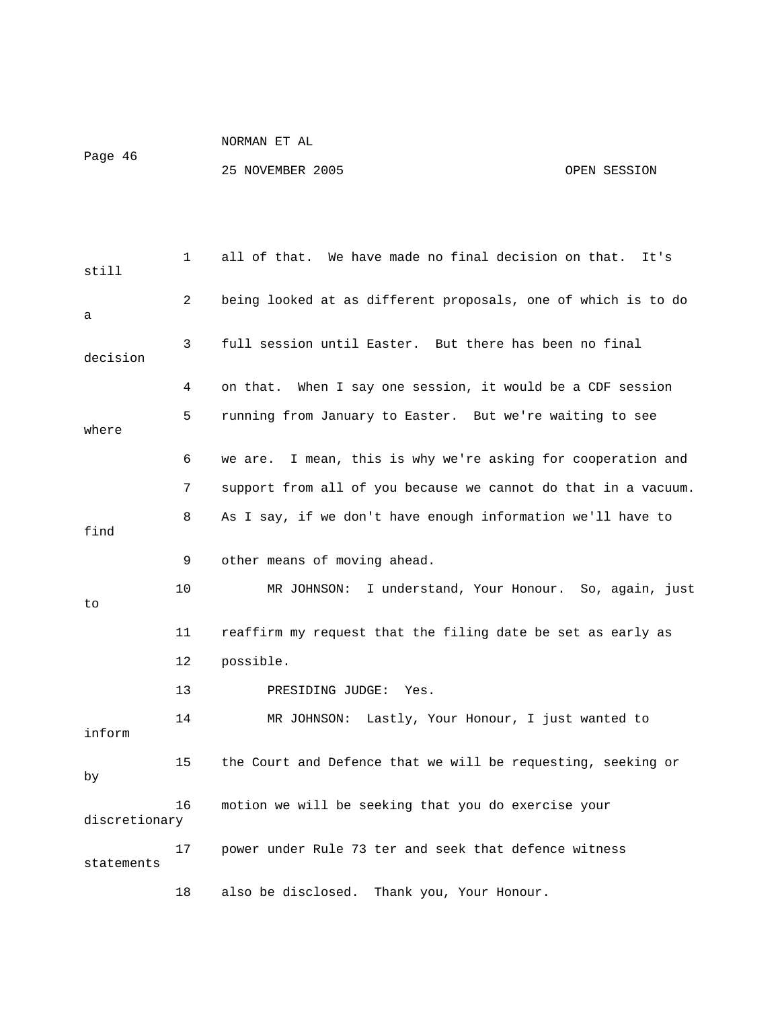Page 46

NORMAN ET AL

| still         | 1  | all of that. We have made no final decision on that.<br>It's   |
|---------------|----|----------------------------------------------------------------|
| a             | 2  | being looked at as different proposals, one of which is to do  |
| decision      | 3  | full session until Easter. But there has been no final         |
|               | 4  | When I say one session, it would be a CDF session<br>on that.  |
| where         | 5  | running from January to Easter. But we're waiting to see       |
|               | 6  | we are. I mean, this is why we're asking for cooperation and   |
|               | 7  | support from all of you because we cannot do that in a vacuum. |
| find          | 8  | As I say, if we don't have enough information we'll have to    |
|               | 9  | other means of moving ahead.                                   |
| to            | 10 | MR JOHNSON: I understand, Your Honour. So, again, just         |
|               | 11 | reaffirm my request that the filing date be set as early as    |
|               | 12 | possible.                                                      |
|               | 13 | PRESIDING JUDGE: Yes.                                          |
| inform        | 14 | MR JOHNSON: Lastly, Your Honour, I just wanted to              |
| by            | 15 | the Court and Defence that we will be requesting, seeking or   |
| discretionary | 16 | motion we will be seeking that you do exercise your            |
| statements    | 17 | power under Rule 73 ter and seek that defence witness          |
|               | 18 | also be disclosed. Thank you, Your Honour.                     |